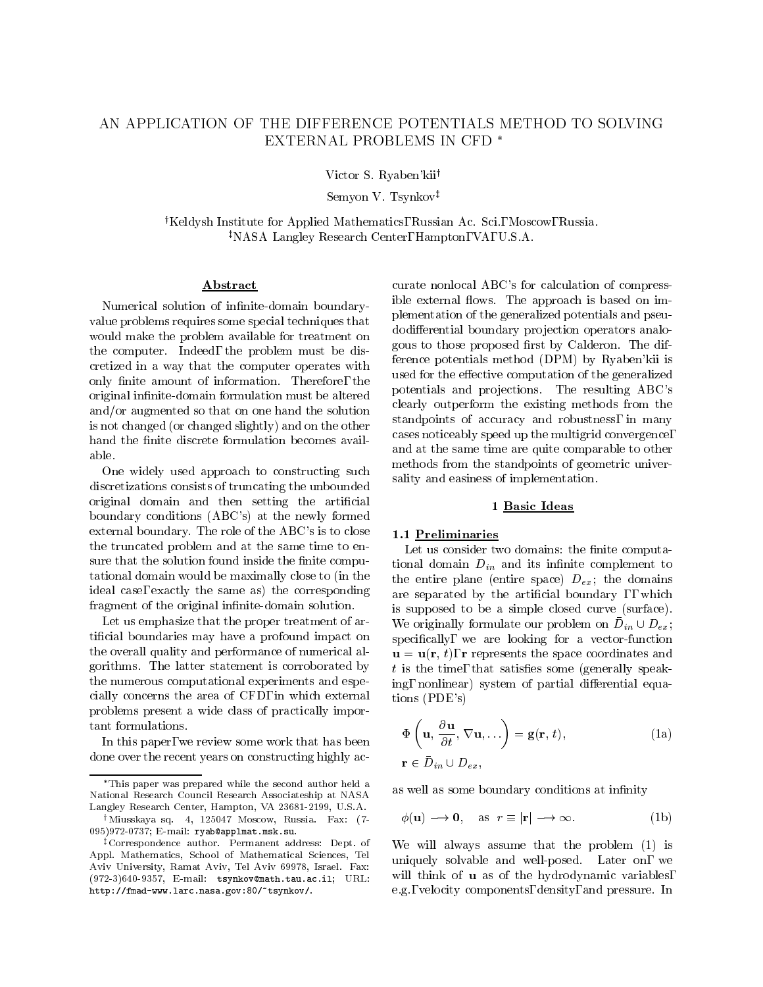# AN APPLICATION OF THE DIFFERENCE POTENTIALS METHOD TO SOLVING EXTERNAL PROBLEMS IN CFD

Victor S. Ryaben'kii<sup>†</sup>

Semyon V. Tsynkov<sup>‡</sup>

<sup>†</sup>Keldysh Institute for Applied Mathematics, Russian Ac. Sci., Moscow, Russia. <sup>‡</sup>NASA Langley Research Center, Hampton, VA, U.S.A.

### Abstract

Numerical solution of infinite-domain boundaryvalue problems requires some special techniques that would make the problem available for treatment on the computer. Indeed, the problem must be discretized in a way that the computer operates with only finite amount of information. Therefore, the original infinite-domain formulation must be altered and/or augmented so that on one hand the solution is not changed (or changed slightly) and on the other hand the finite discrete formulation becomes avail-

One widely used approach to constructing such discretizations consists of truncating the unbounded original domain and then setting the artificial boundary conditions (ABC's) at the newly formed external boundary. The role of the ABC's is to close the truncated problem and at the same time to ensure that the solution found inside the finite computational domain would be maximally close to (in the ideal case, exactly the same as) the corresponding fragment of the original infinite-domain solution.

Let us emphasize that the proper treatment of articial boundaries may have a profound impact on the overall quality and performance of numerical algorithms. The latter statement is corroborated by the numerous computational experiments and especially concerns the area of CFD, in which external problems present a wide class of practically important formulations.

In this paper, we review some work that has been done over the recent years on constructing highly accurate nonlocal ABC's for calculation of compressible external flows. The approach is based on implementation of the generalized potentials and pseudodifferential boundary projection operators analogous to those proposed first by Calderon. The difference potentials method (DPM) by Ryaben'kii is used for the effective computation of the generalized potentials and projections. The resulting ABC's clearly outperform the existing methods from the standpoints of accuracy and robustness, in many cases noticeably speed up the multigrid convergence, and at the same time are quite comparable to other methods from the standpoints of geometric universality and easiness of implementation.

### 1 Basic Ideas

# 1.1 Preliminaries

Let us consider two domains: the finite computational domain  $D_{in}$  and its infinite complement to the entire plane (entire space)  $D_{ex}$ ; the domains are separated by the artificial boundary, which is supposed to be a simple closed curve (surface). We originally formulate our problem on  $D_{in} \cup D_{ex}$ , specifically, we are looking for a vector-function  $\mathbf{u} = \mathbf{u}(\mathbf{r}, t)$ , r represents the space coordinates and  $t$  is the time, that satisfies some (generally speaking, nonlinear) system of partial differential equations (PDE's)

$$
\Phi\left(\mathbf{u}, \frac{\partial \mathbf{u}}{\partial t}, \nabla \mathbf{u}, \ldots\right) = \mathbf{g}(\mathbf{r}, t),
$$
\n
$$
\mathbf{r} \in \bar{D}_{in} \cup D_{ex},
$$
\n(1a)

as well as some boundary conditions at infinity

$$
\phi(\mathbf{u}) \longrightarrow \mathbf{0}, \quad \text{as} \quad r \equiv |\mathbf{r}| \longrightarrow \infty. \tag{1b}
$$

We will always assume that the problem (1) is uniquely solvable and well-posed. Later on, we will think of **u** as of the hydrodynamic variables, e.g., velocity components, density, and pressure. In

This paper was prepared while the second author held a National Research Council Research Associateship at NASA Langley Research Center, Hampton, VA 23681-2199, U.S.A.

 $\dagger$ Miusskaya sq. 4, 125047 Moscow, Russia. Fax: (7-095)972-0737; E-mail: ryab@applmat.msk.su.

zCorrespondence author. Permanent address: Dept. of Appl. Mathematics, School of Mathematical Sciences, Tel Aviv University, Ramat Aviv, Tel Aviv 69978, Israel. Fax: (972-3)640-9357, E-mail: tsynkov@math.tau.ac.il; URL: http://fmad-www.larc.nasa.gov:80/~tsynkov/.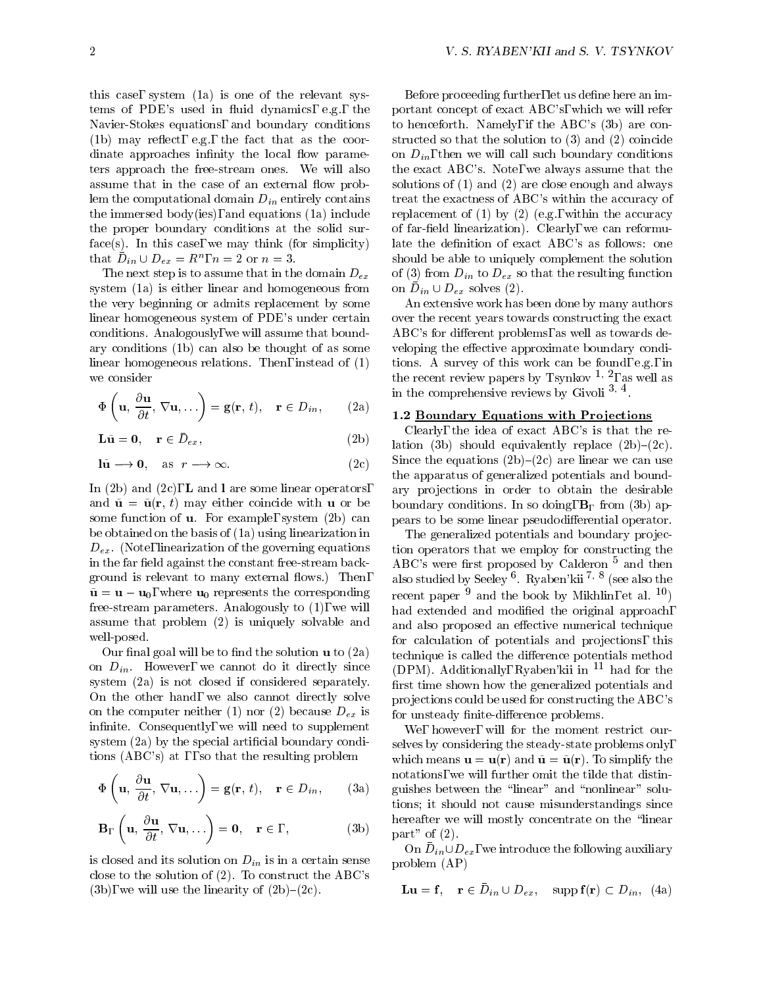this case, system (1a) is one of the relevant systems of PDE's used in fluid dynamics, e.g., the Navier-Stokes equations, and boundary conditions  $(1b)$  may reflect, e.g., the fact that as the coordinate approaches infinity the local flow parameters approach the free-stream ones. We will also assume that in the case of an external flow problem the computational domain  $D_{in}$  entirely contains the immersed body(ies), and equations (1a) include the proper boundary conditions at the solid surface(s). In this case, we may think (for simplicity) that  $D_{in} \cup D_{ex} = R$ ,  $n = 2$  or  $n = 3$ .

The next step is to assume that in the domain  $D_{ex}$ system (1a) is either linear and homogeneous from the very beginning or admits replacement by some linear homogeneous system of PDE's under certain conditions. Analogously, we will assume that boundary conditions (1b) can also be thought of as some linear homogeneous relations. Then, instead of (1) tions. A survey of this work can be found, e.g., in we consider

$$
\Phi\left(\mathbf{u}, \frac{\partial \mathbf{u}}{\partial t}, \nabla \mathbf{u}, \ldots\right) = \mathbf{g}(\mathbf{r}, t), \quad \mathbf{r} \in D_{in}, \qquad (2\mathbf{a}) \qquad \frac{\mathbf{m}}{\mathbf{1}}.
$$

$$
\mathbf{L}\tilde{\mathbf{u}} = \mathbf{0}, \quad \mathbf{r} \in \bar{D}_{ex}, \tag{2b}
$$

$$
\begin{array}{ll}\n\text{Li} - \text{o}, & \text{I} \subset D_{ex}, \\
\text{I\`u} \longrightarrow \text{0}, & \text{as } r \longrightarrow \infty.\n\end{array} \tag{2c}
$$

In (2b) and (2c), **L** and **l** are some linear operators, and  $\tilde{\mathbf{u}} = \tilde{\mathbf{u}}(\mathbf{r}, t)$  may either coincide with **u** or be some function of u. For example, system (2b) can be obtained on the basis of (1a) using linearization in  $D_{ex}$ . (Note, linearization of the governing equations in the far field against the constant free-stream background is relevant to many external flows.) Then,  $\tilde{\mathbf{u}} = \mathbf{u} - \mathbf{u}_0$ , where  $\mathbf{u}_0$  represents the corresponding free-stream parameters. Analogously to (1), we will assume that problem (2) is uniquely solvable and well-posed.

Our final goal will be to find the solution  $\bf{u}$  to  $(2a)$ on  $D_{in}$ . However, we cannot do it directly since system (2a) is not closed if considered separately. On the other hand, we also cannot directly solve on the computer neither (1) nor (2) because  $D_{ex}$  is infinite. Consequently, we will need to supplement system (2a) by the special artificial boundary conditions (ABC's) at , so that the resulting problem

$$
\Phi\left(\mathbf{u}, \frac{\partial \mathbf{u}}{\partial t}, \nabla \mathbf{u}, \ldots\right) = \mathbf{g}(\mathbf{r}, t), \quad \mathbf{r} \in D_{in}, \quad \text{(3a)} \quad \text{qu} \atop \text{tio} \quad \text{tio}
$$

$$
\mathbf{B}_{\Gamma}\left(\mathbf{u}, \frac{\partial \mathbf{u}}{\partial t}, \nabla \mathbf{u}, \ldots\right) = \mathbf{0}, \quad \mathbf{r} \in , , \qquad (3b) \qquad \begin{array}{c} \text{he} \\ \text{pa} \end{array}
$$

is closed and its solution on  $D_{in}$  is in a certain sense close to the solution of (2). To construct the ABC's (3b), we will use the linearity of  $(2b)-(2c)$ .

Before proceeding further, let us define here an important concept of exact ABC's, which we will refer to henceforth. Namely, if the ABC's (3b) are constructed so that the solution to (3) and (2) coincide on  $D_{in}$ , then we will call such boundary conditions the exact ABC's. Note, we always assume that the solutions of (1) and (2) are close enough and always treat the exactness of ABC's within the accuracy of replacement of  $(1)$  by  $(2)$  (e.g., within the accuracy of far-field linearization). Clearly, we can reformulate the definition of exact ABC's as follows: one should be able to uniquely complement the solution of (3) from  $D_{in}$  to  $D_{ex}$  so that the resulting function OIL  $D_{in} \cup D_{ex}$  solves (2).

An extensive work has been done by many authors over the recent years towards constructing the exact ABC's for different problems, as well as towards developing the effective approximate boundary conditions. A survey of this work can be found, e.g., in this work can be found, e.g., in this work can be found, e.g., in this work can be found, e.g., in this work can be found, e.g., in this work can be found, and we can be the recent review papers by Isynkov <sup>-</sup>', as well as in the comprenensive reviews by Givon 3, 4.

### 1.2 Boundary Equations with Projections

Clearly, the idea of exact ABC's is that the relation (3b) should equivalently replace  $(2b)-(2c)$ . Since the equations  $(2b)-(2c)$  are linear we can use the apparatus of generalized potentials and boundary projections in order to obtain the desirable boundary conditions. In so doing,  $B_{\Gamma}$  from (3b) appears to be some linear pseudodifferential operator.

The generalized potentials and boundary projection operators that we employ for constructing the ABC's were first proposed by Calderon  $5$  and then also studied by Seeley <sup>o</sup> . Ryaben'kii <sup>1, o</sup> (see also the recent paper  $9$  and the book by Mikhlin, et al.  $10$ ) had extended and modified the original approach, and also proposed an effective numerical technique for calculation of potentials and projections, this technique is called the difference potentials method (DPM). Additionally, Ryaben'kii in <sup>11</sup> had for the first time shown how the generalized potentials and projections could be used for constructing the ABC's for unsteady finite-difference problems.

We, however, will for the moment restrict ourselves by considering the steady-state problems only, which means  $\mathbf{u} = \mathbf{u}(\mathbf{r})$  and  $\tilde{\mathbf{u}} = \tilde{\mathbf{u}}(\mathbf{r})$ . To simplify the notations, we will further omit the tilde that distinguishes between the \linear" and \nonlinear" solutions; it should not cause misunderstandings since hereafter we will mostly concentrate on the "linear part" of  $(2)$ .

On  $D_{in} \cup D_{ex}$ , we introduce the following auxiliary problem (AP)

$$
\mathbf{L}\mathbf{u} = \mathbf{f}, \quad \mathbf{r} \in \bar{D}_{in} \cup D_{ex}, \quad \text{supp}\,\mathbf{f}(\mathbf{r}) \subset D_{in}, \ (4a)
$$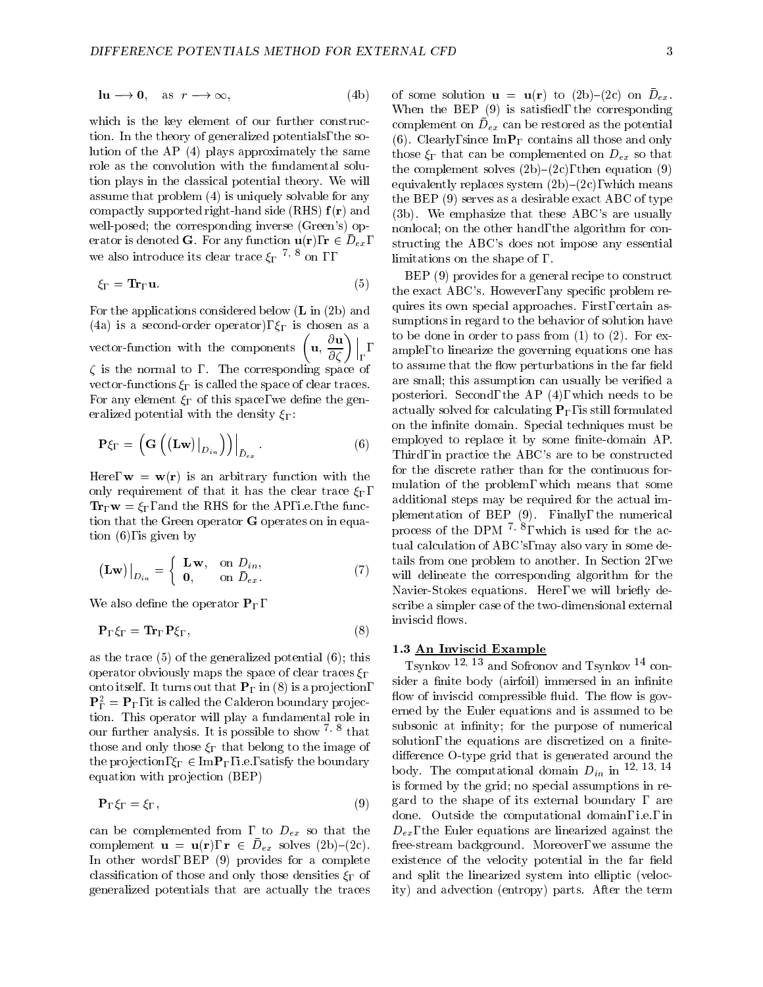$$
\ln \longrightarrow 0, \quad \text{as} \quad r \longrightarrow \infty,
$$
 (4b) of

which is the key element of our further construction. In the theory of generalized potentials, the solution of the AP (4) plays approximately the same role as the convolution with the fundamental solution plays in the classical potential theory. We will assume that problem (4) is uniquely solvable for any compactly supported right-hand side (RHS)  $f(r)$  and well-posed; the corresponding inverse (Green's) operator is denoted  $G$ . For any function  $u(1)$ ,  $1 \in D_{ex}$ , st we also introduce its clear trace  $\xi_{\Gamma}$   $\rightarrow$   $\infty$  on , ,

$$
\xi_{\Gamma} = \mathbf{Tr}_{\Gamma} \mathbf{u}.\tag{5}
$$

For the applications considered below (L in (2b) and (4a) is a second-order operator),  $\xi_{\Gamma}$  is chosen as a vector-function with the components  $\left(\mathbf{u}, \frac{\partial \mathbf{u}}{\partial \zeta}\right)\Big|_{\Gamma}$ ,  $\qquad \text{on the$  $\zeta$  is the normal to,. The corresponding space of vector-functions  $\xi_{\Gamma}$  is called the space of clear traces. For any element  $\xi_{\Gamma}$  of this space, we define the generalized potential with the density  $\xi_{\Gamma}$ :

$$
\mathbf{P}\xi_{\Gamma} = \left(\mathbf{G}\left(\left(\mathbf{L}\mathbf{w}\right)\big|_{D_{in}}\right)\right)\Big|_{\bar{D}_{ex}}.\tag{6}
$$

Here,  $\mathbf{w} = \mathbf{w}(\mathbf{r})$  is an arbitrary function with the only requirement of that it has the clear trace  $\xi_{\Gamma}$ ,  $\mathbf{Tr}_{\Gamma} \mathbf{w} = \xi_{\Gamma}$ , and the RHS for the AP, i.e., the function that the Green operator G operates on in equation (6), is given by

$$
(\mathbf{Lw})\big|_{D_{in}} = \begin{cases} \mathbf{Lw}, & \text{on } D_{in}, \\ \mathbf{0}, & \text{on } \bar{D}_{ex}. \end{cases}
$$
 (7) tail

We also define the operator  $P_{\Gamma}$ ,

$$
\mathbf{P}_{\Gamma}\xi_{\Gamma} = \mathbf{Tr}_{\Gamma}\mathbf{P}\xi_{\Gamma},\tag{8}
$$

as the trace (5) of the generalized potential (6); this operator obviously maps the space of clear traces  $\xi_{\Gamma}$ onto itself. It turns out that  $P_{\Gamma}$  in (8) is a projection,  $\mathbf{F}_{\bar{\Gamma}} = \mathbf{F}_{\Gamma}$ , it is called the Calderon boundary projection. This operator will play a fundamental role in our further analysis. It is possible to show  $\gamma$   $\sim$  that  $\qquad$  , those and only those  $\xi_{\Gamma}$  that belong to the image of the projection,  $\xi_{\Gamma} \in \text{Im} \mathbf{P}_{\Gamma}$ , i.e., satisfy the boundary equation with projection (BEP)

$$
\mathbf{P}_{\Gamma}\xi_{\Gamma} = \xi_{\Gamma},\tag{9}
$$

can be complemented from , to  $D_{ex}$  so that the complement  $\mathbf{u} = \mathbf{u}(1), \mathbf{1} \in D_{ex}$  solves (2b) (2c). The In other words, BEP (9) provides for a complete classification of those and only those densities  $\xi_{\Gamma}$  of generalized potentials that are actually the traces

of some solution  $\mathbf{u} = \mathbf{u}(\mathbf{I})$  to (2b) (2c) on  $D_{ex}$ . When the BEP (9) is satisfied, the corresponding complement on  $\nu_{ex}$  can be restored as the potential (6). Clearly, since  $\text{Im}\mathbf{P}_{\Gamma}$  contains all those and only those  $\xi_{\Gamma}$  that can be complemented on  $D_{ex}$  so that the complement solves  $(2b)-(2c)$ , then equation  $(9)$ equivalently replaces system  $(2b)-(2c)$ , which means the BEP (9) serves as a desirable exact ABC of type (3b). We emphasize that these ABC's are usually nonlocal; on the other hand, the algorithm for constructing the ABC's does not impose any essential limitations on the shape of , .

 $\vert_{\Gamma}$ , am  $\alpha$  ample, to inicarize the governing equations one has BEP (9) provides for a general recipe to construct the exact ABC's. However, any specific problem requires its own special approaches. First, certain assumptions in regard to the behavior of solution have to be done in order to pass from  $(1)$  to  $(2)$ . For exto assume that the flow perturbations in the far field are small; this assumption can usually be verified a posteriori. Second, the AP (4), which needs to be actually solved for calculating  $P_{\Gamma}$ , is still formulated on the infinite domain. Special techniques must be employed to replace it by some finite-domain AP.<br>Third, in practice the ABC's are to be constructed for the discrete rather than for the continuous for mulation of the problem, which means that some additional steps may be required for the actual implementation of BEP (9). Finally, the numerical process of the DPM  $\rightarrow$   $\sim$ , which is used for the actual calculation of ABC's, may also vary in some details from one problem to another. In Section 2, we will delineate the corresponding algorithm for the Navier-Stokes equations. Here, we will briefly describe a simpler case of the two-dimensional external inviscid flows.

#### 1.3 An Inviscid Example Example Example Example Example Example Example Example Example Example Example Exampl

Tsynkov 12; <sup>13</sup> and Sofronov and Tsynkov <sup>14</sup> consider a finite body (airfoil) immersed in an infinite flow of inviscid compressible fluid. The flow is governed by the Euler equations and is assumed to be subsonic at infinity; for the purpose of numerical solution, the equations are discretized on a finitedifference O-type grid that is generated around the body. The computational domain  $D_{in}$  in  $12, 13, 14$ is formed by the grid; no special assumptions in regard to the shape of its external boundary, are done. Outside the computational domain, i.e., in  $D_{ex}$ , the Euler equations are linearized against the free-stream background. Moreover, we assume the existence of the velocity potential in the far field and split the linearized system into elliptic (velocity) and advection (entropy) parts. After the term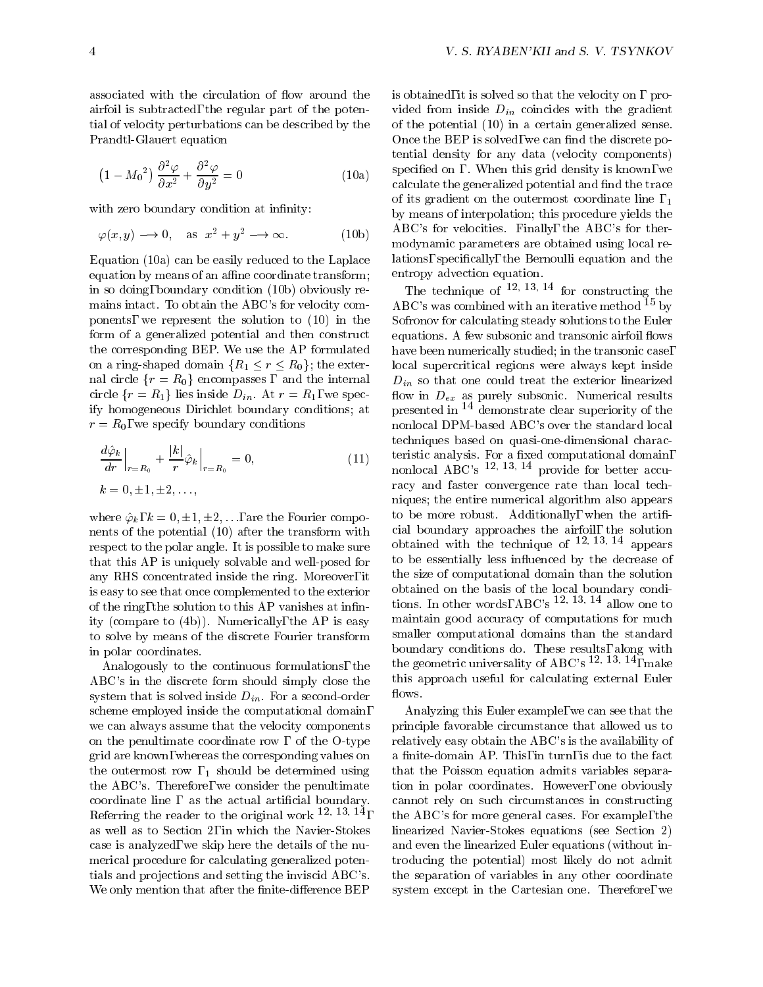associated with the circulation of flow around the airfoil is subtracted, the regular part of the potential of velocity perturbations can be described by the Prandtl-Glauert equation

$$
(1 - M_0^2) \frac{\partial^2 \varphi}{\partial x^2} + \frac{\partial^2 \varphi}{\partial y^2} = 0
$$
 (10a) 
$$
\frac{sp}{ca}
$$

with zero boundary condition at infinity:

by  

$$
\varphi(x, y) \longrightarrow 0
$$
, as  $x^2 + y^2 \longrightarrow \infty$ . (10b)

Equation (10a) can be easily reduced to the Laplace equation by means of an affine coordinate transform; in so doing, boundary condition (10b) obviously remains intact. To obtain the ABC's for velocity components, we represent the solution to (10) in the form of a generalized potential and then construct the corresponding BEP. We use the AP formulated on a ring-shaped domain  ${R_1 \le r \le R_0}$ ; the external circle  ${r = R_0}$  encompasses, and the internal circle  $\{r = R_1\}$  lies inside  $D_{in}$ . At  $r = R_1$ , we specify homogeneous Dirichlet boundary conditions; at  $r = R_0$ , we specify boundary conditions

$$
\frac{d\hat{\varphi}_k}{dr}\Big|_{r=R_0} + \frac{|k|}{r}\hat{\varphi}_k\Big|_{r=R_0} = 0,
$$
\n
$$
k = 0, \pm 1, \pm 2, \dots,
$$
\n
$$
(11)
$$

where  $\hat{\varphi}_k$ ,  $k = 0, \pm 1, \pm 2,...$ , are the Fourier components of the potential (10) after the transform with respect to the polar angle. It is possible to make sure that this AP is uniquely solvable and well-posed for any RHS concentrated inside the ring. Moreover, it is easy to see that once complemented to the exterior of the ring, the solution to this AP vanishes at innity (compare to (4b)). Numerically, the AP is easy to solve by means of the discrete Fourier transform in polar coordinates.

Analogously to the continuous formulations, the ABC's in the discrete form should simply close the system that is solved inside  $D_{in}$ . For a second-order scheme employed inside the computational domain, we can always assume that the velocity components on the penultimate coordinate row, of the  $O$ -type grid are known, whereas the corresponding values on the outermost row,  $_1$  should be determined using the ABC's. Therefore, we consider the penultimate coordinate line, as the actual artificial boundary. Referring the reader to the original work  $12, 13, 14$ , as well as to Section 2, in which the Navier-Stokes case is analyzed, we skip here the details of the numerical procedure for calculating generalized potentials and projections and setting the inviscid ABC's. We only mention that after the finite-difference BEP

is obtained, it is solved so that the velocity on, provided from inside  $D_{in}$  coincides with the gradient of the potential (10) in a certain generalized sense. Once the BEP is solved, we can find the discrete potential density for any data (velocity components) specied on . When this grid density is known, we calculate the generalized potential and find the trace of its gradient on the outermost coordinate line,  $_{1}$ by means of interpolation; this procedure yields the ABC's for velocities. Finally, the ABC's for thermodynamic parameters are obtained using local relations, specically, the Bernoulli equation and the entropy advection equation.

 $\text{t}_{\text{nonlocal ABC's}}$   $\frac{12, 13, 14}{12, 13}$  provide for better accu-The technique of  $12, 13, 14$  for constructing the ABC's was combined with an iterative method  $15$  by Sofronov for calculating steady solutions to the Euler equations. A few subsonic and transonic airfoil flows have been numerically studied; in the transonic case, local supercritical regions were always kept inside  $D_{in}$  so that one could treat the exterior linearized flow in  $D_{ex}$  as purely subsonic. Numerical results presented in <sup>14</sup> demonstrate clear superiority of the nonlocal DPM-based ABC's over the standard local techniques based on quasi-one-dimensional characracy and faster convergence rate than local techniques; the entire numerical algorithm also appears to be more robust. Additionally, when the artificial boundary approaches the airfoil, the solution obtained with the technique of  $12, 13, 14$  appears to be essentially less in
uenced by the decrease of the size of computational domain than the solution obtained on the basis of the local boundary conditions. In other words, ABC's  $12, 13, 14$  allow one to maintain good accuracy of computations for much smaller computational domains than the standard the geometric universality of ABC's  $12, 13, 14, \text{make}$ this approach useful for calculating external Euler flows.

, the ABC's for more general cases. For example, the Analyzing this Euler example, we can see that the principle favorable circumstance that allowed us to relatively easy obtain the ABC's is the availability of a finite-domain AP. This, in turn, is due to the fact that the Poisson equation admits variables separation in polar coordinates. However, one obviously cannot rely on such circumstances in constructing linearized Navier-Stokes equations (see Section 2) and even the linearized Euler equations (without introducing the potential) most likely do not admit the separation of variables in any other coordinate system except in the Cartesian one. Therefore, we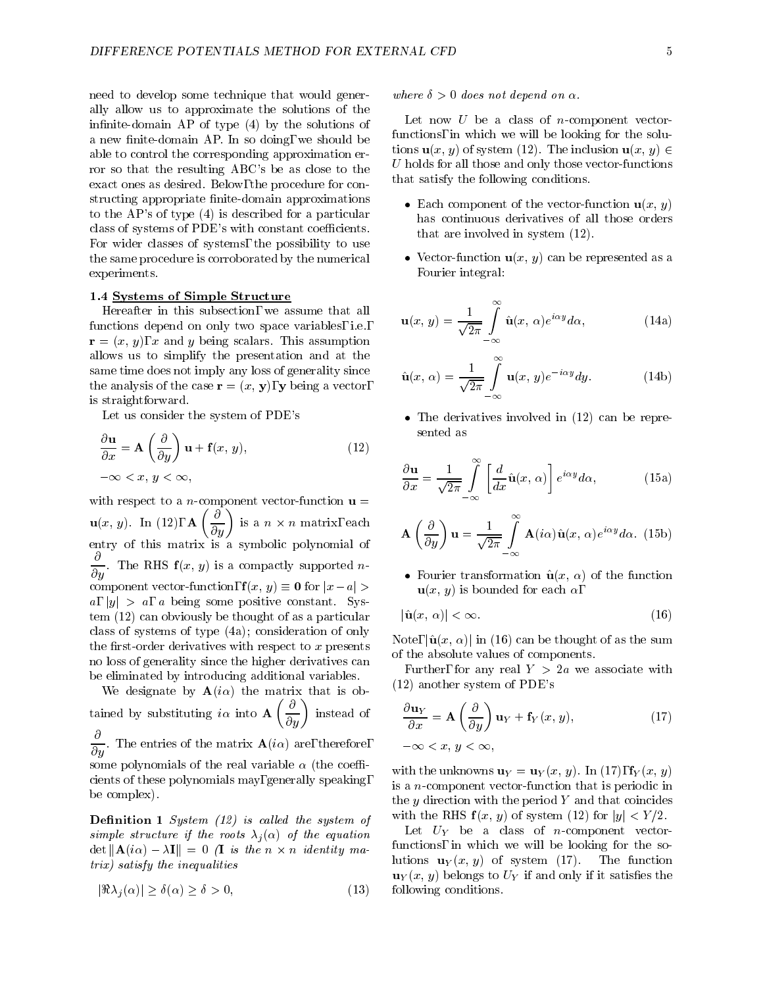need to develop some technique that would generally allow us to approximate the solutions of the infinite-domain AP of type  $(4)$  by the solutions of a new finite-domain AP. In so doing, we should be able to control the corresponding approximation error so that the resulting ABC's be as close to the exact ones as desired. Below, the procedure for constructing appropriate finite-domain approximations to the AP's of type (4) is described for a particular class of systems of PDE's with constant coefficients. For wider classes of systems, the possibility to use the same procedure is corroborated by the numerical experiments.

### 1.4 Systems of Simple Structure

Hereafter in this subsection, we assume that all functions depend on only two space variables, i.e.,  $\mathbf{r} = (x, y), x$  and y being scalars. This assumption allows us to simplify the presentation and at the same time does not imply any loss of generality since the analysis of the case  $\mathbf{r} = (x, y)$ , y being a vector, is straightforward.

Let us consider the system of PDE's

$$
\frac{\partial \mathbf{u}}{\partial x} = \mathbf{A} \left( \frac{\partial}{\partial y} \right) \mathbf{u} + \mathbf{f}(x, y),
$$
\n
$$
-\infty < x, y < \infty,
$$
\n(12)

with respect to a n-component vector-function understanding up =  $\sim$  $u_1, u_2, u_3, u_4, u_5, u_7, u_8, u_9, u_{10}$  $\left(\frac{\partial}{\partial y}\right)$  is a  $n \times n$  matrix, each  $\qquad \qquad \wedge$ entry of this matrix is a symbolic polynomial of  $\mathcal{L}$  $\frac{\partial}{\partial y}$ . The RHS  $f(x, y)$  is a compactly supported *n*component vector-function,  $f(x, y) \equiv 0$  for  $|x-a| >$  $a, |y| > a, a$  being some positive constant. System (12) can obviously be thought of as a particular class of systems of type (4a); consideration of only the first-order derivatives with respect to  $x$  presents no loss of generality since the higher derivatives can be eliminated by introducing additional variables.

We designate by  $A(i\alpha)$  the matrix that is obthe substitution of  $\alpha$  into  $\alpha$  into  $\alpha$  into  $\alpha$  into  $\alpha$  into  $\alpha$  $\left(\frac{\partial}{\partial u}\right)$  instead of :  $\frac{1}{\partial y}$ . The entries of the matrix  $\mathbf{A}(i\alpha)$  are, therefore, some polynomials of the real variable  $\alpha$  (the coefficients of these polynomials may, generally speaking, be complex).

**Definition 1** System  $(12)$  is called the system of simple structure if the roots  $\lambda_i(\alpha)$  of the equation  $\det \|\mathbf{A}(t\alpha)-\lambda\mathbf{I}\| = 0$  is the n  $\wedge$  n identity matrix) satisfy the inequalities

$$
|\Re \lambda_j(\alpha)| \ge \delta(\alpha) \ge \delta > 0,
$$

where  $\delta > 0$  does not depend on  $\alpha$ .

Let now  $U$  be a class of *n*-component vectorfunctions, in which we will be looking for the solutions  $\mathbf{u}(x, y)$  of system (12). The inclusion  $\mathbf{u}(x, y) \in$  $U$  holds for all those and only those vector-functions that satisfy the following conditions.

- $\bullet$  math component of the vector-function  $\mathbf{u}(x, y)$ has continuous derivatives of all those orders that are involved in system (12).
- $\bullet$  vector-function  $\mathbf{u}(x, y)$  can be represented as a Fourier integral:

$$
\mathbf{u}(x, y) = \frac{1}{\sqrt{2\pi}} \int_{-\infty}^{\infty} \hat{\mathbf{u}}(x, \alpha) e^{i\alpha y} d\alpha,
$$
 (14a)

$$
\hat{\mathbf{u}}(x,\,\alpha) = \frac{1}{\sqrt{2\pi}} \int_{-\infty}^{\infty} \mathbf{u}(x,\,y) e^{-i\alpha y} dy. \tag{14b}
$$

 $\bullet$  The derivatives involved in (12) can be represented as

$$
\frac{\partial \mathbf{u}}{\partial x} = \frac{1}{\sqrt{2\pi}} \int_{-\infty}^{\infty} \left[ \frac{d}{dx} \hat{\mathbf{u}}(x, \alpha) \right] e^{i\alpha y} d\alpha, \tag{15a}
$$

$$
\mathbf{A}\left(\frac{\partial}{\partial y}\right)\mathbf{u} = \frac{1}{\sqrt{2\pi}}\int_{-\infty}^{\infty} \mathbf{A}(i\alpha)\hat{\mathbf{u}}(x,\,\alpha)e^{i\alpha y}d\alpha. \tag{15b}
$$

 $\bullet$  rounce transformation  $\mathbf{u}(x, \alpha)$  or the function  $\mathbf{u}(x, y)$  is bounded for each  $\alpha$ ,

$$
|\hat{\mathbf{u}}(x,\,\alpha)| < \infty. \tag{16}
$$

Note,  $|\hat{\mathbf{u}}(x, \alpha)|$  in (16) can be thought of as the sum of the absolute values of components.

Further, for any real  $Y > 2a$  we associate with (12) another system of PDE's

$$
\frac{\partial \mathbf{u}_Y}{\partial x} = \mathbf{A} \left( \frac{\partial}{\partial y} \right) \mathbf{u}_Y + \mathbf{f}_Y(x, y), \tag{17}
$$
\n
$$
-\infty < x, \ y < \infty,
$$

with the unknowns  $\mathbf{u}_Y = \mathbf{u}_Y(x, y)$ . In (17),  $\mathbf{f}_Y(x, y)$ is a n-component vector-function that is periodic in the  $y$  direction with the period  $Y$  and that coincides with the RHS  $f(x, y)$  of system (12) for  $|y| < Y/2$ .

Let  $U_Y$  be a class of *n*-component vectorfunctions, in which we will be looking for the solutions  $\mathbf{u}_Y(x, y)$  of system (17). The function  $\mathbf{u}_Y(x, y)$  belongs to  $U_Y$  if and only if it satisfies the following conditions.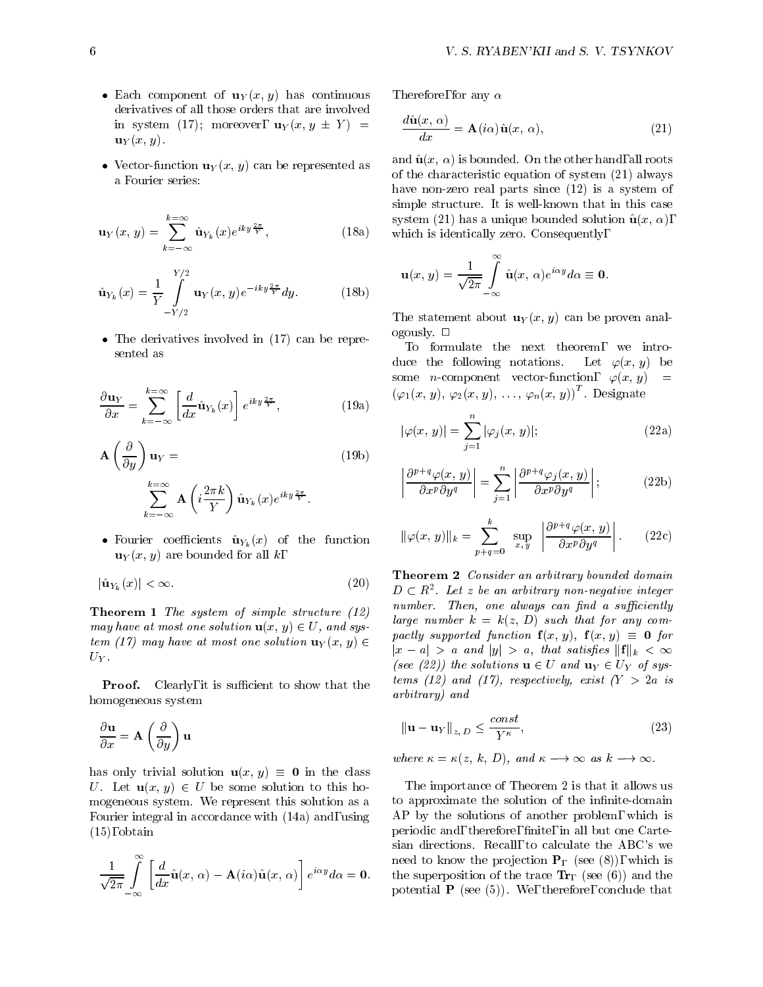- $\bullet$  Each component of  $\mathbf{u}_Y(x, y)$  has continuous **11**. derivatives of all those orders that are involved in system (17); moreover,  $\mathbf{u}_Y(x, y \pm Y)$  =  $\mathbf{u}_Y(x, y)$ .
- $\bullet$  vector-function  $\mathbf{u}_Y(x, y)$  can be represented as  $\bullet$ , a Fourier series:

$$
\mathbf{u}_{Y}(x, y) = \sum_{k=-\infty}^{k=\infty} \hat{\mathbf{u}}_{Y_k}(x) e^{iky \frac{2\pi}{Y}}, \qquad (18a)
$$

$$
\hat{\mathbf{u}}_{Y_k}(x) = \frac{1}{Y} \int_{-Y/2}^{Y/2} \mathbf{u}_Y(x, y) e^{-iky \frac{2\pi}{Y}} dy.
$$
 (18b)

 $\bullet$  The derivatives involved in (17) can be repre-

$$
\frac{\partial \mathbf{u}_Y}{\partial x} = \sum_{k=-\infty}^{k=\infty} \left[ \frac{d}{dx} \hat{\mathbf{u}}_{Y_k}(x) \right] e^{iky \frac{2\pi}{Y}}, \tag{19a}
$$

$$
\mathbf{A} \left( \frac{\partial}{\partial y} \right) \mathbf{u}_Y =
$$
\n
$$
\sum_{k=-\infty}^{k=\infty} \mathbf{A} \left( i \frac{2\pi k}{Y} \right) \hat{\mathbf{u}}_{Y_k}(x) e^{iky \frac{2\pi}{Y}}.
$$
\n(19b)

 $\bullet$  routier coefficients  $\mathbf{u}^{\gamma}_k (x)$  of the function  $\mathbf{u}_Y(x, y)$  are bounded for all k,

$$
|\hat{\mathbf{u}}_{Y_k}(x)| < \infty. \tag{20} \tag{21} \tag{22}
$$

Theorem 1 The system of simple structure (12) may have at most one solution  $\mathbf{u}(x, y) \in U$ , and system (17) may have at most one solution  $\mathbf{u}_Y(x, y) \in$  $U_Y$ .<br>**Proof.** Clearly, it is sufficient to show that the

homogeneous system

$$
\frac{\partial \mathbf{u}}{\partial x} = \mathbf{A} \left( \frac{\partial}{\partial y} \right) \mathbf{u}
$$

has only trivial solution  $\mathbf{u}(x, y) \equiv \mathbf{0}$  in the class U. Let  $\mathbf{u}(x, y) \in U$  be some solution to this homogeneous system. We represent this solution as a Fourier integral in accordance with (14a) and, using  $(15)$ , obtain

$$
\frac{1}{\sqrt{2\pi}}\int_{-\infty}^{\infty}\left[\frac{d}{dx}\hat{\mathbf{u}}(x,\,\alpha)-\mathbf{A}(i\alpha)\hat{\mathbf{u}}(x,\,\alpha)\right]e^{i\alpha y}d\alpha=\mathbf{0}
$$

Therefore, for any  $\alpha$ 

$$
\frac{d\hat{\mathbf{u}}(x,\,\alpha)}{dx} = \mathbf{A}(i\alpha)\hat{\mathbf{u}}(x,\,\alpha),\tag{21}
$$

 $\mathcal{L} = \mathcal{L}$  which is identically zero. Consequently, and  $\hat{\mathbf{u}}(x, \alpha)$  is bounded. On the other hand, all roots of the characteristic equation of system (21) always have non-zero real parts since (12) is a system of simple structure. It is well-known that in this case system (21) has a unique bounded solution  $\hat{\mathbf{u}}(x, \alpha)$ ,

$$
\mathbf{u}(x, y) = \frac{1}{\sqrt{2\pi}} \int_{-\infty}^{\infty} \hat{\mathbf{u}}(x, \alpha) e^{i\alpha y} d\alpha \equiv \mathbf{0}.
$$

The statement about  $\mathbf{u}_Y(x, y)$  can be proven analogously. <sup>2</sup>

To formulate the next theorem, we introduce the following notations. Let  $\varphi(x, y)$  be some *n*-component vector-function,  $\varphi(x, y)$  $(\varphi_1(x, y), \varphi_2(x, y), \ldots, \varphi_n(x, y))$ . Designate

$$
|\varphi(x, y)| = \sum_{j=1}^{n} |\varphi_j(x, y)|;
$$
 (22a)

$$
\left| \frac{\partial^{p+q} \varphi(x, y)}{\partial x^p \partial y^q} \right| = \sum_{j=1}^n \left| \frac{\partial^{p+q} \varphi_j(x, y)}{\partial x^p \partial y^q} \right|;
$$
 (22b)

$$
\|\varphi(x,\,y)\|_{k} = \sum_{p+q=0}^{k} \sup_{x,\,y} \left| \frac{\partial^{p+q} \varphi(x,\,y)}{\partial x^{p} \partial y^{q}} \right|.
$$
 (22c)

Theorem 2 Consider an arbitrary bounded domain  $D \subset R$  . Let z be an arbitrary non-negative integer number. Then, one always can find a sufficiently large number  $k = k(z, D)$  such that for any compactly supported function  $f(x, y)$ ,  $f(x, y) \equiv 0$  for  $|x - a| > a$  and  $|y| > a$ , that satisfies  $||\mathbf{f}||_k < \infty$ (see (22)) the solutions  $\mathbf{u} \in U$  and  $\mathbf{u}_Y \in U_Y$  of systems (12) and (17), respectively, exist  $(Y > 2a$  is arbitrary) and

$$
\|\mathbf{u} - \mathbf{u}_Y\|_{z,D} \le \frac{const}{Y^{\kappa}},\tag{23}
$$

where 
$$
\kappa = \kappa(z, k, D)
$$
, and  $\kappa \longrightarrow \infty$  as  $k \longrightarrow \infty$ .

 $i\rightarrow a\alpha = 0$ . the superposition of the trace  ${\bf Tr}_{\Gamma}$  (see (6)) and the The importance of Theorem 2 is that it allows us to approximate the solution of the infinite-domain AP by the solutions of another problem, which is periodic and, therefore, finite, in all but one Cartesian directions. Recall, to calculate the ABC's we need to know the projection  $P_{\Gamma}$  (see (8)), which is potential  $P$  (see (5)). We, therefore, conclude that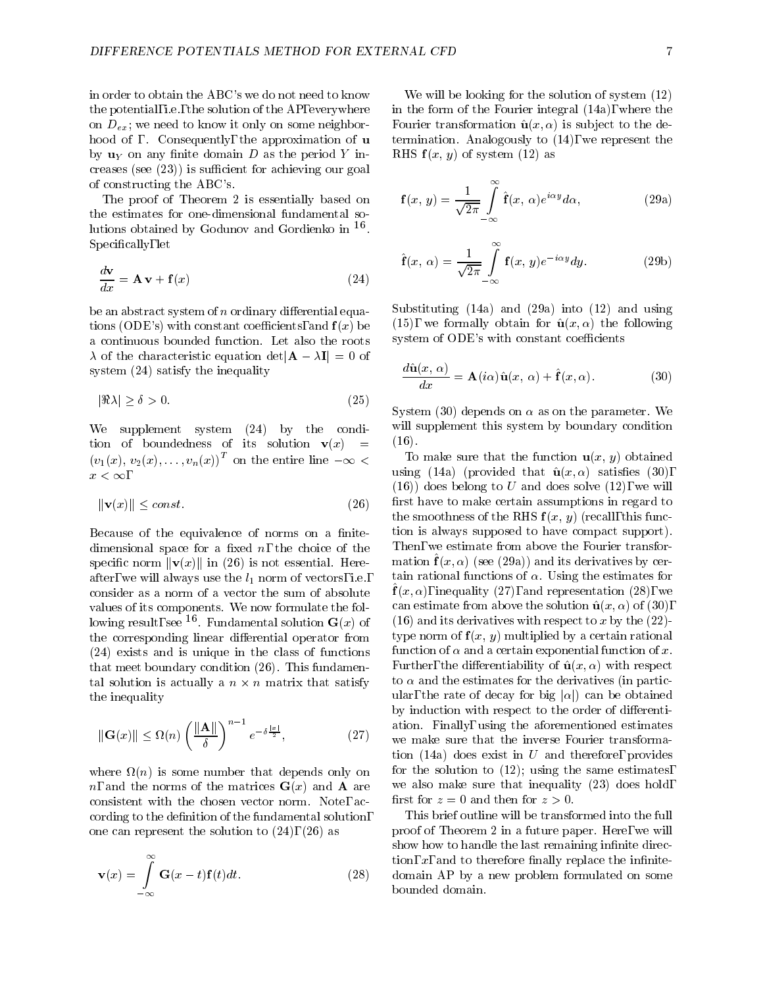in order to obtain the ABC's we do not need to know the potential, i.e., the solution of the AP, everywhere on  $D_{ex}$ ; we need to know it only on some neighborhood of . Consequently, the approximation of u by  $\mathbf{u}_Y$  on any finite domain D as the period Y increases (see  $(23)$ ) is sufficient for achieving our goal of constructing the ABC's.

The proof of Theorem 2 is essentially based on the estimates for one-dimensional fundamental solutions obtained by Godunov and Gordienko in <sup>16</sup> . Specifically, let

$$
\frac{d\mathbf{v}}{dx} = \mathbf{A}\,\mathbf{v} + \mathbf{f}(x) \tag{24}
$$

be an abstract system of  $n$  ordinary differential equations (ODE's) with constant coefficients, and  $f(x)$  be a continuous bounded function. Let also the roots  $\lambda$  of the characteristic equation det  $|\mathbf{A} - \lambda \mathbf{I}| = 0$  of system (24) satisfy the inequality

$$
|\Re \lambda| \ge \delta > 0. \tag{25}
$$

We supplement system (24) by the condition of boundedness of its solution  $\mathbf{v}(x)$  $\equiv$  $(v_1(x), v_2(x), \ldots, v_n(x))^T$  on the entire line  $-\infty$  $x < \infty$ ,

$$
\|\mathbf{v}(x)\| \le \text{const.} \tag{10}
$$

Because of the equivalence of norms on a finitedimensional space for a fixed  $n$ , the choice of the specific norm  $\|\mathbf{v}(x)\|$  in (26) is not essential. Hereafter, we will always use the  $l_1$  norm of vectors, i.e., consider as a norm of a vector the sum of absolute values of its components. We now formulate the following result, see  $\overline{\phantom{a}}$ . Fundamental solution  $\overline{G(x)}$  of  $\overline{\phantom{a}}$  (19) a the corresponding linear differential operator from  $(24)$  exists and is unique in the class of functions that meet boundary condition (26). This fundamental solution is actually a  $n \times n$  matrix that satisfy  $\sim$   $\infty$   $\alpha$ the inequality

$$
\|\mathbf{G}(x)\| \le \Omega(n) \left(\frac{\|\mathbf{A}\|}{\delta}\right)^{n-1} e^{-\delta \frac{|x|}{2}},\tag{27}
$$

where  $\mathbf{u}$  is some number that depends on large that depends on large that depends on  $\mathbf{u}$ n, and the norms of the matrices  $\mathbf{G}(x)$  and **A** are consistent with the chosen vector norm. Note, according to the definition of the fundamental solution, one can represent the solution to (24), (26) as

$$
\mathbf{v}(x) = \int_{-\infty}^{\infty} \mathbf{G}(x-t)\mathbf{f}(t)dt.
$$
 (28) to

We will be looking for the solution of system (12) in the form of the Fourier integral (14a), where the Fourier transformation  $\hat{\mathbf{u}}(x, \alpha)$  is subject to the determination. Analogously to (14), we represent the RHS  $f(x, y)$  of system (12) as

$$
\mathbf{f}(x, y) = \frac{1}{\sqrt{2\pi}} \int_{-\infty}^{\infty} \hat{\mathbf{f}}(x, \alpha) e^{i\alpha y} d\alpha,
$$
 (29a)

$$
\hat{\mathbf{f}}(x,\,\alpha) = \frac{1}{\sqrt{2\pi}} \int_{-\infty}^{\infty} \mathbf{f}(x,\,y) e^{-i\alpha y} dy. \tag{29b}
$$

Substituting (14a) and (29a) into (12) and using (15), we formally obtain for  $\hat{\mathbf{u}}(x, \alpha)$  the following system of ODE's with constant coefficients

$$
\frac{d\hat{\mathbf{u}}(x,\,\alpha)}{dx} = \mathbf{A}(i\alpha)\hat{\mathbf{u}}(x,\,\alpha) + \hat{\mathbf{f}}(x,\alpha). \tag{30}
$$

System (30) depends on  $\alpha$  as on the parameter. We will supplement this system by boundary condition  $(16)$ .  $\lambda = -$ ,  $\lambda$ .

 $\sim$   $\sim$   $\sim$  we make sure that the inverse Fourier transforma-To make sure that the function  $\mathbf{u}(x, y)$  obtained using (14a) (provided that  $\hat{\mathbf{u}}(x,\alpha)$  satisfies (30),  $(16)$ ) does belong to U and does solve  $(12)$ , we will first have to make certain assumptions in regard to the smoothness of the RHS  $f(x, y)$  (recall, this function is always supposed to have compact support). Then, we estimate from above the Fourier transfor- $\max$  (b)  $f(x, \alpha)$  (see (29a)) and its derivatives by certain rational functions of  $\alpha$ . Using the estimates for  $f(x, \alpha)$ , inequality (27), and representation (28), we can estimate from above the solution  $\hat{u}(x, \alpha)$  of (30), (16) and its derivatives with respect to x by the  $(22)$ type norm of  $f(x, y)$  multiplied by a certain rational function of  $\alpha$  and a certain exponential function of x. Further, the differentiability of  $\hat{u}(x, \alpha)$  with respect to  $\alpha$  and the estimates for the derivatives (in particular, the rate of decay for big  $|\alpha|$  can be obtained by induction with respect to the order of differentiation. Finally, using the aforementioned estimates tion (14a) does exist in  $U$  and therefore, provides for the solution to  $(12)$ ; using the same estimates, we also make sure that inequality (23) does hold, first for  $z = 0$  and then for  $z > 0$ .

> This brief outline will be transformed into the full proof of Theorem 2 in a future paper. Here, we will show how to handle the last remaining infinite direction,  $x$ , and to therefore finally replace the infinitedomain AP by a new problem formulated on some bounded domain.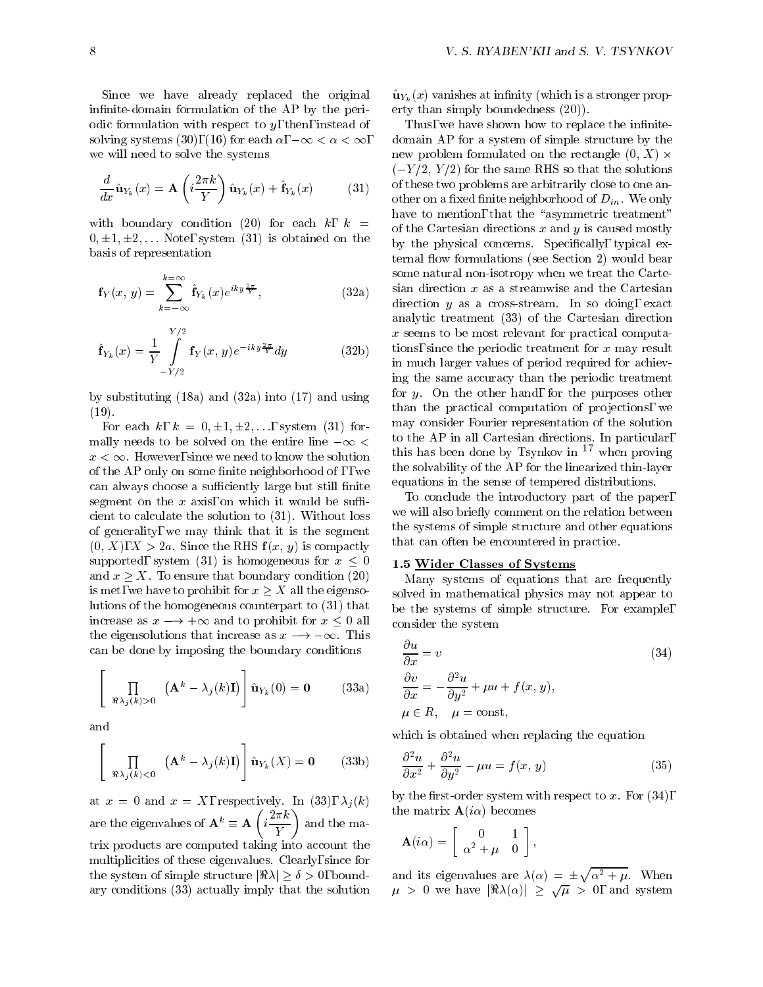Since we have already replaced the original infinite-domain formulation of the AP by the periodic formulation with respect to  $y$ , then, instead of solving systems (30), (16) for each  $\alpha$ ,  $-\infty < \alpha < \infty$ , we will need to solve the systems

$$
\frac{d}{dx}\hat{\mathbf{u}}_{Y_k}(x) = \mathbf{A}\left(i\frac{2\pi k}{Y}\right)\hat{\mathbf{u}}_{Y_k}(x) + \hat{\mathbf{f}}_{Y_k}(x) \tag{31}
$$

with boundary condition (20) for each  $k, k =$  $0, \pm 1, \pm 2, \ldots$  Note, system (31) is obtained on the basis of representation

$$
\mathbf{f}_{Y}(x, y) = \sum_{k=-\infty}^{k=\infty} \hat{\mathbf{f}}_{Y_k}(x) e^{iky \frac{2\pi}{Y}},
$$
\n(32a)\n
$$
\text{diam} \quad \text{(32a)}
$$

$$
\hat{\mathbf{f}}_{Y_k}(x) = \frac{1}{Y} \int_{-Y/2}^{Y/2} \mathbf{f}_Y(x, y) e^{-iky \frac{2\pi}{Y}} dy
$$
\n(32b)\n
$$
\text{in} \quad \text{in} \quad \text{in} \quad \text{in}
$$

by substituting (18a) and (32a) into (17) and using  $(19)$ .

For each k,  $k = 0, \pm 1, \pm 2, \ldots$ , system (31) formally needs to be solved on the entire line  $-\infty$  <  $x < \infty$ . However, since we need to know the solution of the  $AP$  only on some finite neighborhood of,, we can always choose a sufficiently large but still finite segment on the  $x$  axis, on which it would be sufficient to calculate the solution to (31). Without loss of generality, we may think that it is the segment  $(0, X)$ ,  $X > 2a$ . Since the RHS  $f(x, y)$  is compactly supported, system (31) is homogeneous for  $x < 0$ and  $x \geq X$ . To ensure that boundary condition (20) is met, we have to prohibit for  $x > X$  all the eigensolutions of the homogeneous counterpart to (31) that increase as  $x \rightarrow +\infty$  and to prohibit for  $x \leq 0$  all the eigensolutions that increase as  $x \rightarrow -\infty$ . This can be done by imposing the boundary conditions

$$
\left[\prod_{\Re\lambda_j(k)>0} \left(\mathbf{A}^k - \lambda_j(k)\mathbf{I}\right)\right] \hat{\mathbf{u}}_{Y_k}(0) = \mathbf{0} \quad (33a)
$$

and

$$
\left[\prod_{\Re\lambda_j(k)<0} (\mathbf{A}^k - \lambda_j(k)\mathbf{I})\right] \hat{\mathbf{u}}_{Y_k}(X) = \mathbf{0} \quad (33b)
$$

at  $x = 0$  and  $x = X$ , respectively. In (33),  $\lambda_j(k)$ are the eigenvalues of  $A^* = A + i \frac{1}{1 + i}$  and t  $i\frac{2\pi k}{Y}$  and the matrix products are computed taking into account the multiplicities of these eigenvalues. Clearly, since for multiplicities of these eigenvalues. Clearly, since for<br>the system of simple structure  $|\Re \lambda| > \delta > 0$ , boundary conditions (33) actually imply that the solution

 $\hat{\mathbf{u}}_{Y_k}(x)$  vanishes at infinity (which is a stronger property than simply boundedness (20)).

 $f_{k}$ <sup>{2}</sup> (31) (31) (31) other on a fixed finite neighborhood of  $D_{in}$ . We only Thus, we have shown how to replace the infinitedomain AP for a system of simple structure by the new problem formulated on the rectangle  $(0, X) \times$  $(-Y/2, Y/2)$  for the same RHS so that the solutions of these two problems are arbitrarily close to one anhave to mention, that the "asymmetric treatment" of the Cartesian directions  $x$  and  $y$  is caused mostly by the physical concerns. Specifically, typical external flow formulations (see Section 2) would bear some natural non-isotropy when we treat the Cartesian direction  $x$  as a streamwise and the Cartesian direction  $y$  as a cross-stream. In so doing, exact analytic treatment (33) of the Cartesian direction <sup>x</sup> seems to be most relevant for practical computations, since the periodic treatment for  $x$  may result in much larger values of period required for achieving the same accuracy than the periodic treatment for  $y$ . On the other hand, for the purposes other than the practical computation of projections, we may consider Fourier representation of the solution to the AP in all Cartesian directions. In particular, this has been done by Tsynkov in  $17$  when proving the solvability of the AP for the linearized thin-layer equations in the sense of tempered distributions.

> To conclude the introductory part of the paper, we will also briefly comment on the relation between the systems of simple structure and other equations that can often be encountered in practice.

### 1.5 Wider Classes of Systems

Many systems of equations that are frequently solved in mathematical physics may not appear to be the systems of simple structure. For example, consider the system

$$
\frac{\partial u}{\partial x} = v
$$
\n
$$
\frac{\partial v}{\partial x} = -\frac{\partial^2 u}{\partial y^2} + \mu u + f(x, y),
$$
\n
$$
\mu \in R, \quad \mu = \text{const},
$$
\n(34)

which is obtained when replacing the equation

$$
\frac{\partial^2 u}{\partial x^2} + \frac{\partial^2 u}{\partial y^2} - \mu u = f(x, y)
$$
 (35)

by the first-order system with respect to  $x$ . For  $(34)$ , the matrix  $\mathbf{A}(i\alpha)$  becomes

$$
\mathbf{A}(i\alpha) = \left[ \begin{array}{cc} 0 & 1 \\ \alpha^2 + \mu & 0 \end{array} \right],
$$

and its eigenvalues are  $\lambda(\alpha) = \pm \sqrt{\alpha^2 + \mu}$ . When  $\mu > 0$  we have  $|\Re(\lambda(\alpha))| > \sqrt{\mu} > 0$ , and system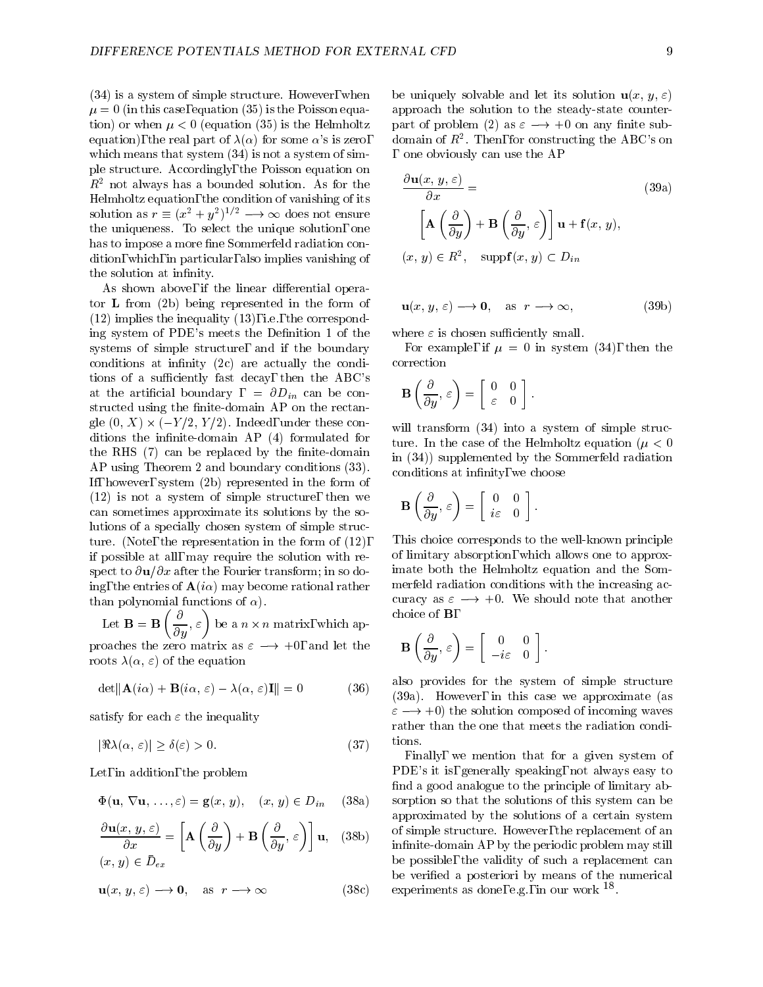(34) is a system of simple structure. However, when  $\mu = 0$  (in this case, equation (35) is the Poisson equation) or when  $\mu < 0$  (equation (35) is the Helmholtz equation), the real part of  $\lambda(\alpha)$  for some  $\alpha$ 's is zero, which means that system  $(34)$  is not a system of simple structure. Accordingly, the Poisson equation on  $R<sup>2</sup>$  not always has a bounded solution. As for the Helmholtz equation, the condition of vanishing of its Helmholtz equation, the condition of vanishing of its<br>solution as  $r \equiv (x^2 + y^2)^{1/2} \longrightarrow \infty$  does not ensure the uniqueness. To select the unique solution, one has to impose a more fine Sommerfeld radiation condition, which, in particular, also implies vanishing of the solution at infinity.

As shown above, if the linear differential operator L from (2b) being represented in the form of  $(12)$  implies the inequality  $(13)$ , i.e., the corresponding system of PDE's meets the Definition 1 of the systems of simple structure, and if the boundary conditions at infinity  $(2c)$  are actually the conditions of a sufficiently fast decay, then the ABC's at the artificial boundary,  $= \partial D_{in}$  can be constructed using the finite-domain  $AP$  on the rectangive  $(0, 2) \wedge (-1/2, 1/2)$ . Indeed, under these conditions the infinite-domain  $AP(4)$  formulated for the RHS  $(7)$  can be replaced by the finite-domain AP using Theorem 2 and boundary conditions (33). If, however, system (2b) represented in the form of (12) is not a system of simple structure, then we can sometimes approximate its solutions by the solutions of a specially chosen system of simple structure. (Note, the representation in the form of (12), if possible at all, may require the solution with respect to  $\partial {\bf u}/\partial x$  after the Fourier transform; in so doing, the entries of  $\mathbf{A}(i\alpha)$  may become rational rather than polynomial functions of  $\alpha$ ).

= =  $\sim$   $\sim$   $\sim$   $\sim$   $\sim$   $\sim$  $\left(\frac{\partial}{\partial y}, \varepsilon\right)$  be a  $n \times n$  matrix, which approaches the zero matrix as  $\varepsilon = \tau +0$ , and let the  $\tau$ roots  $\lambda(\alpha, \varepsilon)$  of the equation

$$
\det \|\mathbf{A}(i\alpha) + \mathbf{B}(i\alpha, \varepsilon) - \lambda(\alpha, \varepsilon)\mathbf{I}\| = 0 \tag{36}
$$

satisfy for each  $\varepsilon$  the inequality

$$
|\Re \lambda(\alpha, \varepsilon)| \ge \delta(\varepsilon) > 0. \tag{37}
$$

Let, in addition, the problem

$$
\Phi(\mathbf{u}, \nabla \mathbf{u}, \dots, \varepsilon) = \mathbf{g}(x, y), \quad (x, y) \in D_{in} \quad (38a) \quad \text{so}
$$

$$
\frac{\partial \mathbf{u}(x, y, \varepsilon)}{\partial x} = \left[ \mathbf{A} \left( \frac{\partial}{\partial y} \right) + \mathbf{B} \left( \frac{\partial}{\partial y}, \varepsilon \right) \right] \mathbf{u}, \quad (38b)
$$
  
(x, y)  $\in \bar{D}_{ex}$ 

be  
\n
$$
\mathbf{u}(x, y, \varepsilon) \longrightarrow \mathbf{0}, \text{ as } r \longrightarrow \infty
$$
\nbe

be uniquely solvable and let its solution  $\mathbf{u}(x, y, \varepsilon)$ approach the solution to the steady-state counterpart of problem (2) as  $\varepsilon \longrightarrow +0$  on any finite subdomain of  $R^2$ . Then, for constructing the ABC's on one obviously can use the AP

$$
\frac{\partial \mathbf{u}(x, y, \varepsilon)}{\partial x} =
$$
\n
$$
\left[\mathbf{A}\left(\frac{\partial}{\partial y}\right) + \mathbf{B}\left(\frac{\partial}{\partial y}, \varepsilon\right)\right] \mathbf{u} + \mathbf{f}(x, y),
$$
\n
$$
(x, y) \in R^2, \quad \text{supp}\mathbf{f}(x, y) \subset D_{in}
$$
\n(39a)

$$
\mathbf{u}(x, y, \varepsilon) \longrightarrow \mathbf{0}, \quad \text{as } r \longrightarrow \infty,
$$
 (39b)

where  $\varepsilon$  is chosen sufficiently small.

For example, if  $\mu = 0$  in system (34), then the correction

$$
\mathbf{B}\left(\frac{\partial}{\partial y},\,\varepsilon\right)=\left[\begin{array}{cc} 0 & 0 \\ \varepsilon & 0 \end{array}\right].
$$

will transform  $(34)$  into a system of simple structure. In the case of the Helmholtz equation ( $\mu < 0$ in (34)) supplemented by the Sommerfeld radiation conditions at infinity, we choose

$$
\mathbf{B}\left(\frac{\partial}{\partial y},\,\varepsilon\right) = \left[\begin{array}{cc} 0 & 0 \\ i\varepsilon & 0 \end{array}\right].
$$

This choice corresponds to the well-known principle of limitary absorption, which allows one to approximate both the Helmholtz equation and the Sommerfeld radiation conditions with the increasing accuracy as  $\varepsilon \longrightarrow +0$ . We should note that another choice of B,

$$
\mathbf{B}\left(\frac{\partial}{\partial y},\,\varepsilon\right)=\left[\begin{array}{cc} 0 & 0 \\ -i\varepsilon & 0 \end{array}\right].
$$

also provides for the system of simple structure (39a). However, in this case we approximate (as  $\varepsilon \longrightarrow +0$  the solution composed of incoming waves rather than the one that meets the radiation conditions.

 $\mathcal{S}$  infinite-domain AP by the periodic problem may still Finally, we mention that for a given system of PDE's it is, generally speaking, not always easy to find a good analogue to the principle of limitary absorption so that the solutions of this system can be approximated by the solutions of a certain system of simple structure. However, the replacement of an be possible, the validity of such a replacement can be veried a posteriori by means of the numerical experiments as done, e.g., in our work  $\overline{\phantom{a}}$ .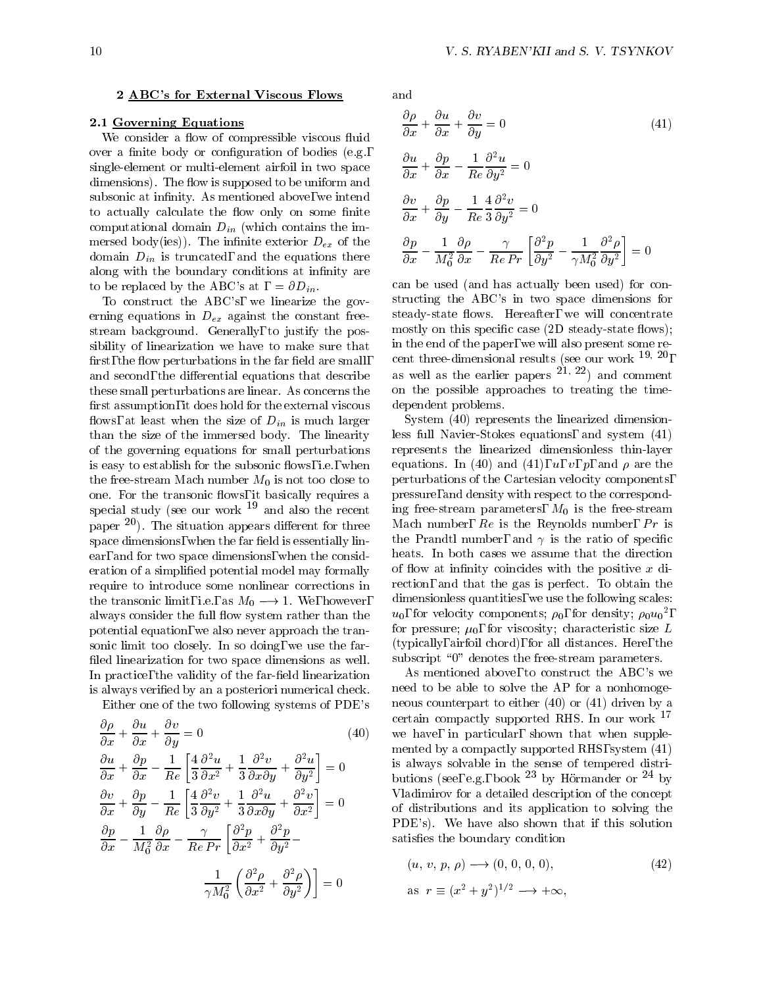#### 2 ABC's for External Viscous Flows

### 2.1 Governing Equations

We consider a flow of compressible viscous fluid over a finite body or configuration of bodies  $(e.g.,$ single-element or multi-element airfoil in two space dimensions). The flow is supposed to be uniform and subsonic at infinity. As mentioned above, we intend to actually calculate the flow only on some finite computational domain  $D_{in}$  (which contains the immersed body(ies)). The infinite exterior  $D_{ex}$  of the domain  $D_{in}$  is truncated, and the equations there along with the boundary conditions at infinity are to be replaced by the ABC's at  $= \partial D_{in}$ .

To construct the ABC's, we linearize the gov erning equations in  $D_{ex}$  against the constant freestream background. Generally, to justify the possibility of linearization we have to make sure that first, the flow perturbations in the far field are small, and second, the differential equations that describe these small perturbations are linear. As concerns the first assumption, it does hold for the external viscous flows, at least when the size of  $D_{in}$  is much larger than the size of the immersed body. The linearity of the governing equations for small perturbations is easy to establish for the subsonic flows, i.e., when the free-stream Mach number  $M_0$  is not too close to one. For the transonic flows, it basically requires a special study (see our work  $19$  and also the recent paper  $^{20}$ ). The situation appears different for three space dimensions, when the far field is essentially linear, and for two space dimensions, when the consideration of a simplied potential model may formally require to introduce some nonlinear corrections in the transonic limit, i.e., as  $M_0 \longrightarrow 1$ . We, however, always consider the full flow system rather than the potential equation, we also never approach the transonic limit too closely. In so doing, we use the far filed linearization for two space dimensions as well. In practice, the validity of the far-field linearization is always veried by an a posteriori numerical check.

Either one of the two following systems of PDE's

$$
\frac{\partial \rho}{\partial x} + \frac{\partial u}{\partial x} + \frac{\partial v}{\partial y} = 0
$$
\n(40) we  
\n
$$
\frac{\partial u}{\partial x} + \frac{\partial p}{\partial x} - \frac{1}{Re} \left[ \frac{4}{3} \frac{\partial^2 u}{\partial x^2} + \frac{1}{3} \frac{\partial^2 v}{\partial x \partial y} + \frac{\partial^2 u}{\partial y^2} \right] = 0
$$
\nis  
\n
$$
\frac{\partial v}{\partial x} + \frac{\partial p}{\partial y} - \frac{1}{Re} \left[ \frac{4}{3} \frac{\partial^2 v}{\partial y^2} + \frac{1}{3} \frac{\partial^2 u}{\partial x \partial y} + \frac{\partial^2 v}{\partial x^2} \right] = 0
$$
\nof  
\n
$$
\frac{\partial p}{\partial x} - \frac{1}{M_0^2} \frac{\partial \rho}{\partial x} - \frac{\gamma}{Re Pr} \left[ \frac{\partial^2 p}{\partial x^2} + \frac{\partial^2 p}{\partial y^2} - \frac{P}{\partial x \partial y} \right]
$$
\n
$$
\frac{1}{\gamma M_0^2} \left( \frac{\partial^2 \rho}{\partial x^2} + \frac{\partial^2 \rho}{\partial y^2} \right) = 0
$$

and

$$
\frac{\partial \rho}{\partial x} + \frac{\partial u}{\partial x} + \frac{\partial v}{\partial y} = 0
$$
\n
$$
\frac{\partial u}{\partial x} + \frac{\partial p}{\partial x} - \frac{1}{Re} \frac{\partial^2 u}{\partial y^2} = 0
$$
\n(41)

$$
\frac{\partial v}{\partial x} + \frac{\partial p}{\partial y} - \frac{1}{Re} \frac{4}{3} \frac{\partial^2 v}{\partial y^2} = 0
$$
  

$$
\frac{\partial p}{\partial x} - \frac{1}{M_0^2} \frac{\partial \rho}{\partial x} - \frac{\gamma}{Re Pr} \left[ \frac{\partial^2 p}{\partial y^2} - \frac{1}{\gamma M_0^2} \frac{\partial^2 \rho}{\partial y^2} \right] = 0
$$

 $\sim$   $\sim$   $\sim$   $\sim$   $\sim$ 

can be used (and has actually been used) for constructing the ABC's in two space dimensions for steady-state flows. Hereafter, we will concentrate mostly on this specific case  $(2D$  steady-state flows); in the end of the paper, we will also present some recent three-dimensional results (see our work  $^{19, 20}$ . , as well as the earlier papers  $21, 22$ ) and comment on the possible approaches to treating the timedependent problems.

System (40) represents the linearized dimensionless full Navier-Stokes equations, and system (41) represents the linearized dimensionless thin-layer equations. In (40) and (41), u, v, p, and  $\rho$  are the perturbations of the Cartesian velocity components, pressure, and density with respect to the corresponding free-stream parameters,  $M_0$  is the free-stream Mach number,  $Re$  is the Reynolds number,  $Pr$  is the Prandtl number, and  $\gamma$  is the ratio of specific heats. In both cases we assume that the direction of flow at infinity coincides with the positive  $x$  direction, and that the gas is perfect. To obtain the dimensionless quantities, we use the following scales:  $u_0$ , for velocity components;  $\rho_0$ , for density;  $\rho_0u_0^-$ , , for pressure;  $\mu_0$ , for viscosity; characteristic size L (typically, airfoil chord), for all distances. Here, the subscript "0" denotes the free-stream parameters.

As mentioned above, to construct the ABC's we need to be able to solve the AP for a nonhomogeneous counterpart to either (40) or (41) driven by a certain compactly supported RHS. In our work <sup>17</sup> we have, in particular, shown that when supplemented by a compactly supported RHS, system (41) is always solvable in the sense of tempered distributions (see, e.g., book <sup>--</sup> by Hormander or <sup>--</sup> by Vladimirov for a detailed description of the concept of distributions and its application to solving the PDE's). We have also shown that if this solution satisfies the boundary condition

$$
(u, v, p, \rho) \longrightarrow (0, 0, 0, 0),
$$
  
as  $r \equiv (x^2 + y^2)^{1/2} \longrightarrow +\infty,$  (42)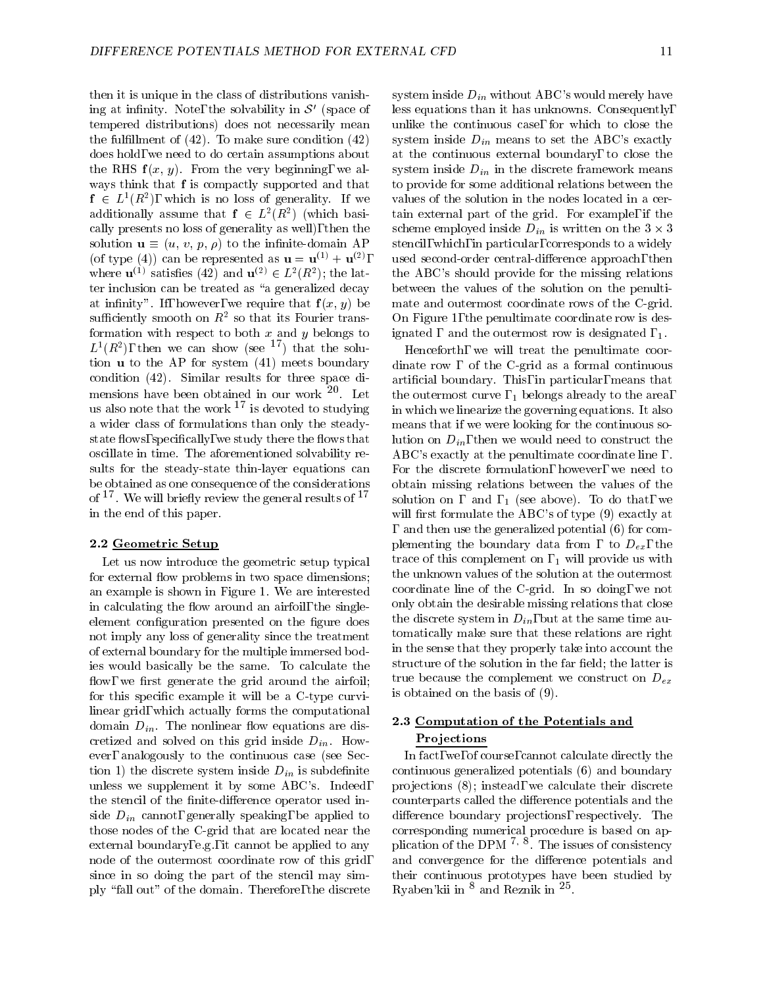then it is unique in the class of distributions vanishing at infinity. Note, the solvability in  $S'$  (space of tempered distributions) does not necessarily mean the fulfillment of  $(42)$ . To make sure condition  $(42)$ does hold, we need to do certain assumptions about the RHS  $f(x, y)$ . From the very beginning, we always think that f is compactly supported and that  $I \in L^2(R^*)$ , which is no loss of generality. If we value additionally assume that  $I \in L^2(R^+)$  (which basically presents no loss of generality as well), then the solution  $\mathbf{u} \equiv (u, v, p, \rho)$  to the infinite-domain AP (of type (4)) can be represented as  $\mathbf{u} = \mathbf{u}^{(1)} + \mathbf{u}^{(2)}$ , where  $\mathbf{u} \in \mathbb{R}$  satisfies (42) and  $\mathbf{u} \in L$  (R ); the lat- the . ter inclusion can be treated as "a generalized decay at infinity". If, however, we require that  $f(x, y)$  be sumelently smooth on  $R^2$  so that its Fourier trans-  $\qquad$  U formation with respect to both  $x$  and  $y$  belongs to  $L^+(R^-)$ , then we can show (see  $^-$  ) that the solution u to the AP for system (41) meets boundary condition (42). Similar results for three space dimensions have been obtained in our work  $20$ . Let . Let us a let us a let us a let us a let us a let us a let us a let us a let us a let us a let us a let us a us also note that the work  $\overline{\ }$  is devoted to studying  $\overline{\ }$  in w a wider class of formulations than only the steadystate flows, specifically, we study there the flows that oscillate in time. The aforementioned solvability results for the steady-state thin-layer equations can be obtained as one consequence of the considerations of T. We will brienly review the general results of T. Solt in the end of this paper.

#### 2.2 Geometric Setup

Let us now introduce the geometric setup typical for external flow problems in two space dimensions; an example is shown in Figure 1. We are interested in calculating the flow around an airfoil, the singleelement configuration presented on the figure does not imply any loss of generality since the treatment of external boundary for the multiple immersed bodies would basically be the same. To calculate the flow, we first generate the grid around the airfoil; for this specific example it will be a C-type curvilinear grid, which actually forms the computational domain  $D_{in}$ . The nonlinear flow equations are discretized and solved on this grid inside  $D_{in}$ . However, analogously to the continuous case (see Section 1) the discrete system inside  $D_{in}$  is subdefinite unless we supplement it by some ABC's. Indeed, the stencil of the finite-difference operator used inside  $D_{in}$  cannot, generally speaking, be applied to those nodes of the C-grid that are located near the external boundary, e.g., it cannot be applied to any node of the outermost coordinate row of this grid, since in so doing the part of the stencil may simply \fall out" of the domain. Therefore, the discrete

, used second-order central-dierence approach, then  $\mathbb{R}^n$  denotes a probability of the number of the number of the number of the number of the number of the number of the number of the number of the number of the num system inside  $D_{in}$  without ABC's would merely have less equations than it has unknowns. Consequently, unlike the continuous case, for which to close the system inside  $D_{in}$  means to set the ABC's exactly at the continuous external boundary, to close the system inside  $D_{in}$  in the discrete framework means to provide for some additional relations between the values of the solution in the nodes located in a certain external part of the grid. For example, if the scheme employed inside  $D_{in}$  is written on the  $3 \times 3$ stencil, which, in particular, corresponds to a widely the ABC's should provide for the missing relations between the values of the solution on the penultimate and outermost coordinate rows of the C-grid. On Figure 1, the penultimate coordinate row is designated , and the outermost row is designated ,  $_1$ .

Henceforth, we will treat the penultimate coordinate row, of the C-grid as a formal continuous articial boundary. This, in particular, means that the outermost curve,  $_1$  belongs already to the area, in which we linearize the governing equations. It also means that if we were looking for the continuous solution on  $D_{in}$ , then we would need to construct the ABC's exactly at the penultimate coordinate line, For the discrete formulation, however, we need to obtain missing relations between the values of the solution on , and  $, 1$  (see above). To do that, we will first formulate the ABC's of type (9) exactly at and then use the generalized potential (6) for complementing the boundary data from , to  $D_{ex}$ , the trace of this complement on  $, 1$  will provide us with the unknown values of the solution at the outermost coordinate line of the C-grid. In so doing, we not only obtain the desirable missing relations that close the discrete system in  $D_{in}$ , but at the same time automatically make sure that these relations are right in the sense that they properly take into account the structure of the solution in the far field; the latter is true because the complement we construct on  $D_{ex}$ is obtained on the basis of (9).

# 2.3 Computation of the Potentials and **Projections**

In fact, we, of course, cannot calculate directly the continuous generalized potentials (6) and boundary pro jections (8); instead, we calculate their discrete counterparts called the difference potentials and the difference boundary projections, respectively. The corresponding numerical procedure is based on application of the DPM  $\rightarrow$   $\degree$ . The issues of consistency and convergence for the difference potentials and their continuous prototypes have been studied by Ryaben'kii in ° and Reznik in <sup>25</sup>.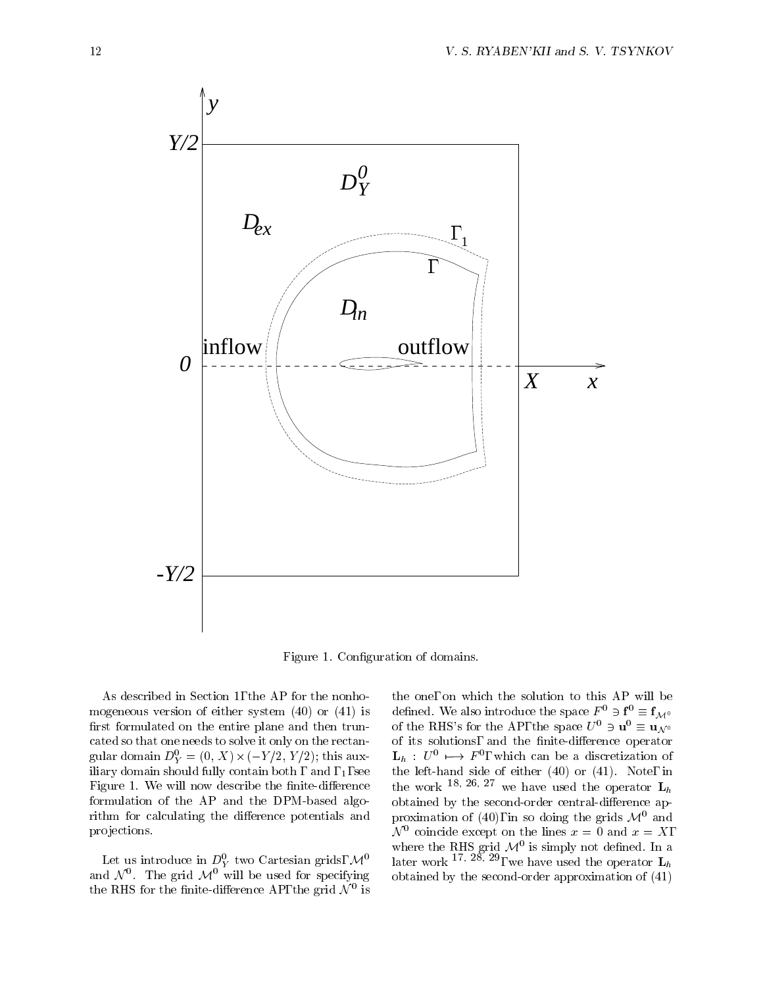

Figure 1. Configuration of domains.

As described in Section 1, the AP for the nonhomogeneous version of either system (40) or (41) is first formulated on the entire plane and then truncated so that one needs to solve it only on the rectangular domain  $D_Y^{\perp} = (0, \Lambda) \times (-Y/Z, Y/Z)$ ; this aux-  $\mathbf{L}_h$ iliary domain should fully contain both, and,  $_1$ , see Figure 1. We will now describe the finite-difference formulation of the AP and the DPM-based algorithm for calculating the difference potentials and pro jections.

Let us introduce in  $D_Y^{\vee}$  two Cartesian grids,  $\mathcal{M}^*$  lat and  $N$  . The grid  $\mathcal{M}^+$  will be used for specifying the obta the KHS for the finite-difference  $AF$ , the grid  $N^+$  is

the one, on which the solution to this AP will be defined. We also introduce the space  $F^0 \ni \mathbf{f}^0 \equiv \mathbf{f}_{\mathcal{M}^0}$ of the RHS's for the AP, the space  $U^0 \ni \mathbf{u}^0 \equiv \mathbf{u}_{\mathcal{N}^0}$ of its solutions, and the finite-difference operator  ${\bf L}_h$  :  $U^-\longmapsto I^-,$  which can be a discretization of the left-hand side of either  $(40)$  or  $(41)$ . Note, in the work  $18, 26, 27$  we have used the operator  $L_h$ obtained by the second-order central-difference approximation of (40), in so doing the grids  $\mathcal{M}^0$  and  $N$  coincide except on the lines  $x = 0$  and  $x = \Lambda$ , where the  $R_{\rm H}$ s grid  $\mathcal{M}^*$  is simply not defined. In a later work <sup>17, 28, 29</sup>, we have used the operator  $L_h$ obtained by the second-order approximation of (41)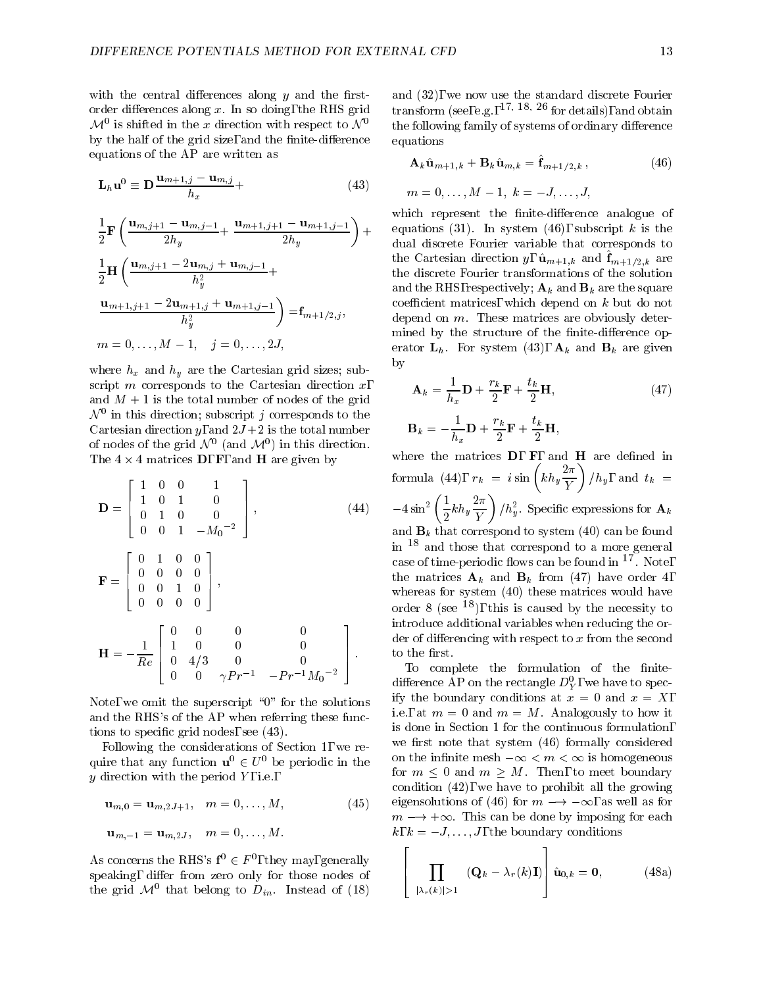with the central differences along  $y$  and the firstorder differences along  $x$ . In so doing, the RHS grid  $\mathcal{M}$  is shifted in the  $x$  direction with respect to  $\mathcal{N}$  by the follo by the half of the grid size, and the finite-difference equations of the AP are written as

$$
\mathbf{L}_h \mathbf{u}^0 \equiv \mathbf{D} \frac{\mathbf{u}_{m+1,j} - \mathbf{u}_{m,j}}{h_x} +
$$
 (43)

$$
\frac{1}{2}\mathbf{F}\left(\frac{\mathbf{u}_{m,j+1}-\mathbf{u}_{m,j-1}}{2h_y}+\frac{\mathbf{u}_{m+1,j+1}-\mathbf{u}_{m+1,j-1}}{2h_y}\right)+\begin{array}{c}\text{which is}\n\text{equations} \\
\text{dual disc} \\
\frac{1}{2}\mathbf{H}\left(\frac{\mathbf{u}_{m,j+1}-2\mathbf{u}_{m,j}+\mathbf{u}_{m,j-1}}{h_y^2}+\right) &\text{the Carte} \\
\frac{\mathbf{u}_{m+1,j+1}-2\mathbf{u}_{m+1,j}+\mathbf{u}_{m+1,j-1}}{h_y^2}\right)=\mathbf{f}_{m+1/2,j},\n\end{array}
$$
\n
$$
m=0,\ldots,M-1,\quad j=0,\ldots,2J,\text{enoted by}
$$
\n
$$
m=\mathbf{f}_{m+1/2,j},\text{where } \mathbf{f}_{m+1/2,j}=\mathbf{f}_{m+1/2,j},\text{ where } \mathbf{f}_{m+1/2,j}=\mathbf{f}_{m+1/2,j},\text{ and the given } \mathbf{f}_{m+1/2,j}=\mathbf{f}_{m+1/2,j},\text{ and the given } \mathbf{f}_{m+1/2,j}=\mathbf{f}_{m+1/2,j},\text{ and the given } \mathbf{f}_{m+1/2,j}=\mathbf{f}_{m+1/2,j},\text{ and the given } \mathbf{f}_{m+1/2,j}=\mathbf{f}_{m+1/2,j},\text{ and the given } \mathbf{f}_{m+1/2,j}=\mathbf{f}_{m+1/2,j},\text{ and the given } \mathbf{f}_{m+1/2,j}=\mathbf{f}_{m+1/2,j},\text{ and the given } \mathbf{f}_{m+1/2,j}=\mathbf{f}_{m+1/2,j},\text{ and the given } \mathbf{f}_{m+1/2,j}=\mathbf{f}_{m+1/2,j},\text{ and the given } \mathbf{f}_{m+1/2,j}=\mathbf{f}_{m+1/2,j},\text{ and the given } \mathbf{f}_{m+1/2,j}=\mathbf{f}_{m+1/2,j},\text{ and the given } \mathbf{f}_{m+1/2,j}=\mathbf{f}_{m+1/2,j},\text{ and the given } \mathbf{f}_{m+1/2,j}=\mathbf{f}_{m+1/2,j},\text{ and the
$$

where  $h_x$  and  $h_y$  are the Cartesian grid sizes; subscript  $m$  corresponds to the Cartesian direction  $x$ , and  $M + 1$  is the total number of nodes of the grid  $\mathcal N$  - in this direction; subscript  $j$  corresponds to the  $\mathcal N$ Cartesian direction  $y$ , and  $2J+2$  is the total number of nodes of the grid  $N^-$  (and  $\mathcal{M}^+$ ) in this direction. The  $\pm \wedge \pm$  matrices  $\bm{D}$ ,  $\bm{\Gamma}$ , and  $\bm{\Pi}$  are given by

$$
\mathbf{D} = \begin{bmatrix} 1 & 0 & 0 & 1 \\ 1 & 0 & 1 & 0 \\ 0 & 1 & 0 & 0 \\ 0 & 0 & 1 & -M_0^{-2} \end{bmatrix}, \qquad (44) \begin{matrix} \text{form} \\ -4s \\ \text{and} \\ \text{in} \\ \text{in} \\ 1 \end{matrix}
$$

$$
\mathbf{F} = \begin{bmatrix} 0 & 1 & 0 & 0 \\ 0 & 0 & 0 & 0 \\ 0 & 0 & 1 & 0 \\ 0 & 0 & 0 & 0 \end{bmatrix}, \qquad \text{case} \\ \mathbf{H} = -\frac{1}{Re} \begin{bmatrix} 0 & 0 & 0 & 0 \\ 1 & 0 & 0 & 0 \\ 0 & 4/3 & 0 & 0 \\ 0 & 0 & \gamma Pr^{-1} & -Pr^{-1}M_0^{-2} \end{bmatrix} \begin{matrix} \text{intr} \\ \text{inter} \\ \text{det} \\ \text{tot} \\ \text{tr} \\ \text{diffe} \\ \text{diffe} \\ \text{diffe} \\ \text{diffe} \\ \end{matrix}
$$

Note, we omit the superscript "0" for the solutions and the RHS's of the AP when referring these functions to specific grid nodes, see  $(43)$ .

Following the considerations of Section 1, we require that any function  $\mathbf{u}^0 \in U^0$  be periodic in the  $y$  direction with the period  $Y$ , i.e.,

$$
\mathbf{u}_{m,0} = \mathbf{u}_{m,2J+1}, \quad m = 0, \dots, M,
$$
  

$$
\mathbf{u}_{m,-1} = \mathbf{u}_{m,2J}, \quad m = 0, \dots, M.
$$
 (45)

As concerns the RHS's  $f^0 \in F^0$ , they may, generally speaking, differ from zero only for those nodes of the grid  $\mathcal{M}^+$  that belong to  $D_{in}$ . Instead of (18)

and (32), we now use the standard discrete Fourier transform (see, e.g.,  $^{17, 18, 26}$  for details), and obtain the following family of systems of ordinary difference equations

$$
\mathbf{A}_{k}\hat{\mathbf{u}}_{m+1,k} + \mathbf{B}_{k}\hat{\mathbf{u}}_{m,k} = \hat{\mathbf{f}}_{m+1/2,k},
$$
\n
$$
m = 0, \dots, M-1, k = -J, \dots, J,
$$
\n(46)

$$
m=0,\ldots,M-1,\;k=-J,\ldots,J,
$$

which represent the finite-difference analogue of equations (31). In system (46), subscript <sup>k</sup> is the dual discrete Fourier variable that corresponds to the Cartesian direction  $y$ ,  $u_{m+1,k}$  and  $u_{m+1/2,k}$  are the discrete Fourier transformations of the solution and the RHS, respectively;  $\mathbf{A}_k$  and  $\mathbf{B}_k$  are the square coefficient matrices, which depend on  $k$  but do not depend on  $m$ . These matrices are obviously determined by the structure of the finite-difference operator  $L_h$ . For system (43),  $A_k$  and  $B_k$  are given by

$$
\mathbf{A}_{k} = \frac{1}{h_{x}} \mathbf{D} + \frac{r_{k}}{2} \mathbf{F} + \frac{t_{k}}{2} \mathbf{H},
$$
\n
$$
\mathbf{B}_{k} = -\frac{1}{h_{x}} \mathbf{D} + \frac{r_{k}}{2} \mathbf{F} + \frac{t_{k}}{2} \mathbf{H},
$$
\n(47)

 $\frac{1}{3}$  introduce additional variables when reducing the  $\frac{1}{3}$  $\vert$  to the first. where the matrices  $D, F,$  and  $H$  are defined in  $\hbox{formula \, (44), } \,\, r_k \,\, = \,\, i \sin \left( k h_y \frac{2 \pi}{Y} \right) / h_y, \,\, \hbox{and} \,\,\, t_k \,\, = \,\,$  $-4\sin^2\left(\frac{1}{2}kh_y\frac{2\pi}{15}\right)/h$  $\frac{1}{2}kh_y\frac{2\pi}{Y}\bigg)/h_y^2.$  Specific expressions for  $\mathbf{A}_k$ and  $\mathbf{B}_k$  that correspond to system (40) can be found in <sup>18</sup> and those that correspond to a more general case of time-periodic nows can be found in Two e, the matrices  $\mathbf{A}_k$  and  $\mathbf{B}_k$  from (47) have order 4, whereas for system (40) these matrices would have order 8 (see  $^{18}$ ), this is caused by the necessity to der of differencing with respect to  $x$  from the second

> eigensolutions of (46) for  $m \rightarrow -\infty$ , as well as for To complete the formulation of the finitedifference AP on the rectangle  $D_Y^*$ , we have to specify the boundary conditions at  $x = 0$  and  $x = X$ , i.e., at  $m = 0$  and  $m = M$ . Analogously to how it is done in Section 1 for the continuous formulation, we first note that system  $(46)$  formally considered on the infinite mesh  $-\infty < m < \infty$  is homogeneous for  $m \leq 0$  and  $m \geq M$ . Then, to meet boundary condition (22), we have to prohibit all the growing condition (42), we have to prohibit all the growing<br>eigensolutions of (46) for  $m \rightarrow -\infty$ , as well as for  $m \rightarrow +\infty$ . This can be done by imposing for each  $k, k = -J, \ldots, J$ , the boundary conditions

$$
\left[\prod_{\substack{\lambda_r(k)|>1}} (\mathbf{Q}_k - \lambda_r(k)\mathbf{I})\right] \hat{\mathbf{u}}_{0,k} = \mathbf{0}, \quad (48a)
$$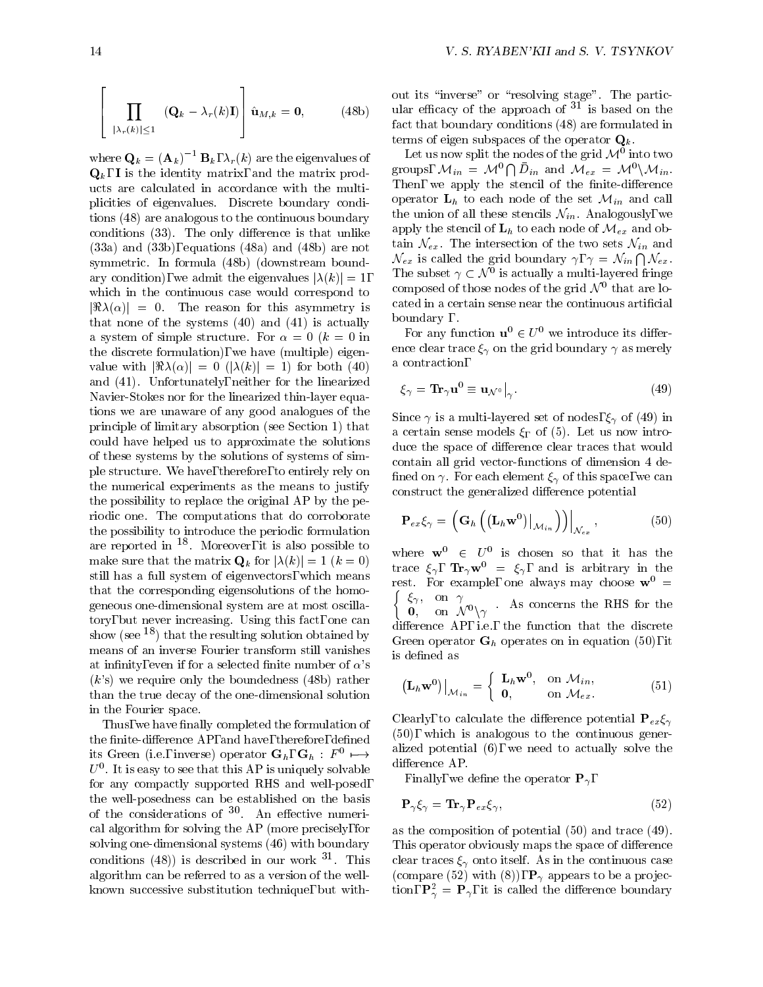$$
\left[\prod_{\substack{|\lambda_r(k)| \leq 1\\ \text{for } k}} (\mathbf{Q}_k - \lambda_r(k)\mathbf{I})\right] \hat{\mathbf{u}}_{M,k} = \mathbf{0}, \quad (48b) \quad \text{and} \quad \text{for } k \to \infty
$$

where  $\mathbf{Q}_k = (\mathbf{A}_k)^{-1} \mathbf{B}_k$ ,  $\lambda_r (k)$  are the eigenvalues of  $\mathbf{Q}_k$ , I is the identity matrix, and the matrix products are calculated in accordance with the multiplicities of eigenvalues. Discrete boundary conditions (48) are analogous to the continuous boundary conditions  $(33)$ . The only difference is that unlike (33a) and (33b), equations (48a) and (48b) are not symmetric. In formula (48b) (downstream boundary condition), we admit the eigenvalues  $|\lambda(k)| = 1$ , which in the continuous case would correspond to  $|\Re(\lambda(\alpha))| = 0$ . The reason for this asymmetry is that none of the systems (40) and (41) is actually a system of simple structure. For  $\alpha = 0$  ( $k = 0$  in the discrete formulation), we have (multiple) eigen value with  $|\Re(\lambda(\alpha))| = 0$  ( $|\lambda(k)| = 1$ ) for both (40) and (41). Unfortunately, neither for the linearized Navier-Stokes nor for the linearized thin-layer equations we are unaware of any good analogues of the principle of limitary absorption (see Section 1) that could have helped us to approximate the solutions of these systems by the solutions of systems of simple structure. We have, therefore, to entirely rely on the numerical experiments as the means to justify the possibility to replace the original AP by the periodic one. The computations that do corroborate the possibility to introduce the periodic formulation are reported in  $\sim$  - Moreover, it is also possible to  $\sim$ make sure that the matrix  $\mathbf{Q}_k$  for  $|\lambda(k)| = 1$   $(k = 0)$ still has a full system of eigenvectors, which means that the corresponding eigensolutions of the homogeneous one-dimensional system are at most oscillatory, but never increasing. Using this fact, one can show (see  $^{18}$ ) that the resulting solution obtained by means of an inverse Fourier transform still vanishes at infinity, even if for a selected finite number of  $\alpha$ 's  $(k)$  we require only the boundedness  $(48b)$  rather than the true decay of the one-dimensional solution in the Fourier space.

Thus, we have finally completed the formulation of the finite-difference AP, and have, therefore, defined its Green (i.e., inverse) operator  $G_h$ ,  $G_h$ :  $F \mapsto$  $U$  . It is easy to see that this AP is uniquely solvable  $\qquad \_$ for any compactly supported RHS and well-posed, the well-posedness can be established on the basis of the considerations of 30 An effective numerical algorithm for solving the AP (more precisely, for solving one-dimensional systems (46) with boundary conditions (48)) is described in our work °F. This the cle algorithm can be referred to as a version of the wellknown successive substitution technique, but with-

out its "inverse" or "resolving stage". The particular efficacy of the approach of  $31$  is based on the fact that boundary conditions (48) are formulated in terms of eigen subspaces of the operator  $\mathbf{Q}_k$ .

Let us now split the nodes of the grid  $\mathcal{M}^-$  into two  $$ groups,  $\mathcal{M}_{in} = \mathcal{M}^0 \bigcap D_{in}$  and  $\mathcal{M}_{ex} = \mathcal{M}^0 \backslash \mathcal{M}_{in}$ . Then, we apply the stencil of the finite-difference operator  $L_h$  to each node of the set  $\mathcal{M}_{in}$  and call the union of all these stencils  $\mathcal{N}_{in}$ . Analogously, we apply the stencil of  $L_h$  to each node of  $\mathcal{M}_{ex}$  and obtain  $\mathcal{N}_{ex}$ . The intersection of the two sets  $\mathcal{N}_{in}$  and  $\mathcal{N}_{ex}$  is called the grid boundary  $\gamma, \, \gamma = \mathcal{N}_{in} \bigcap \mathcal{N}_{ex}$ .  $\mathcal{N}_{ex}$  is called the grid boundary  $\gamma$ ,  $\gamma = \mathcal{N}_{in} \bigcap \mathcal{N}_{ex}$ .<br>The subset  $\gamma \subset \mathcal{N}^0$  is actually a multi-layered fringe composed of those nodes of the grid  $\mathcal{N}$  –that are located in a certain sense near the continuous articial boundary .

For any function  $\mathbf{u}^0 \in U^0$  we introduce its difference clear trace  $\xi_{\gamma}$  on the grid boundary  $\gamma$  as merely a contraction,

$$
\xi_{\gamma} = \mathbf{Tr}_{\gamma} \mathbf{u}^{0} \equiv \mathbf{u}_{\mathcal{N}^{0}} \big|_{\gamma}.
$$
 (49)

Since  $\gamma$  is a multi-layered set of nodes,  $\xi_{\gamma}$  of (49) in a certain sense models  $\xi_{\Gamma}$  of (5). Let us now introduce the space of difference clear traces that would contain all grid vector-functions of dimension 4 de fined on  $\gamma$ . For each element  $\xi_{\gamma}$  of this space, we can construct the generalized difference potential

$$
\mathbf{P}_{ex}\xi_{\gamma} = \left(\mathbf{G}_{h}\left(\left(\mathbf{L}_{h}\mathbf{w}^{0}\right)\big|_{\mathcal{M}_{in}}\right)\right)\big|_{\mathcal{N}_{ex}},\tag{50}
$$

where  $w \in U$  is chosen so that it has the trace  $\zeta_{\gamma}$ ,  $\mathbf{I} \mathbf{r}_{\gamma} \mathbf{w}^{\top} = \zeta_{\gamma}$ , and is arbitrary in the rest. For example, one always may choose  $\mathbf{w}^{\perp} =$  $\int \xi_{\gamma}$ , on  $\gamma$  $\mathbf{0}$ , on  $\mathcal{N}^0\setminus\gamma$  is the real form the RHS for the  $\mathbf{0}$ difference  $AP$ , i.e., the function that the discrete Green operator  $G_h$  operates on in equation (50), it is defined as

$$
\left(\mathbf{L}_{h}\mathbf{w}^{0}\right)\big|_{\mathcal{M}_{in}} = \begin{cases} \mathbf{L}_{h}\mathbf{w}^{0}, & \text{on } \mathcal{M}_{in}, \\ \mathbf{0}, & \text{on } \mathcal{M}_{ex}. \end{cases}
$$
 (51)

difference AP. Clearly, to calculate the difference potential  ${\bf P}_{ex}\xi_{\gamma}$  $(50)$ , which is analogous to the continuous generalized potential (6), we need to actually solve the

Finally, we define the operator  $\mathbf{P}_{\gamma}$ ,

$$
\mathbf{P}_{\gamma} \xi_{\gamma} = \mathbf{Tr}_{\gamma} \mathbf{P}_{ex} \xi_{\gamma},\tag{52}
$$

as the composition of potential (50) and trace (49). This operator obviously maps the space of difference clear traces  $\xi_{\gamma}$  onto itself. As in the continuous case (compare (52) with (8)),  $\mathbf{P}_{\gamma}$  appears to be a projection,  $\mathbf{F}_{\gamma}^{\perp} = \mathbf{F}_{\gamma}$ , it is called the difference boundary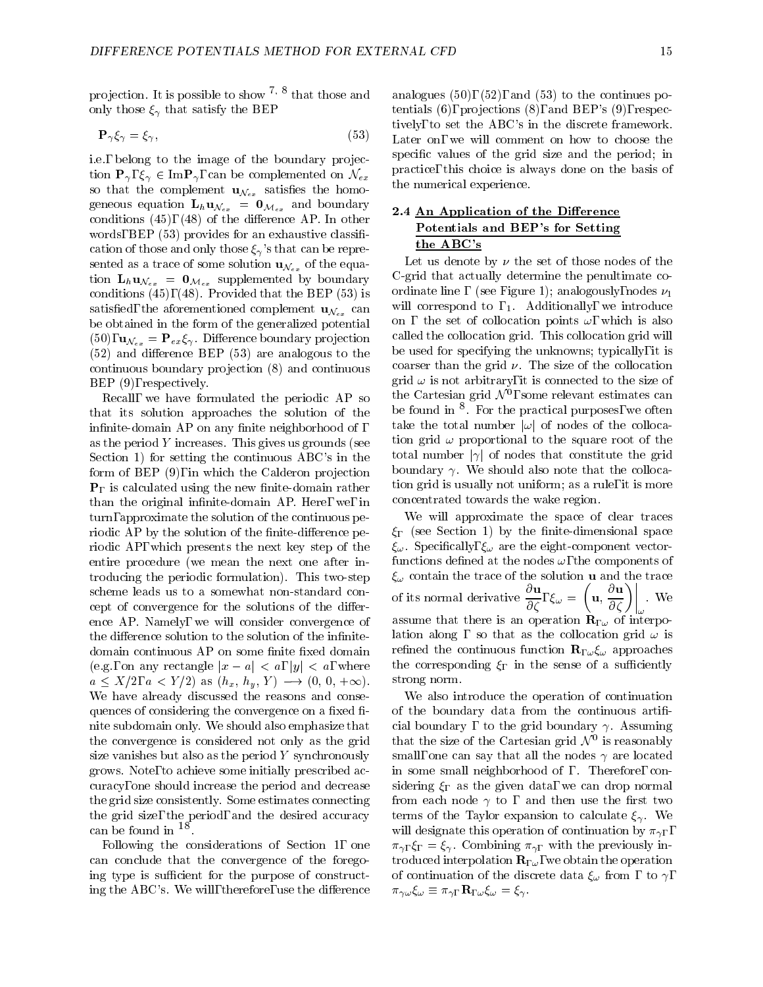projection. It is possible to show  $\cdot$   $\cdot$   $\cdot$  that those and analo only those  $\xi_{\gamma}$  that satisfy the BEP

$$
\mathbf{P}_{\gamma}\xi_{\gamma} = \xi_{\gamma},\tag{53}
$$

i.e., belong to the image of the boundary projection  $\mathbf{P}_{\gamma}, \xi_{\gamma} \in \text{Im} \mathbf{P}_{\gamma}$ , can be complemented on  $\mathcal{N}_{ex}$ so that the complement  $\mathbf{u}_{\mathcal{N}_{ex}}$  satisfies the homogeneous equation  $\mathbf{L}_{h} \mathbf{u}_{\mathcal{N}_{ex}} = \mathbf{0}_{\mathcal{M}_{ex}}$  and boundary conditions  $(45)$ ,  $(48)$  of the difference AP. In other words, BEP (53) provides for an exhaustive classification of those and only those  $\xi_{\gamma}$ 's that can be represented as a trace of some solution  $\mathbf{u}_{\mathcal{N}_{ex}}$  of the equation  $\mathbf{L}_h \mathbf{u}_{\mathcal{N}_{ex}} = \mathbf{0}_{\mathcal{M}_{ex}}$  supplemented by boundary conditions (45), (48). Provided that the BEP (53) is satisfied, the aforementioned complement  $\mathbf{u}_{\mathcal{N}_{ex}}$  can be obtained in the form of the generalized potential  $(50)$ ,  $\mathbf{u}_{\mathcal{N}_{ex}} = \mathbf{P}_{ex} \xi_{\gamma}$ . Difference boundary projection  $(52)$  and difference BEP  $(53)$  are analogous to the continuous boundary projection (8) and continuous BEP (9), respectively.

Recall, we have formulated the periodic AP so that its solution approaches the solution of the infinite-domain  $AP$  on any finite neighborhood of, as the period <sup>Y</sup> increases. This gives us grounds (see Section 1) for setting the continuous ABC's in the form of BEP  $(9)$ , in which the Calderon projection  ${\bf P}_{\Gamma}$  is calculated using the new finite-domain rather than the original infinite-domain AP. Here, we, in turn, approximate the solution of the continuous periodic AP by the solution of the finite-difference periodic AP, which presents the next key step of the entire procedure (we mean the next one after introducing the periodic formulation). This two-step scheme leads us to a somewhat non-standard concept of convergence for the solutions of the difference AP. Namely, we will consider convergence of the difference solution to the solution of the infinitedomain continuous AP on some finite fixed domain (e.g., on any rectangle  $|x - a| < a$ ,  $|y| < a$ , where  $a \leq X/2, a < Y/2$  as  $(h_x, h_y, Y) \longrightarrow (0, 0, +\infty).$ We have already discussed the reasons and consequences of considering the convergence on a fixed finite subdomain only. We should also emphasize that the convergence is considered not only as the grid size vanishes but also as the period  $Y$  synchronously grows. Note, to achieve some initially prescribed accuracy, one should increase the period and decrease the grid size consistently. Some estimates connecting the grid size, the period, and the desired accuracy can be found in Fr.

Following the considerations of Section 1, one can conclude that the convergence of the foregoing type is sufficient for the purpose of constructing the ABC's. We will, therefore, use the difference analogues  $(50)$ ,  $(52)$ , and  $(53)$  to the continues potentials  $(6)$ , projections  $(8)$ , and BEP's  $(9)$ , respectively, to set the ABC's in the discrete framework. Later on, we will comment on how to choose the specific values of the grid size and the period; in practice, this choice is always done on the basis of the numerical experience.

# 2.4 An Application of the Difference Potentials and BEP's for Setting the ABC's

Let us denote by  $\nu$  the set of those nodes of the C-grid that actually determine the penultimate coordinate line, (see Figure 1); analogously, nodes  $\nu_1$ will correspond to  $, 1$ . Additionally, we introduce on, the set of collocation points  $\omega$ , which is also called the collocation grid. This collocation grid will be used for specifying the unknowns; typically, it is coarser than the grid  $\nu$ . The size of the collocation grid  $\omega$  is not arbitrary, it is connected to the size of the Cartesian grid  $N$  , some relevant estimates can be found in <sup>8</sup> . For the practical purposes, we often take the total number  $|\omega|$  of nodes of the collocation grid  $\omega$  proportional to the square root of the total number  $|\gamma|$  of nodes that constitute the grid boundary  $\gamma$ . We should also note that the collocation grid is usually not uniform; as a rule, it is more concentrated towards the wake region.

We will approximate the space of clear traces  $\xi_{\Gamma}$  (see Section 1) by the finite-dimensional space  $\xi_{\omega}$ . Specifically,  $\xi_{\omega}$  are the eight-component vectorfunctions defined at the nodes  $\omega$ , the components of  $\xi_{\omega}$  contain the trace of the solution **u** and the trace of its normal derivative  $\frac{\partial u}{\partial \zeta}$ ,  $\xi_{\omega} = \left( \mathbf{u}, \frac{\partial u}{\partial \zeta} \right)$ .  $\left(\mathbf{u}, \frac{\partial \mathbf{u}}{\partial \zeta}\right)$  We  $\parallel$  . We  $\omega$  . The set of  $\omega$ assume that there is an operation  $\mathbf{R}_{\Gamma_{\omega}}$  of interpolation along, so that as the collocation grid  $\omega$  is refined the continuous function  $\mathbf{R}_{\Gamma_{\omega}}\xi_{\omega}$  approaches the corresponding  $\xi_{\Gamma}$  in the sense of a sufficiently strong norm.

We also introduce the operation of continuation of the boundary data from the continuous artificial boundary, to the grid boundary  $\gamma$ . Assuming that the size of the Cartesian grid <sup>N</sup> <sup>0</sup> is reasonably small, one can say that all the nodes  $\gamma$  are located in some small neighborhood of . Therefore, considering  $\xi_{\Gamma}$  as the given data, we can drop normal from each node  $\gamma$  to , and then use the first two terms of the Taylor expansion to calculate  $\xi_{\gamma}$ . We will designate this operation of continuation by  $\pi_{\gamma\Gamma}$ ,  $\pi_{\gamma} F \xi_{\Gamma} = \xi_{\gamma}$ . Combining  $\pi_{\gamma} F$  with the previously introduced interpolation  $\mathbf{R}_{\Gamma_{\omega}}$ , we obtain the operation of continuation of the discrete data  $\xi_{\omega}$  from , to  $\gamma$ ,  $\pi_{\gamma\omega}\xi_{\omega} \equiv \pi_{\gamma\Gamma}\mathbf{R}_{\Gamma\omega}\xi_{\omega} = \xi_{\gamma}.$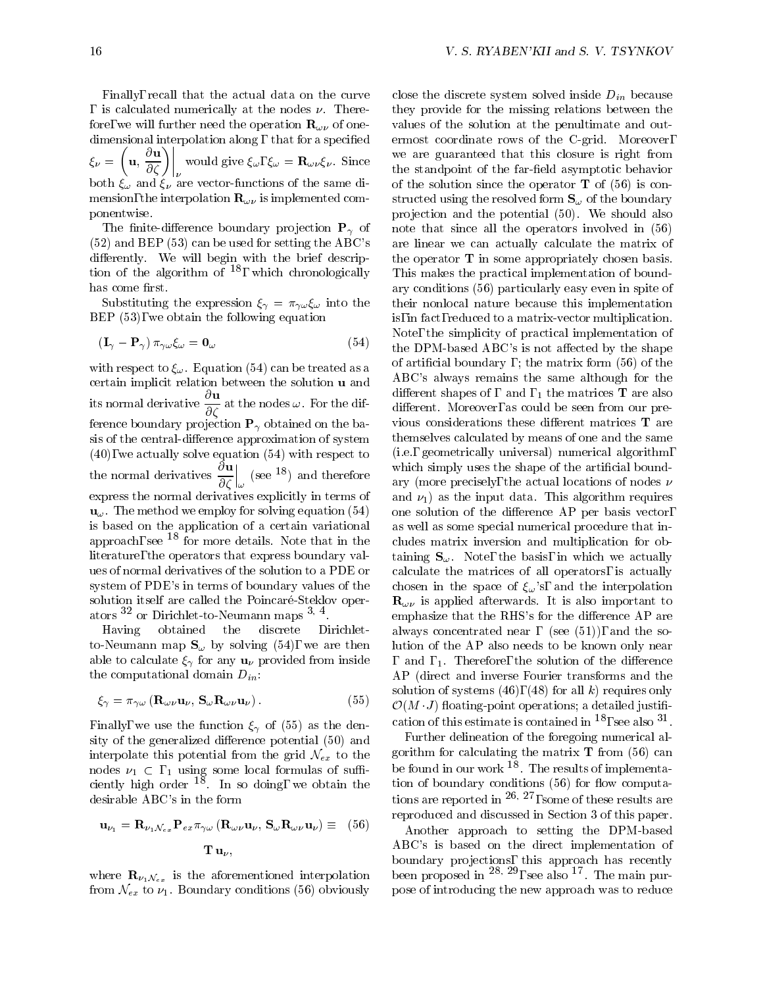Finally, recall that the actual data on the curve is calculated numerically at the nodes  $\nu$ . Therefore, we will further need the operation  $\mathbf{R}_{\omega\nu}$  of onedimensional interpolation along, that for a specified <sup>=</sup>  $\left(\mathbf{u}, \frac{\partial \mathbf{u}}{\partial \zeta}\right)\Big|_{\nu}$  would give  $\xi_{\omega}, \xi_{\omega} = \mathbf{R}_{\omega \nu} \xi_{\nu}$ . Since we the  $\alpha$  is an order  $\gamma$  and  $\gamma$  are vector-functions of the same distributions of the same dimension, the interpolation  $\mathbf{R}_{\omega\nu}$  is implemented componentwise.

The finite-difference boundary projection  $P_{\gamma}$  of (52) and BEP (53) can be used for setting the ABC's differently. We will begin with the brief description of the algorithm of  $\overline{\ }$ , which chronologically This has come first.

Substituting the expression  $\xi_{\gamma} = \pi_{\gamma\omega}\xi_{\omega}$  into the BEP (53), we obtain the following equation

$$
\left(\mathbf{I}_{\gamma} - \mathbf{P}_{\gamma}\right) \pi_{\gamma \omega} \xi_{\omega} = \mathbf{0}_{\omega} \tag{54}
$$

with respect to  $\xi_{\omega}$ . Equation (54) can be treated as a certain implicit relation between the solution u and its normal derivative  $\frac{d\mathbf{x}}{d\mathbf{x}}$  at the nodes  $\omega$ . For the dif-<br>different ference boundary projection  $P_{\gamma}$  obtained on the basis of the central-difference approximation of system (40), we actually solve equation (54) with respect to the normal derivatives  $\frac{1}{n+1}$  (see <sup>10</sup>)  $\sim$   $\sim$   $\sim$  $\int_{\omega}$  (see <sup>18</sup>) and therefore  $\frac{w}{\text{any}}$ express the normal derivatives explicitly in terms of  $\mathbf{u}_{\omega}$ . The method we employ for solving equation (54) is based on the application of a certain variational approach, see  $^{18}$  for more details. Note that in the literature, the operators that express boundary values of normal derivatives of the solution to a PDE or system of PDE's in terms of boundary values of the solution itself are called the Poincaré-Steklov operators  $32$  or Dirichlet-to-Neumann maps  $3, 4$ .

Having obtained the discrete Dirichletto-Neumann map  $\mathbf{S}_{\omega}$  by solving (54), we are then able to calculate  $\xi_{\gamma}$  for any  $\mathbf{u}_{\nu}$  provided from inside the computational domain  $D_{in}$ :

$$
\xi_{\gamma} = \pi_{\gamma\omega} \left( \mathbf{R}_{\omega\nu} \mathbf{u}_{\nu}, \, \mathbf{S}_{\omega} \mathbf{R}_{\omega\nu} \mathbf{u}_{\nu} \right). \tag{55}
$$

Finally, we use the function  $\xi_{\gamma}$  of (55) as the density of the generalized difference potential (50) and interpolate this potential from the grid  $\mathcal{N}_{ex}$  to the nodes  $\nu_1 \subset \mathcal{H}$  using some local formulas of sumciently high order <sup>--</sup>. In so doing, we obtain the thor desirable ABC's in the form

$$
\mathbf{u}_{\nu_1} = \mathbf{R}_{\nu_1 \mathcal{N}_{ex}} \mathbf{P}_{ex} \pi_{\gamma \omega} \left( \mathbf{R}_{\omega \nu} \mathbf{u}_{\nu}, \ \mathbf{S}_{\omega} \mathbf{R}_{\omega \nu} \mathbf{u}_{\nu} \right) \equiv \quad (56) \quad \prod_{\mu} \mathbf{u}_{\nu}, \tag{56}
$$

where  $\mathbf{R}_{\nu_1\mathcal{N}_{ex}}$  is the aforementioned interpolation from  $\mathcal{N}_{ex}$  to  $\nu_1$ . Boundary conditions (56) obviously

close the discrete system solved inside  $D_{in}$  because they provide for the missing relations between the values of the solution at the penultimate and outermost coordinate rows of the C-grid. Moreover, we are guaranteed that this closure is right from the standpoint of the far-field asymptotic behavior of the solution since the operator  $T$  of (56) is constructed using the resolved form  $S_{\omega}$  of the boundary projection and the potential (50). We should also note that since all the operators involved in (56) are linear we can actually calculate the matrix of the operator  $T$  in some appropriately chosen basis. This makes the practical implementation of boundary conditions (56) particularly easy even in spite of their nonlocal nature because this implementation is, in fact, reduced to a matrix-vector multiplication. Note, the simplicity of practical implementation of the DPM-based ABC's is not affected by the shape of articial boundary ; the matrix form (56) of the ABC's always remains the same although for the different shapes of, and,  $_1$  the matrices **T** are also different. Moreover, as could be seen from our previous considerations these different matrices  $T$  are themselves calculated by means of one and the same (i.e., geometrically universal) numerical algorithm, which simply uses the shape of the artificial boundary (more precisely, the actual locations of nodes  $\nu$ and  $\nu_1$ ) as the input data. This algorithm requires one solution of the difference  $AP$  per basis vector, as well as some special numerical procedure that includes matrix inversion and multiplication for obtaining  $S_{\omega}$ . Note, the basis, in which we actually calculate the matrices of all operators, is actually chosen in the space of  $\xi_{\omega}$ 's, and the interpolation  $\mathbf{R}_{\omega\nu}$  is applied afterwards. It is also important to emphasize that the RHS's for the difference AP are always concentrated near, (see  $(51)$ ), and the solution of the AP also needs to be known only near , and  $1.1$ . Therefore, the solution of the difference AP (direct and inverse Fourier transforms and the solution of systems (46), (48) for all  $k$ ) requires only  $\mathcal{O}(M \cdot J)$  floating-point operations; a detailed justification of this estimate is contained in  $^{18}$ , see also  $^{31}$ .

Further delineation of the foregoing numerical algorithm for calculating the matrix  $T$  from (56) can be found in our work . I he results of implementation of boundary conditions (56) for  $\mathbf{56}$  for  $\mathbf{56}$  for  $\mathbf{56}$  for  $\mathbf{56}$ tions are reported in 26; 27, some of these results are reproduced and discussed in Section 3 of this paper.

Another approach to setting the DPM-based ABC's is based on the direct implementation of boundary products, the probability products of the control of the control of the control of the control of the c been proposed in <sup>--, --</sup>, see also <sup>-</sup> The main purpose of introducing the new approach was to reduce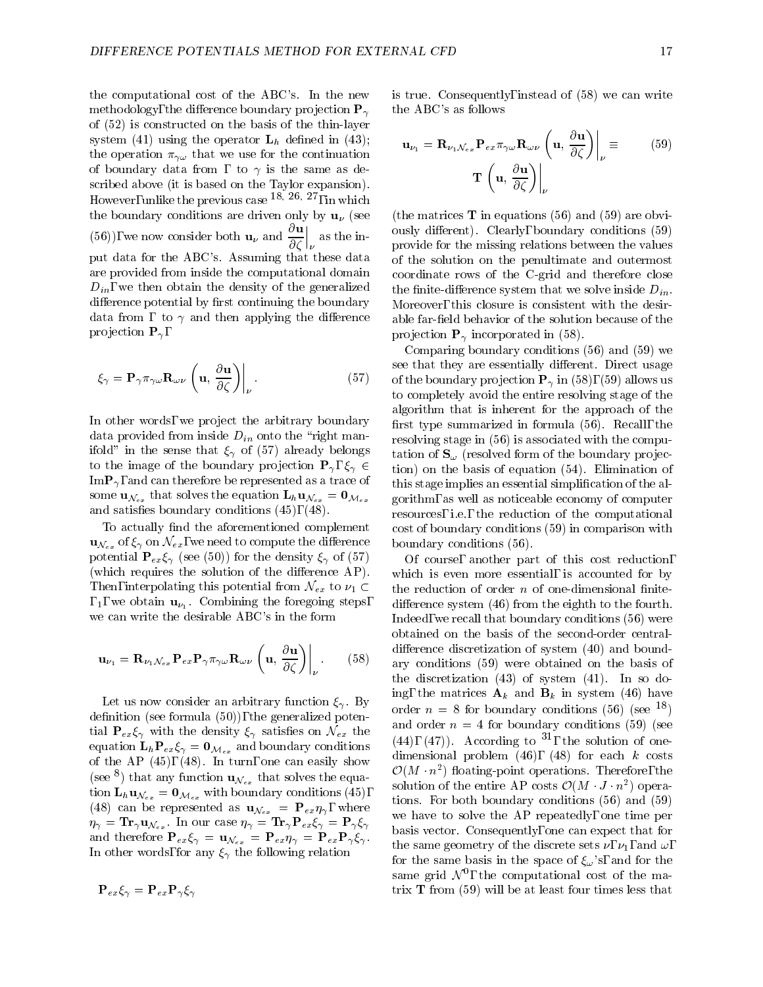the computational cost of the ABC's. In the new methodology, the difference boundary projection  $P_{\gamma}$ of (52) is constructed on the basis of the thin-layer system (41) using the operator  $L_h$  defined in (43); the operation  $\pi_{\gamma\omega}$  that we use for the continuation of boundary data from , to  $\gamma$  is the same as described above (it is based on the Taylor expansion). However, unlike the previous case 18; 26; 27, in which the boundary conditions are driven only by  $\mathbf{u}_{\nu}$  (see (56)), we now consider both  $\mathbf{u}_{\nu}$  and  $\frac{\partial \mathbf{u}}{\partial \zeta}\Big|_{\nu}$  as the in  $\begin{vmatrix} a & b \\ c & d \end{vmatrix}$  as the in-<br>provi put data for the ABC's. Assuming that these data are provided from inside the computational domain  $D_{in}$ , we then obtain the density of the generalized difference potential by first continuing the boundary data from, to  $\gamma$  and then applying the difference projection  $P_{\gamma}$ ,

$$
\xi_{\gamma} = \mathbf{P}_{\gamma} \pi_{\gamma \omega} \mathbf{R}_{\omega \nu} \left( \mathbf{u}, \frac{\partial \mathbf{u}}{\partial \zeta} \right) \Big|_{\nu} . \tag{57}
$$

In other words, we project the arbitrary boundary data provided from inside  $D_{in}$  onto the "right manifold" in the sense that  $\xi_{\gamma}$  of (57) already belongs to the image of the boundary projection  $\mathbf{P}_{\gamma}, \xi_{\gamma} \in$  $\text{Im} \mathbf{P}_{\gamma}$ , and can therefore be represented as a trace of some  $\mathbf{u}_{\mathcal{N}_{ex}}$  that solves the equation  $\mathbf{L}_{h}\mathbf{u}_{\mathcal{N}_{ex}} = \mathbf{0}_{\mathcal{M}_{ex}}$ and satisfies boundary conditions  $(45)$ ,  $(48)$ .

To actually find the aforementioned complement  $\mathbf{u}_{\mathcal{N}_{ex}}$  of  $\xi_{\gamma}$  on  $\mathcal{N}_{ex}$ , we need to compute the difference potential  ${\bf P}_{ex}\xi_{\gamma}$  (see (50)) for the density  $\xi_{\gamma}$  of (57) (which requires the solution of the difference  $AP$ ). Then, interpolating this potential from  $\mathcal{N}_{ex}$  to  $\nu_1 \subset$ , 1, we obtain  $\mathbf{u}_{\nu_1}$ . Combining the foregoing steps, we can write the desirable ABC's in the form

$$
\mathbf{u}_{\nu_1} = \mathbf{R}_{\nu_1 \mathcal{N}_{ex}} \mathbf{P}_{ex} \mathbf{P}_{\gamma} \pi_{\gamma \omega} \mathbf{R}_{\omega \nu} \left( \mathbf{u}, \frac{\partial \mathbf{u}}{\partial \zeta} \right) \bigg|_{\nu} . \tag{58}
$$

Let us now consider an arbitrary function  $\xi_{\gamma}$ . By definition (see formula  $(50)$ ), the generalized potential  $P_{ex}\xi_{\gamma}$  with the density  $\xi_{\gamma}$  satisfies on  $\mathcal{N}_{ex}$  the equation  $\mathbf{L}_h \mathbf{P}_{ex} \xi_\gamma = \mathbf{0}_{\mathcal{M}_{ex}}$  and boundary conditions of the AP  $(45)$ ,  $(48)$ . In turn, one can easily show (see  $\gamma$ ) that any function  $\mathbf{u}_{\mathcal{N}_{ex}}$  that solves the equation  $\mathbf{L}_h \mathbf{u}_{\mathcal{N}_{ex}} = \mathbf{0}_{\mathcal{M}_{ex}}$  with boundary conditions (45), (48) can be represented as  $\mathbf{u}_{\mathcal{N}_{ex}} = \mathbf{P}_{ex} \eta_{\gamma}$ , where  $\eta_{\gamma} = \mathbf{Tr}_{\gamma} \mathbf{u}_{\mathcal{N}_{ex}}$ . In our case  $\eta_{\gamma} = \mathbf{Tr}_{\gamma} \mathbf{P}_{ex} \xi_{\gamma} = \mathbf{P}_{\gamma} \xi_{\gamma}$ and therefore  $P_{ex}\xi_{\gamma} = \mathbf{u}_{\mathcal{N}_{ex}} = P_{ex}\eta_{\gamma} = P_{ex}\mathbf{P}_{\gamma}\xi_{\gamma}$ . In other words, for any  $\xi_{\gamma}$  the following relation

$$
\mathbf{P}_{ex}\xi_{\gamma}=\mathbf{P}_{ex}\mathbf{P}_{\gamma}\xi_{\gamma}
$$

is true. Consequently, instead of (58) we can write the ABC's as follows

$$
\mathbf{u}_{\nu_1} = \mathbf{R}_{\nu_1 \mathcal{N}_{ex}} \mathbf{P}_{ex} \pi_{\gamma \omega} \mathbf{R}_{\omega \nu} \left( \mathbf{u}, \frac{\partial \mathbf{u}}{\partial \zeta} \right) \Big|_{\nu} \equiv (59)
$$

$$
\mathbf{T} \left( \mathbf{u}, \frac{\partial \mathbf{u}}{\partial \zeta} \right) \Big|_{\nu}
$$

(the matrices  $\bf{T}$  in equations (56) and (59) are obviously different). Clearly, boundary conditions (59) provide for the missing relations between the values of the solution on the penultimate and outermost coordinate rows of the C-grid and therefore close the finite-difference system that we solve inside  $D_{in}$ . Moreover, this closure is consistent with the desirable far-field behavior of the solution because of the projection  $\mathbf{P}_{\gamma}$  incorporated in (58).

Comparing boundary conditions (56) and (59) we see that they are essentially different. Direct usage of the boundary projection  $P_{\gamma}$  in (58), (59) allows us to completely avoid the entire resolving stage of the algorithm that is inherent for the approach of the first type summarized in formula  $(56)$ . Recall, the resolving stage in (56) is associated with the computation of  $S_{\omega}$  (resolved form of the boundary projection) on the basis of equation (54). Elimination of this stage implies an essential simplication of the algorithm, as well as noticeable economy of computer resources, i.e., the reduction of the computational cost of boundary conditions (59) in comparison with boundary conditions (56).

 $\sim$   $\sim$  ary conditions (59) were obtained on the basis of Of course, another part of this cost reduction, which is even more essential, is accounted for by the reduction of order  $n$  of one-dimensional finitedifference system  $(46)$  from the eighth to the fourth. Indeed, we recall that boundary conditions (56) were obtained on the basis of the second-order centraldifference discretization of system (40) and boundthe discretization (43) of system (41). In so doing, the matrices  $\mathbf{A}_k$  and  $\mathbf{B}_k$  in system (46) have order  $n = 8$  for boundary conditions (56) (see <sup>18</sup>) and order  $n = 4$  for boundary conditions (59) (see  $(44)$ ,  $(47)$ . According to  $27$ , the solution of onedimensional problem  $(46)$ ,  $(48)$  for each k costs  $\mathcal{O}(M - n^{-})$  hoating-point operations. Therefore, the solution of the entire  $AP$  costs  $O(M + J + n<sup>2</sup>)$  operations. For both boundary conditions (56) and (59) we have to solve the AP repeatedly, one time per basis vector. Consequently, one can expect that for the same geometry of the discrete sets  $\nu$ ,  $\nu_1$ , and  $\omega$ , for the same basis in the space of  $\xi_{\omega}$ 's, and for the same grid  $N$  , the computational cost of the matrix  $T$  from (59) will be at least four times less that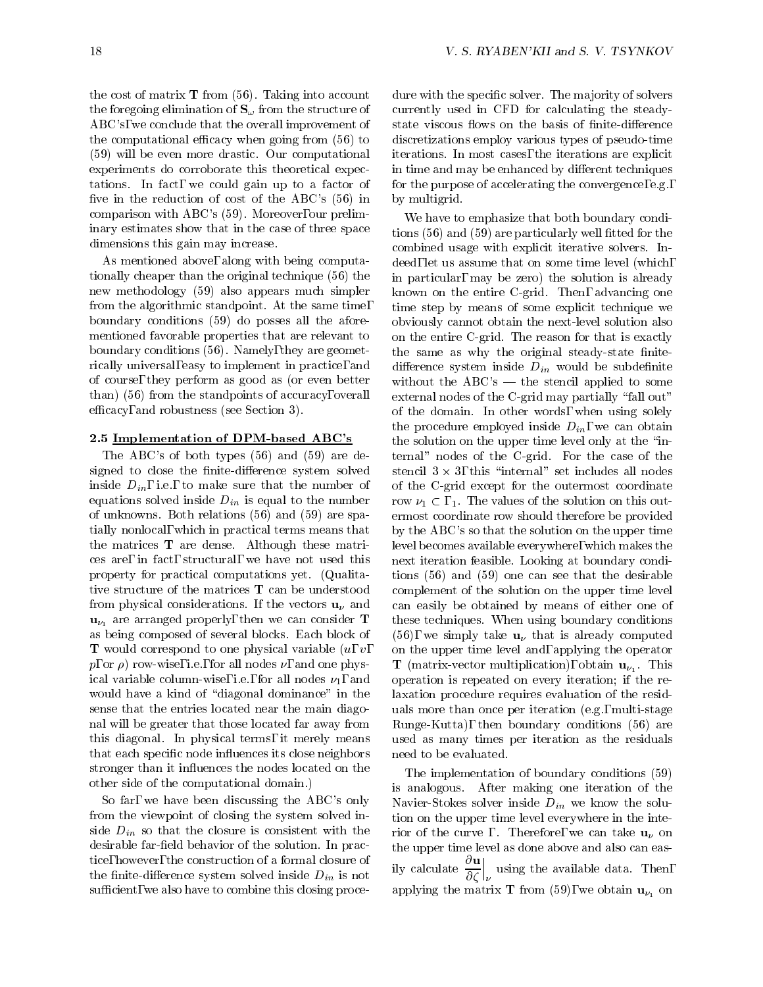the cost of matrix  $T$  from (56). Taking into account the foregoing elimination of  $S_{\omega}$  from the structure of ABC's, we conclude that the overall improvement of the computational efficacy when going from  $(56)$  to (59) will be even more drastic. Our computational experiments do corroborate this theoretical expectations. In fact, we could gain up to a factor of five in the reduction of cost of the ABC's  $(56)$  in comparison with ABC's (59). Moreover, our preliminary estimates show that in the case of three space dimensions this gain may increase.

As mentioned above, along with being computationally cheaper than the original technique (56) the new methodology (59) also appears much simpler from the algorithmic standpoint. At the same time, boundary conditions (59) do posses all the aforementioned favorable properties that are relevant to boundary conditions (56). Namely, they are geometrically universal, easy to implement in practice, and of course, they perform as good as (or even better than) (56) from the standpoints of accuracy, overall efficacy, and robustness (see Section 3).

# 2.5 Implementation of DPM-based ABC's

The ABC's of both types (56) and (59) are designed to close the finite-difference system solved inside  $D_{in}$ , i.e., to make sure that the number of equations solved inside  $D_{in}$  is equal to the number of unknowns. Both relations (56) and (59) are spatially nonlocal, which in practical terms means that the matrices T are dense. Although these matrices are, in fact, structural, we have not used this property for practical computations yet. (Qualitative structure of the matrices T can be understood from physical considerations. If the vectors  $\mathbf{u}_{\nu}$  and  $\mathbf{u}_{\nu_1}$  are arranged properly, then we can consider **T** as being composed of several blocks. Each block of **T** would correspond to one physical variable  $(u, v,$  $p$ , or  $\rho$ ) row-wise, i.e., for all nodes  $\nu$ , and one physical variable column-wise, i.e., for all nodes  $\nu_1$ , and would have a kind of "diagonal dominance" in the sense that the entries located near the main diagonal will be greater that those located far away from this diagonal. In physical terms, it merely means that each specific node influences its close neighbors stronger than it influences the nodes located on the other side of the computational domain.)

So far, we have been discussing the ABC's only from the viewpoint of closing the system solved inside  $D_{in}$  so that the closure is consistent with the desirable far-field behavior of the solution. In practice, however, the construction of a formal closure of the finite-difference system solved inside  $D_{in}$  is not sufficient, we also have to combine this closing procedure with the specific solver. The majority of solvers currently used in CFD for calculating the steadystate viscous flows on the basis of finite-difference discretizations employ various types of pseudo-time iterations. In most cases, the iterations are explicit in time and may be enhanced by different techniques for the purpose of accelerating the convergence, e.g., by multigrid.

We have to emphasize that both boundary conditions  $(56)$  and  $(59)$  are particularly well fitted for the combined usage with explicit iterative solvers. Indeed, let us assume that on some time level (which, in particular, may be zero) the solution is already known on the entire C-grid. Then, advancing one time step by means of some explicit technique we obviously cannot obtain the next-level solution also on the entire C-grid. The reason for that is exactly the same as why the original steady-state finitedifference system inside  $D_{in}$  would be subdefinite without the  $ABC's$  — the stencil applied to some external nodes of the C-grid may partially "fall out" of the domain. In other words, when using solely the procedure employed inside  $D_{in}$ , we can obtain the solution on the upper time level only at the \internal" nodes of the C-grid. For the case of the  $\mathbf{S}$  all  $\mathbf{S}$   $\mathbf{S}$ ,  $\mathbf{S}$  and  $\mathbf{S}$  includes all nodes of the C-grid except for the outermost coordinate row  $\nu_1 \subset$ , 1. The values of the solution on this outermost coordinate row should therefore be provided by the ABC's so that the solution on the upper time level becomes available everywhere, which makes the next iteration feasible. Looking at boundary conditions (56) and (59) one can see that the desirable complement of the solution on the upper time level can easily be obtained by means of either one of these techniques. When using boundary conditions (56), we simply take  $\mathbf{u}_{\nu}$  that is already computed on the upper time level and, applying the operator **T** (matrix-vector multiplication), obtain  $\mathbf{u}_{\nu_1}$ . This operation is repeated on every iteration; if the relaxation procedure requires evaluation of the residuals more than once per iteration (e.g., multi-stage Runge-Kutta), then boundary conditions (56) are used as many times per iteration as the residuals need to be evaluated.

The implementation of boundary conditions (59) is analogous. After making one iteration of the Navier-Stokes solver inside  $D_{in}$  we know the solution on the upper time level everywhere in the interior of the curve , . Therefore, we can take  $\mathbf{u}_{\nu}$  on the upper time level as done above and also can easily calculate  $\frac{\partial^2}{\partial \zeta}\Big|_{\nu}$  using the using the available data. Then, applying the matrix **T** from (59), we obtain  $\mathbf{u}_{\nu_1}$  on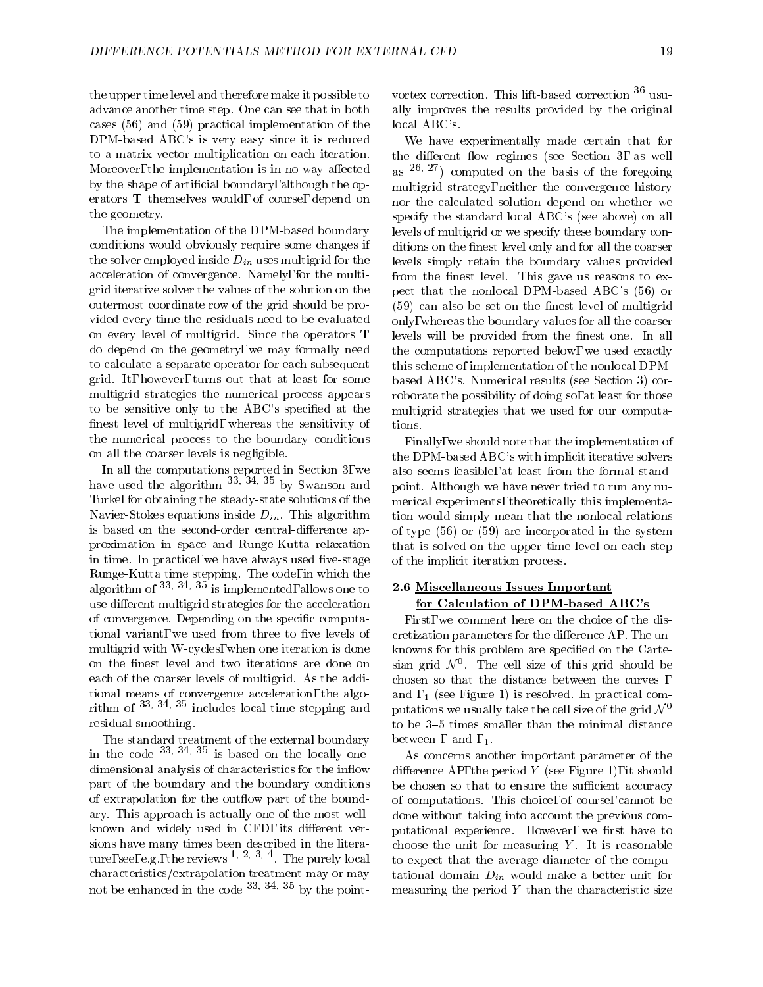the upper time level and therefore make it possible to advance another time step. One can see that in both cases (56) and (59) practical implementation of the DPM-based ABC's is very easy since it is reduced to a matrix-vector multiplication on each iteration. Moreover, the implementation is in no way affected by the shape of articial boundary, although the operators T themselves would, of course, depend on the geometry.

The implementation of the DPM-based boundary conditions would obviously require some changes if the solver employed inside  $D_{in}$  uses multigrid for the acceleration of convergence. Namely, for the multigrid iterative solver the values of the solution on the outermost coordinate row of the grid should be provided every time the residuals need to be evaluated on every level of multigrid. Since the operators T do depend on the geometry, we may formally need to calculate a separate operator for each subsequent grid. It, however, turns out that at least for some multigrid strategies the numerical process appears to be sensitive only to the ABC's specied at the finest level of multigrid, whereas the sensitivity of the numerical process to the boundary conditions on all the coarser levels is negligible.

In all the computations reported in Section 3, we have used the algorithm  $33, 34, 35$  by Swanson and  $\epsilon$  boint. Turkel for obtaining the steady-state solutions of the Navier-Stokes equations inside  $D_{in}$ . This algorithm is based on the second-order central-difference approximation in space and Runge-Kutta relaxation in time. In practice, we have always used five-stage algorithm of  $33$ ;  $34$ ,  $35$  is implemented, allows one to 2.6 M use different multigrid strategies for the acceleration of convergence. Depending on the specific computational variant, we used from three to five levels of multigrid with W-cycles, when one iteration is done on the finest level and two iterations are done on each of the coarser levels of multigrid. As the additional means of convergence acceleration, the algorithm of 33, 34, 35 includes local time stepping and residual smoothing.

in the code  $33$ ;  $34$ ;  $35$  is based on the locally-one-<br>As dimensional analysis of characteristics for the inflow part of the boundary and the boundary conditions of extrapolation for the outflow part of the boundary. This approach is actually one of the most wellknown and widely used in CFD, its different versions have many times been described in the literature, see, e.g., the reviews 1; 2; 3; <sup>4</sup> . The purely local characteristics/extrapolation treatment may or may not be enhanced in the code  $33$ ,  $34$ ,  $35$  by the point-

vortex correction. This lift-based correction <sup>36</sup> usually improves the results provided by the original local ABC's.

We have experimentally made certain that for the different flow regimes (see Section 3, as well as  $26, 27$  computed on the basis of the foregoing multigrid strategy, neither the convergence history nor the calculated solution depend on whether we specify the standard local ABC's (see above) on all levels of multigrid or we specify these boundary conditions on the finest level only and for all the coarser levels simply retain the boundary values provided from the finest level. This gave us reasons to expect that the nonlocal DPM-based ABC's (56) or  $(59)$  can also be set on the finest level of multigrid only, whereas the boundary values for all the coarser levels will be provided from the finest one. In all the computations reported below, we used exactly this scheme of implementation of the nonlocal DPMbased ABC's. Numerical results (see Section 3) corroborate the possibility of doing so, at least for those multigrid strategies that we used for our computations.

Finally, we should note that the implementation of the DPM-based ABC's with implicit iterative solvers also seems feasible, at least from the formal standpoint. Although we have never tried to run any numerical experiments, theoretically this implementation would simply mean that the nonlocal relations of type (56) or (59) are incorporated in the system that is solved on the upper time level on each step of the implicit iteration process.

## 2.6 Miscellaneous Issues Important for Calculation of DPM-based ABC's

First, we comment here on the choice of the discretization parameters for the difference AP. The unknowns for this problem are specied on the Cartesian grid N 0 The cell size of this grid should be chosen so that the distance between the curves and  $, 1$  (see Figure 1) is resolved. In practical computations we usually take the cell size of the grid  $\mathcal{N}^0$ to be 3-5 times smaller than the minimal distance between, and,  $_1$ .

As concerns another important parameter of the difference AP, the period  $Y$  (see Figure 1), it should be chosen so that to ensure the sufficient accuracy of computations. This choice, of course, cannot be done without taking into account the previous computational experience. However, we first have to choose the unit for measuring  $Y$ . It is reasonable to expect that the average diameter of the computational domain  $D_{in}$  would make a better unit for measuring the period  $Y$  than the characteristic size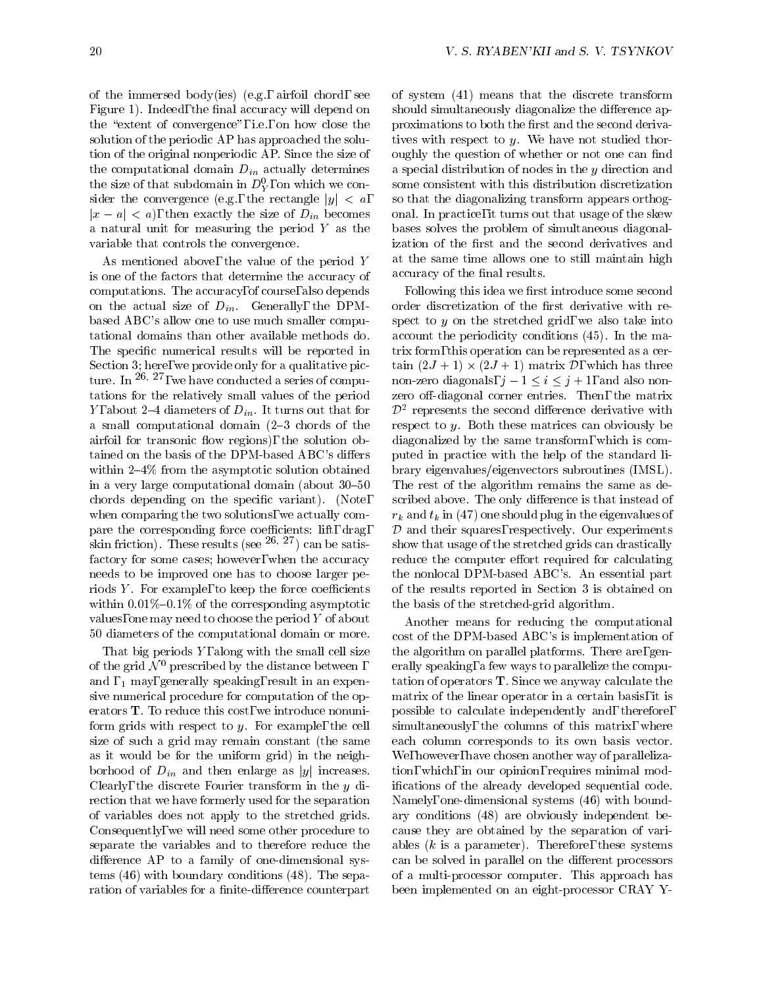of the immersed body(ies) (e.g., airfoil chord, see Figure 1). Indeed, the final accuracy will depend on the "extent of convergence", i.e., on how close the solution of the periodic AP has approached the solution of the original nonperiodic AP. Since the size of the computational domain  $D_{in}$  actually determines the size of that subdomain in  $D_Y^c$ , on which we con-som sider the convergence (e.g., the rectangle  $|y| < a$ ,  $|x - a| < a$ , then exactly the size of  $D_{in}$  becomes a natural unit for measuring the period <sup>Y</sup> as the variable that controls the convergence.

As mentioned above, the value of the period <sup>Y</sup> is one of the factors that determine the accuracy of computations. The accuracy, of course, also depends on the actual size of  $D_{in}$ . Generally, the DPMbased ABC's allow one to use much smaller computational domains than other available methods do. The specific numerical results will be reported in Section 3; here, we provide only for a qualitative picture. In  $26, 27$ , we have conducted a series of computations for the relatively small values of the period Y, about 2-4 diameters of  $D_{in}$ . It turns out that for a small computational domain  $(2-3 \text{ chords of the})$ airfoil for transonic flow regions), the solution obtained on the basis of the DPM-based ABC's differs within  $2-4\%$  from the asymptotic solution obtained in a very large computational domain (about  $30-50$ chords depending on the specic variant). (Note, when comparing the two solutions, we actually compare the corresponding force coefficients: lift, drag, skin friction). These results (see  $^{26, 27}$ ) can be satisfactory for some cases; however, when the accuracy needs to be improved one has to choose larger periods  $Y$ . For example, to keep the force coefficients within  $0.01\%$ –0.1% of the corresponding asymptotic values, one may need to choose the period <sup>Y</sup> of about 50 diameters of the computational domain or more.

That big periods  $Y$ , along with the small cell size of the grid  $\mathcal{N}^0$  prescribed by the distance between, and  $, 1$  may, generally speaking, result in an expensive numerical procedure for computation of the operators T. To reduce this cost, we introduce nonuniform grids with respect to  $y$ . For example, the cell size of such a grid may remain constant (the same as it would be for the uniform grid) in the neighborhood of  $D_{in}$  and then enlarge as |y| increases. Clearly, the discrete Fourier transform in the <sup>y</sup> direction that we have formerly used for the separation of variables does not apply to the stretched grids. Consequently, we will need some other procedure to separate the variables and to therefore reduce the difference  $AP$  to a family of one-dimensional systems (46) with boundary conditions (48). The separation of variables for a finite-difference counterpart of system (41) means that the discrete transform should simultaneously diagonalize the difference approximations to both the first and the second derivatives with respect to  $y$ . We have not studied thoroughly the question of whether or not one can find a special distribution of nodes in the <sup>y</sup> direction and some consistent with this distribution discretization so that the diagonalizing transform appears orthogonal. In practice, it turns out that usage of the skew bases solves the problem of simultaneous diagonalization of the first and the second derivatives and at the same time allows one to still maintain high accuracy of the final results.

Following this idea we first introduce some second order discretization of the first derivative with respect to  $y$  on the stretched grid, we also take into account the periodicity conditions (45). In the matrix form, this operation can be represented as a cer- $\tan$  (2)  $\pm$  1)  $\wedge$  (2)  $\pm$  1) matrix  $\nu$ , which has three non-zero diagonals,  $j - 1 \leq i \leq j + 1$ , and also nonzero off-diagonal corner entries. Then, the matrix  $\nu$  represents the second difference derivative with respect to  $y$ . Both these matrices can obviously be diagonalized by the same transform, which is computed in practice with the help of the standard library eigenvalues/eigenvectors subroutines (IMSL). The rest of the algorithm remains the same as described above. The only difference is that instead of  $r_k$  and  $t_k$  in (47) one should plug in the eigenvalues of  $\nu$  and their squares, respectively. Our experiments show that usage of the stretched grids can drastically reduce the computer effort required for calculating the nonlocal DPM-based ABC's. An essential part of the results reported in Section 3 is obtained on the basis of the stretched-grid algorithm.

Another means for reducing the computational cost of the DPM-based ABC's is implementation of the algorithm on parallel platforms. There are, generally speaking, a few ways to parallelize the computation of operators T. Since we anyway calculate the matrix of the linear operator in a certain basis, it is possible to calculate independently and, therefore, simultaneously, the columns of this matrix, where each column corresponds to its own basis vector. We, however, have chosen another way of parallelization, which, in our opinion, requires minimal modications of the already developed sequential code. Namely, one-dimensional systems (46) with boundary conditions (48) are obviously independent because they are obtained by the separation of variables  $(k$  is a parameter). Therefore, these systems can be solved in parallel on the different processors of a multi-processor computer. This approach has been implemented on an eight-processor CRAY Y-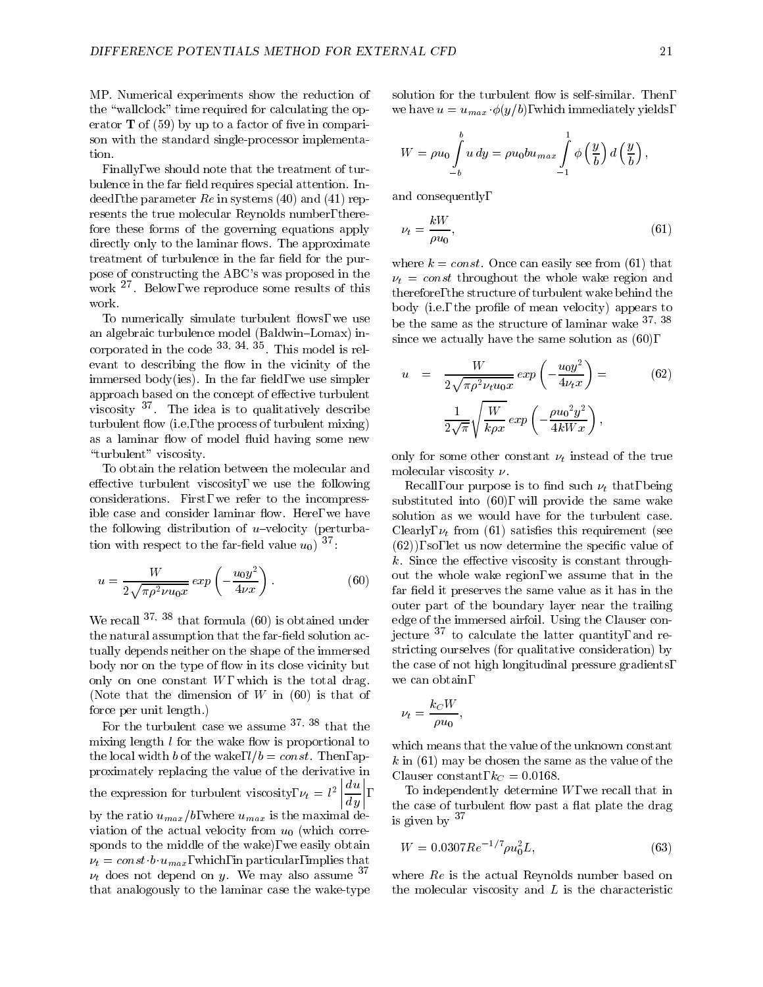MP. Numerical experiments show the reduction of the "wallclock" time required for calculating the operator  $T$  of (59) by up to a factor of five in comparison with the standard single-processor implementation.

Finally, we should note that the treatment of turbulence in the far field requires special attention. Indeed, the parameter  $Re$  in systems (40) and (41) represents the true molecular Reynolds number, therefore these forms of the governing equations apply directly only to the laminar flows. The approximate treatment of turbulence in the far field for the purpose of constructing the ABC's was proposed in the work  $\overline{\phantom{a}}$ . Below, we reproduce some results of this  $\overline{\phantom{a}}_{\phantom{a} \text{th}}$ . work.

To numerically simulate turbulent flows, we use an algebraic turbulence model (Baldwin-Lomax) incorporated in the code <sup>33</sup>; <sup>34</sup>; 1 his model is relevant to describing the flow in the vicinity of the immersed body(ies). In the far field, we use simpler approach based on the concept of effective turbulent viscosity <sup>37</sup> . The idea is to qualitatively describe turbulent flow (i.e., the process of turbulent mixing) as a laminar flow of model fluid having some new "turbulent" viscosity.

To obtain the relation between the molecular and effective turbulent viscosity, we use the following considerations. First, we refer to the incompressible case and consider laminar flow. Here, we have the following distribution of  $u$ -velocity (perturbation with respect to the far-field value  $u_0$ )  $37$ .

$$
u = \frac{W}{2\sqrt{\pi \rho^2 \nu u_0 x}} \exp\left(-\frac{u_0 y^2}{4\nu x}\right). \tag{60}
$$

We recall  $37, 38$  that formula (60) is obtained under the natural assumption that the far-field solution actually depends neither on the shape of the immersed body nor on the type of flow in its close vicinity but only on one constant  $W$ , which is the total drag. (Note that the dimension of  $W$  in (60) is that of force per unit length.)

For the turbulent case we assume 37; <sup>38</sup> that the mixing length  $l$  for the wake flow is proportional to the local width b of the wake,  $l/b = const.$  Then, approximately replacing the value of the derivative in the expression for turbulent viscosity,  $\nu_t = \iota^- | \frac{\cdot}{\cdot} |$ ,  $\left|\frac{du}{du}\right|,$  $\sim$   $\sim$  111 d y by the ratio  $u_{max}/b$ , where  $u_{max}$  is the maximal deviation of the actual velocity from  $u_0$  (which corresponds to the middle of the wake), we easily obtain  $\nu_t = const \cdot b \cdot u_{max}$ , which, in particular, implies that  $\nu_t$  does not depend on y. We may also assume 37 that analogously to the laminar case the wake-type

solution for the turbulent flow is self-similar. Then, we have  $u = u_{max} \phi(y/b)$ , which immediately yields,

$$
W = \rho u_0 \int\limits_{-b}^{b} u \, dy = \rho u_0 b u_{max} \int\limits_{-1}^{1} \phi\left(\frac{y}{b}\right) d\left(\frac{y}{b}\right),
$$

and consequently,

$$
\nu_t = \frac{kW}{\rho u_0},\tag{61}
$$

where  $k = const.$  Once can easily see from (61) that  $\nu_t = const$  throughout the whole wake region and therefore, the structure of turbulent wake behind the body (i.e., the profile of mean velocity) appears to be the same as the structure of laminar wake  $37,38$ since we actually have the same solution as (60),

$$
u = \frac{W}{2\sqrt{\pi \rho^2 \nu_t u_0 x}} \exp\left(-\frac{u_0 y^2}{4\nu_t x}\right) =
$$
\n
$$
\frac{1}{2\sqrt{\pi}} \sqrt{\frac{W}{k \rho x}} \exp\left(-\frac{\rho u_0^2 y^2}{4kW x}\right),
$$
\n(62)

only for some other constant  $\nu_t$  instead of the true molecular viscosity  $\nu$ .

 $\frac{1}{\sqrt{6}}$  far field it preserves the same value as it has in the Recall, our purpose is to find such  $\nu_t$  that, being substituted into (60), will provide the same wake solution as we would have for the turbulent case. Clearly,  $\nu_t$  from (61) satisfies this requirement (see  $(62)$ , so, let us now determine the specific value of  $k$ . Since the effective viscosity is constant throughout the whole wake region, we assume that in the outer part of the boundary layer near the trailing edge of the immersed airfoil. Using the Clauser conjecture  $37$  to calculate the latter quantity, and restricting ourselves (for qualitative consideration) by the case of not high longitudinal pressure gradients, we can obtain,

$$
\nu_t = \frac{k_C W}{\rho u_0},
$$

 $\sim$  class constant,  $\sim$  0.0168. which means that the value of the unknown constant  $k$  in (61) may be chosen the same as the value of the

To independently determine  $W$ , we recall that in the case of turbulent flow past a flat plate the drag is given by  $37$ 

$$
W = 0.0307 Re^{-1/7} \rho u_0^2 L,\t\t(63)
$$

where Re is the actual Reynolds number based on the molecular viscosity and  $L$  is the characteristic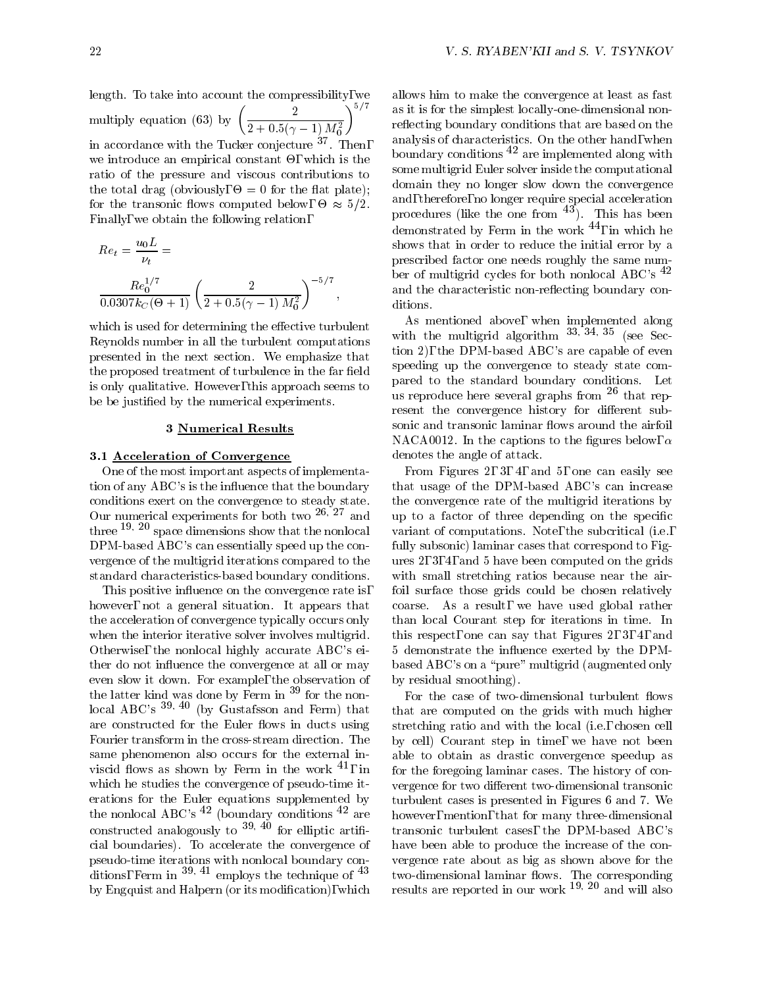length. To take into account the compressibility, we multiply equation (63) by  $\left(\frac{2}{2(1-x)^2}\right)^{1/2}$  $\frac{2}{2+0.5(\gamma-1)\,M_0^2}\bigg)^{\frac{2}{\gamma+1}}$  as in accordance with the Tucker conjecture <sup>37</sup> . Then,  $\sim$  - the state and empirically constant - , which is the state  $\sim$ ratio of the pressure and viscous contributions to the total drag (obviously,  $\mathbf{r}$  for the the the theoretical drag (obviously,  $\mathbf{r}$  for the the the theoretical drag (observed) is the the theoretical drag (or the the theoretical drag (or the the theoretical drag ( for the transome nows computed below,  $\sigma \approx 972$ . Finally, we obtain the following relation,

$$
Re_t = \frac{u_0 L}{\nu_t} =
$$
  

$$
\frac{Re_0^{1/7}}{0.0307 k_C (\Theta + 1)} \left(\frac{2}{2 + 0.5(\gamma - 1) M_0^2}\right)^{-5/7},
$$

which is used for determining the effective turbulent Reynolds number in all the turbulent computations presented in the next section. We emphasize that the proposed treatment of turbulence in the far field is only qualitative. However, this approach seems to be be justied by the numerical experiments.

### 3 Numerical Results

### 3.1 Acceleration of Convergence

One of the most important aspects of implementation of any ABC's is the in
uence that the boundary conditions exert on the convergence to steady state. Our numerical experiments for both two <sup>-----</sup> and the to three  $19, 20$  space dimensions show that the nonlocal DPM-based ABC's can essentially speed up the con vergence of the multigrid iterations compared to the standard characteristics-based boundary conditions.

This positive influence on the convergence rate is, however, not a general situation. It appears that the acceleration of convergence typically occurs only when the interior iterative solver involves multigrid. Otherwise, the nonlocal highly accurate ABC's either do not influence the convergence at all or may even slow it down. For example, the observation of the latter kind was done by Ferm in <sup>39</sup> for the nonlocal ABC's  $39, 40$  (by Gustafsson and Ferm) that are constructed for the Euler flows in ducts using Fourier transform in the cross-stream direction. The same phenomenon also occurs for the external inviscid flows as shown by Ferm in the work  $^{41}$ , in which he studies the convergence of pseudo-time iterations for the Euler equations supplemented by the nonlocal ABC's  $^{42}$  (boundary conditions  $^{42}$  are constructed analogously to  $39, 40$  for elliptic artificial boundaries). To accelerate the convergence of pseudo-time iterations with nonlocal boundary conditions, Ferm in  $39, 41$  employs the technique of  $43$ by Engquist and Halpern (or its modication), which allows him to make the convergence at least as fast as it is for the simplest locally-one-dimensional nonreflecting boundary conditions that are based on the analysis of characteristics. On the other hand, when boundary conditions  $42$  are implemented along with some multigrid Euler solver inside the computational domain they no longer slow down the convergence and, therefore, no longer require special acceleration procedures (like the one from  $43$ ). This has been demonstrated by Ferm in the work  $^{44}$ , in which he shows that in order to reduce the initial error by a prescribed factor one needs roughly the same number of multigrid cycles for both nonlocal ABC's <sup>42</sup> and the characteristic non-reflecting boundary conditions.

As mentioned above, when implemented along with the multigrid algorithm  $33, 34, 35$  (see Section 2), the DPM-based ABC's are capable of even speeding up the convergence to steady state compared to the standard boundary conditions. Let us reproduce here several graphs from <sup>26</sup> that represent the convergence history for different subsonic and transonic laminar flows around the airfoil NACA0012. In the captions to the figures below,  $\alpha$ denotes the angle of attack.

From Figures 2, 3, 4, and 5, one can easily see that usage of the DPM-based ABC's can increase the convergence rate of the multigrid iterations by up to a factor of three depending on the specific variant of computations. Note, the subcritical (i.e., fully subsonic) laminar cases that correspond to Figures 2, 3, 4, and 5 have been computed on the grids with small stretching ratios because near the airfoil surface those grids could be chosen relatively coarse. As a result, we have used global rather than local Courant step for iterations in time. In this respect, one can say that Figures 2, 3, 4, and 5 demonstrate the in
uence exerted by the DPMbased ABC's on a "pure" multigrid (augmented only by residual smoothing).

,  $\sim$  tor the foregoing laminar cases. The mstory of con-For the case of two-dimensional turbulent flows that are computed on the grids with much higher stretching ratio and with the local (i.e., chosen cell by cell) Courant step in time, we have not been able to obtain as drastic convergence speedup as vergence for two different two-dimensional transonic turbulent cases is presented in Figures 6 and 7. We however, mention, that for many three-dimensional transonic turbulent cases, the DPM-based ABC's have been able to produce the increase of the con vergence rate about as big as shown above for the results are reported in our work  $19$ ,  $20$  and will also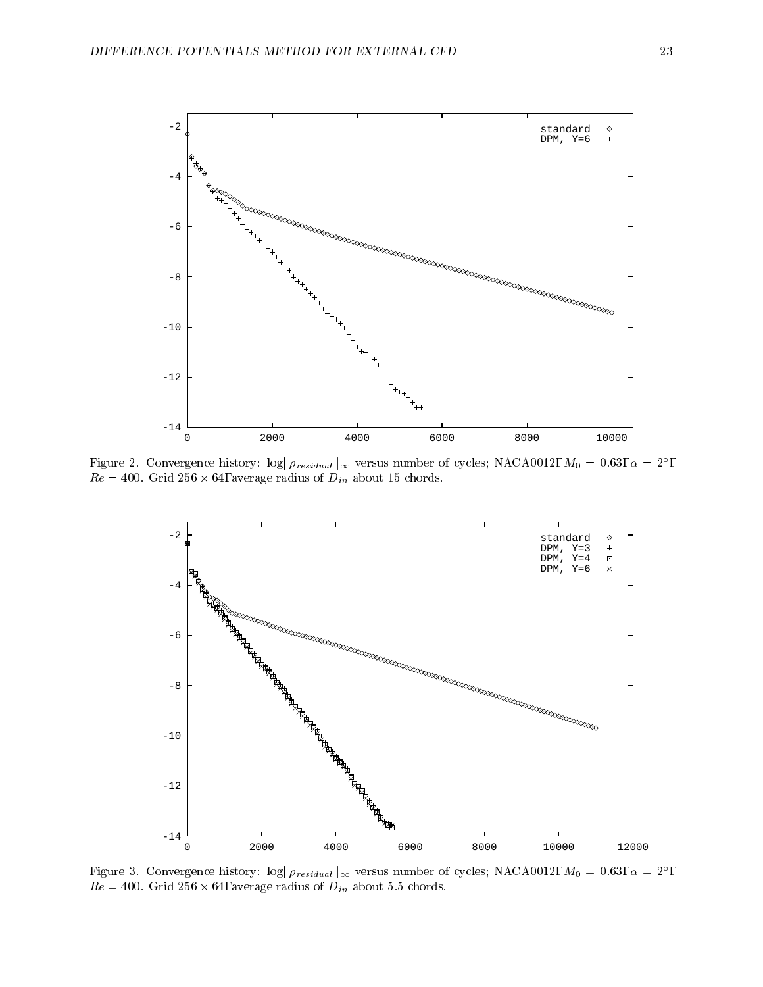

Figure 2. Convergence mistory:  $log||p_{residual}||_{\infty}$  versus number of cycles; NACA0012,  $M_0 = 0.03$ ,  $\alpha = 2$  ,  $\mu e = 400$ . Grid 250  $\times$  04, average radius of  $D_{in}$  about 15 chords.



Figure 3. Convergence mistory:  $\log \rho_{residual|_{\infty}}$  versus number of cycles; NACA0012,  $M_0 = 0.63$ ,  $\alpha = 2$ ,  $\mu$ c = 400. Grid 250  $\lambda$  04, average radius of  $D_{in}$  about 5.5 chords.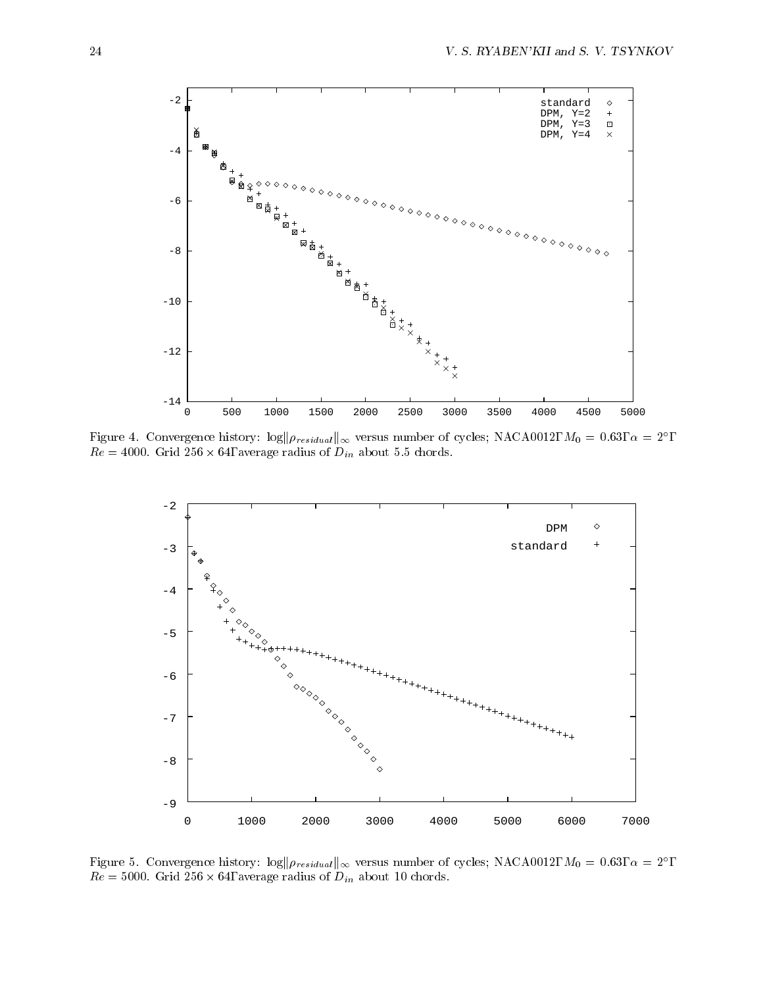

Figure 4. Convergence mistory:  $\log \|\rho_{residual}\|_{\infty}$  versus number of cycles; NACA0012,  $M_0 = 0.63$ ,  $\alpha = 2$ ,  $\mu e = 4000$ . Grid 250  $\times$  04, average radius or  $D_{in}$  about 5.5 chords.



Figure 5. Convergence mistory:  $\log \frac{\rho_{residual}}{\rho_{residual}}$  versus number of cycles; NACA0012,  $M_0 = 0.05, \alpha = 2$  ,  $\mu$ c = 5000. Grid 250  $\land$  04, average radius of  $D_{in}$  about 10 chords.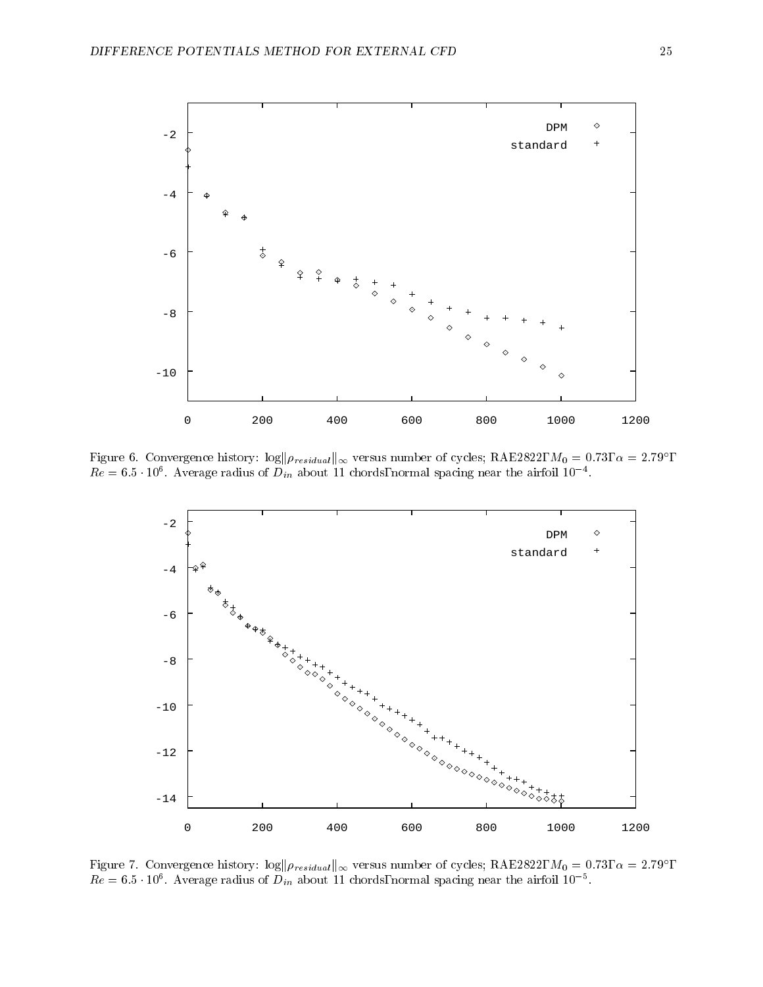

Figure 6. Convergence mistory:  $\log ||\rho_{residual}||_{\infty}$  versus number of cycles; RAE2822,  $M_0 = 0.73$ ,  $\alpha = 2.79$ ,  $Re = 0.5$  TO average radius of  $D_{in}$  about 11 chords, normal spacing near the airfoil 10  $\pm$ 



Figure 7. Convergence mstory:  $\log ||p_{residual}||_{\infty}$  versus number of cycles; RAE2822,  $M_0 = 0.73$ ,  $\alpha = 2.79$  ,  $Re \equiv 0.5\,$  TO . Average radius of  $D_{in}$  about 11 chords, normal spacing near the airfoil 10  $-$  .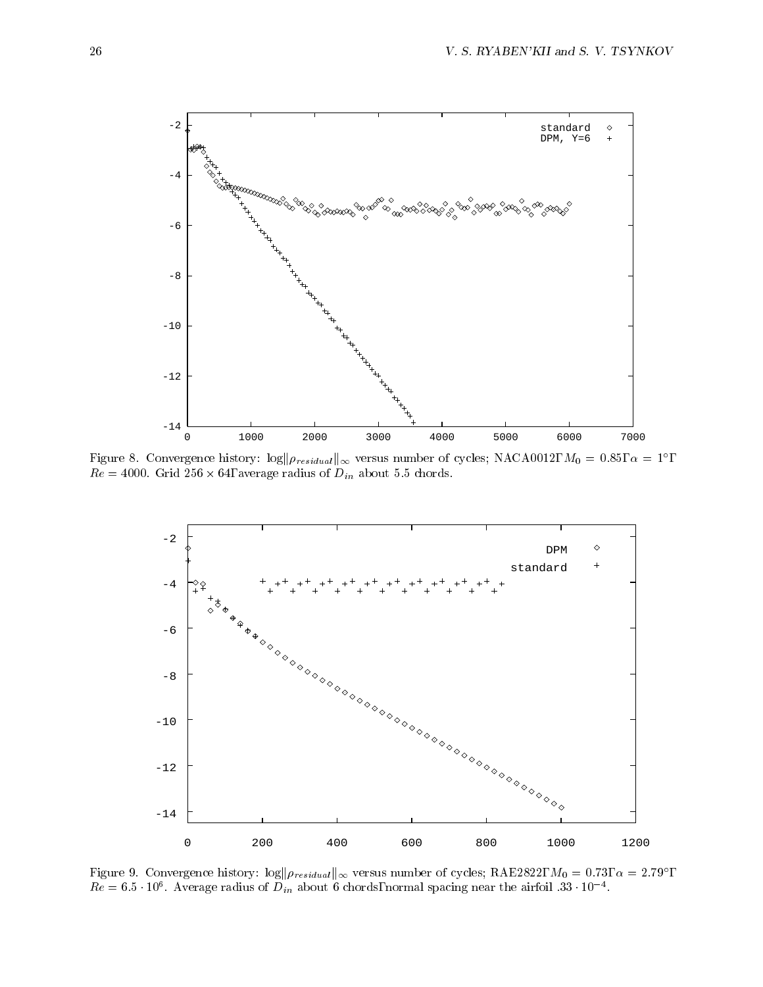

Figure 8. Convergence mistory:  $\log \rho_{residual}$  versus number of cycles; NACA0012,  $M_0 = 0.85, \alpha = 1$ ,  $\mu$ c = 4000. Grid 250  $\lambda$  04, average radius or  $D_{in}$  about 5.5 chords.



Figure 9. Convergence mstory:  $\log ||\rho_{residual}||_{\infty}$  versus number of cycles; RAE2822,  $M_0 = 0.73$ ,  $\alpha = 2.79$ ,  $Re = 6.5$  TeV average radius of  $D_{in}$  about 6 chords, normal spacing near the airfoil 33 TeV and the average radius of  $D_{in}$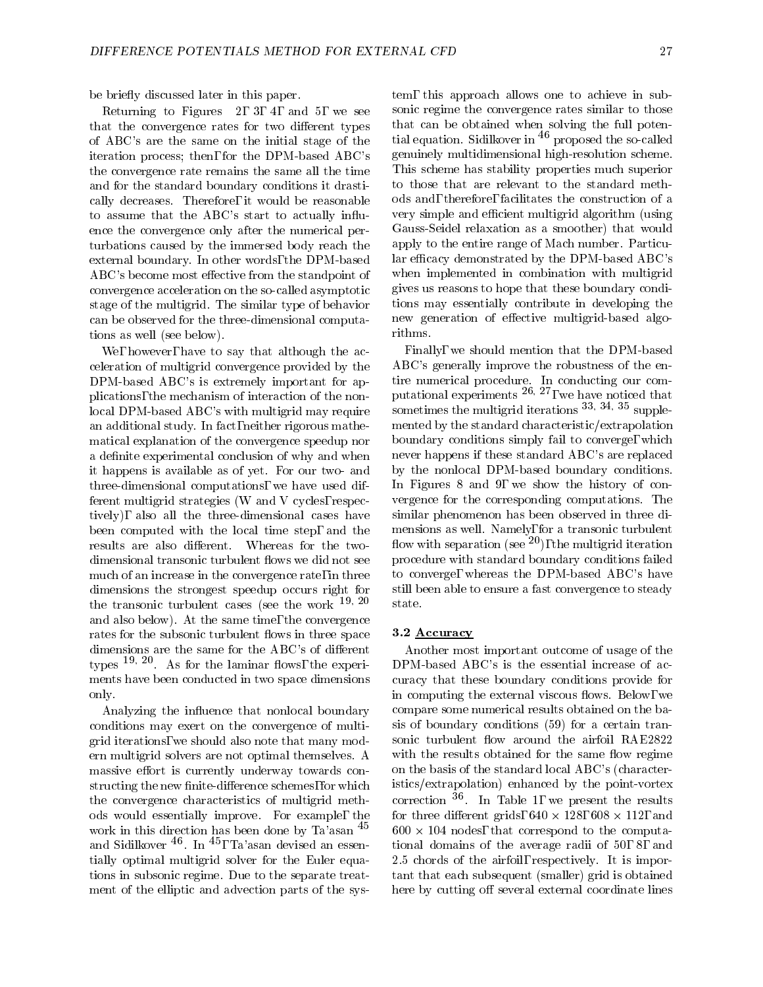be briefly discussed later in this paper.

Returning to Figures 2, 3, 4, and 5, we see that the convergence rates for two different types of ABC's are the same on the initial stage of the iteration process; then, for the DPM-based ABC's the convergence rate remains the same all the time and for the standard boundary conditions it drastically decreases. Therefore, it would be reasonable to assume that the ABC's start to actually in
uence the convergence only after the numerical perturbations caused by the immersed body reach the external boundary. In other words, the DPM-based ABC's become most effective from the standpoint of convergence acceleration on the so-called asymptotic stage of the multigrid. The similar type of behavior can be observed for the three-dimensional computations as well (see below).

We, however, have to say that although the acceleration of multigrid convergence provided by the DPM-based ABC's is extremely important for applications, the mechanism of interaction of the nonlocal DPM-based ABC's with multigrid may require an additional study. In fact, neither rigorous mathematical explanation of the convergence speedup nor a definite experimental conclusion of why and when it happens is available as of yet. For our two- and three-dimensional computations, we have used different multigrid strategies (W and V cycles, respectively), also all the three-dimensional cases have been computed with the local time step, and the results are also different. Whereas for the twodimensional transonic turbulent flows we did not see much of an increase in the convergence rate, in three dimensions the strongest speedup occurs right for the transonic turbulent cases (see the work  $19, 20$ and also below). At the same time, the convergence rates for the subsonic turbulent flows in three space dimensions are the same for the ABC's of different types  $\overline{\phantom{a}}$  . As for the laminar nows, the experiments have been conducted in two space dimensions only.

Analyzing the influence that nonlocal boundary conditions may exert on the convergence of multigrid iterations, we should also note that many modern multigrid solvers are not optimal themselves. A massive effort is currently underway towards constructing the new finite-difference schemes, for which the convergence characteristics of multigrid methods would essentially improve. For example, the work in this direction has been done by Ta'asan <sup>45</sup> and Sidilkover <sup>40</sup>. In <sup>45</sup>, Ta'asan devised an essen- tic tially optimal multigrid solver for the Euler equations in subsonic regime. Due to the separate treatment of the elliptic and advection parts of the sys-

tem, this approach allows one to achieve in subsonic regime the convergence rates similar to those that can be obtained when solving the full potential equation. Sidilkover in <sup>46</sup> proposed the so-called genuinely multidimensional high-resolution scheme. This scheme has stability properties much superior to those that are relevant to the standard methods and, therefore, facilitates the construction of a very simple and efficient multigrid algorithm (using Gauss-Seidel relaxation as a smoother) that would apply to the entire range of Mach number. Particular efficacy demonstrated by the DPM-based ABC's when implemented in combination with multigrid gives us reasons to hope that these boundary conditions may essentially contribute in developing the new generation of effective multigrid-based algorithms.

Finally, we should mention that the DPM-based ABC's generally improve the robustness of the entire numerical procedure. In conducting our computational experiments 26; 27, we have noticed that sometimes the multigrid iterations  $\frac{33}{33}$ ;  $\frac{34}{35}$  supplemented by the standard characteristic/extrapolation boundary conditions simply fail to converge, which never happens if these standard ABC's are replaced by the nonlocal DPM-based boundary conditions. In Figures 8 and 9, we show the history of con vergence for the corresponding computations. The similar phenomenon has been observed in three dimensions as well. Namely, for a transonic turbulent flow with separation (see  $^{20}$ ), the multigrid iteration procedure with standard boundary conditions failed to converge, whereas the DPM-based ABC's have still been able to ensure a fast convergence to steady state.

#### 3.2 Accuracy

Another most important outcome of usage of the DPM-based ABC's is the essential increase of accuracy that these boundary conditions provide for in computing the external viscous flows. Below, we compare some numerical results obtained on the basis of boundary conditions (59) for a certain transonic turbulent flow around the airfoil RAE2822 with the results obtained for the same flow regime on the basis of the standard local ABC's (characteristics/extrapolation) enhanced by the point-vortex correction <sup>36</sup> . In Table 1, we present the results for three different grids,  $040 \times 120$ ,  $000 \times 112$ , and  $_{\rm 000}$   $\lambda$  104 nodes, that correspond to the computational domains of the average radii of 50, 8, and 2.5 chords of the airfoil, respectively. It is important that each subsequent (smaller) grid is obtained here by cutting off several external coordinate lines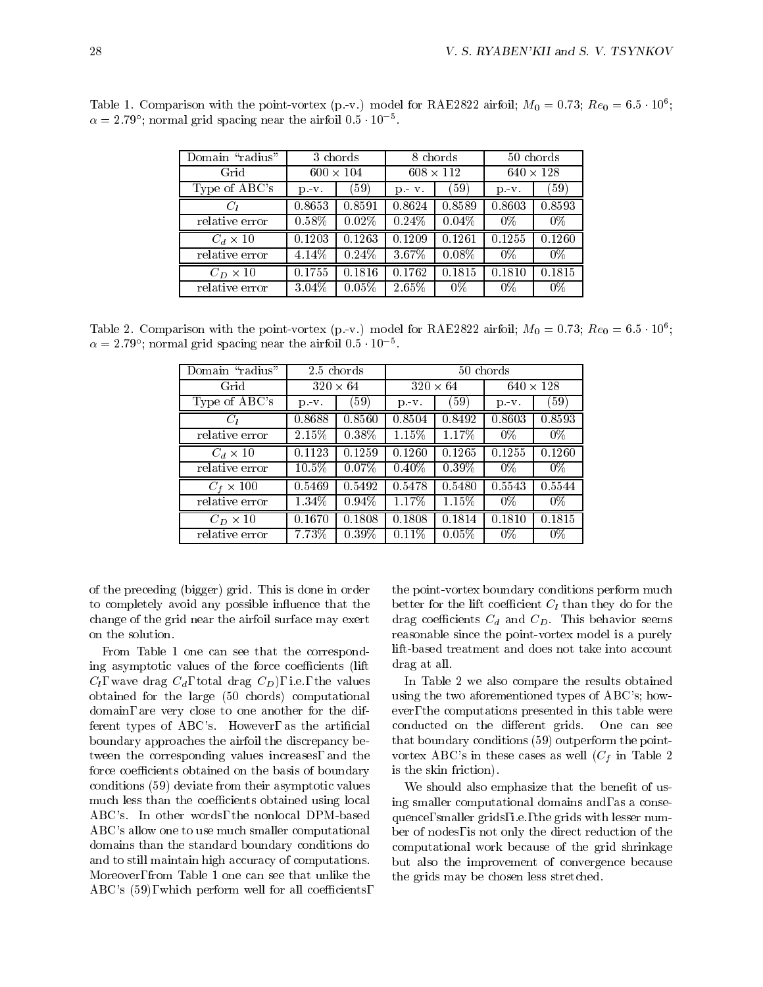| Domain "radius" |                  | 3 chords |                  | 8 chords |                  | 50 chords |
|-----------------|------------------|----------|------------------|----------|------------------|-----------|
| Grid            | $600 \times 104$ |          | $608 \times 112$ |          | $640 \times 128$ |           |
| Type of ABC's   | $p - v$ .        | (59)     | $p - v$ .        | (59)     | p. v.            | $^{(59)}$ |
|                 | 0.8653           | 0.8591   | 0.8624           | 0.8589   | 0.8603           | 0.8593    |
| relative error  | $0.58\%$         | 0.02%    | 0.24%            | 0.04%    | 0%               | $0\%$     |
| $C_d \times 10$ | 0.1203           | 0.1263   | 0.1209           | 0.1261   | 0.1255           | 0.1260    |
| relative error  | 4.14%            | 0.24%    | 3.67%            | 0.08%    | $0\%$            | $0\%$     |
| $C_D \times 10$ | 0.1755           | 0.1816   | 0.1762           | 0.1815   | 0.1810           | 0.1815    |
| relative error  | 3.04%            | 0.05%    | $2.65\%$         | $0\%$    | $0\%$            | $0\%$     |

Table 1. Comparison with the point-vortex (p.-v.) model for RAE2822 airfoil;  $M_0 = 0.73$ ;  $R\ell_0 = 0.5 \cdot 10^{\circ}$ ;  $\alpha =$  2.79 ; normal grid spacing near the airfoil 0.5 TO  $^{-1}$ 

Table 2. Comparison with the point-vortex (p.-v.) model for RAE2822 airfoil;  $M_0 = 0.73$ ;  $Re_0 = 6.5 \cdot 10^6$ ; **The contract of the contract of the contract of the contract of the contract of the contract of the contract of the contract of the contract of the contract of the contract of the contract of the contract of the contract**  $\alpha =$  2.79 ; normal grid spacing near the airfoil 0.5 TO  $^{-1}$ 

| Domain "radius"  | 2.5 chords |                 | 50 chords       |          |                  |        |  |
|------------------|------------|-----------------|-----------------|----------|------------------|--------|--|
| Grid             |            | $320 \times 64$ | $320 \times 64$ |          | $640 \times 128$ |        |  |
| Type of ABC's    | p. V.      | $^{(59)}$       | $p - v$ .       | (59)     | $p - v$ .        | (59)   |  |
| $C_l$            | 0.8688     | 0.8560          | 0.8504          | 0.8492   | 0.8603           | 0.8593 |  |
| relative error   | $2.15\%$   | 0.38%           | $1.15\%$        | 1.17%    | 0%               | $0\%$  |  |
| $C_d \times 10$  | 0.1123     | 0.1259          | 0.1260          | 0.1265   | 0.1255           | 0.1260 |  |
| relative error   | $10.5\%$   | $0.07\%$        | $0.40\%$        | $0.39\%$ | $0\%$            | $0\%$  |  |
| $C_f \times 100$ | 0.5469     | 0.5492          | 0.5478          | 0.5480   | 0.5543           | 0.5544 |  |
| relative error   | $1.34\%$   | $0.94\%$        | 1.17%           | $1.15\%$ | $0\%$            | $0\%$  |  |
| $C_D \times 10$  | 0.1670     | 0.1808          | 0.1808          | 0.1814   | 0.1810           | 0.1815 |  |
| relative error   | 7.73%      | $0.39\%$        | $0.11\%$        | $0.05\%$ | 0%               | $0\%$  |  |

of the preceding (bigger) grid. This is done in order to completely avoid any possible influence that the change of the grid near the airfoil surface may exert on the solution.

From Table 1 one can see that the corresponding asymptotic values of the force coefficients (lift)  $C_l$ , wave drag  $C_d$ , total drag  $C_D$ ), i.e., the values obtained for the large (50 chords) computational domain, are very close to one another for the different types of ABC's. However, as the artificial boundary approaches the airfoil the discrepancy between the corresponding values increases, and the force coefficients obtained on the basis of boundary conditions (59) deviate from their asymptotic values much less than the coefficients obtained using local ABC's. In other words, the nonlocal DPM-based ABC's allow one to use much smaller computational domains than the standard boundary conditions do and to still maintain high accuracy of computations. Moreover, from Table 1 one can see that unlike the  $ABC's$  (59), which perform well for all coefficients,

the point-vortex boundary conditions perform much better for the lift coefficient  $C_l$  than they do for the drag coefficients  $C_d$  and  $C_D$ . This behavior seems reasonable since the point-vortex model is a purely lift-based treatment and does not take into account drag at all.

In Table 2 we also compare the results obtained using the two aforementioned types of ABC's; how ever, the computations presented in this table were conducted on the different grids. One can see that boundary conditions (59) outperform the point vortex ABC's in these cases as well  $(C_f$  in Table 2 is the skin friction).

We should also emphasize that the benefit of using smaller computational domains and, as a consequence, smaller grids, i.e., the grids with lesser number of nodes, is not only the direct reduction of the computational work because of the grid shrinkage but also the improvement of convergence because the grids may be chosen less stretched.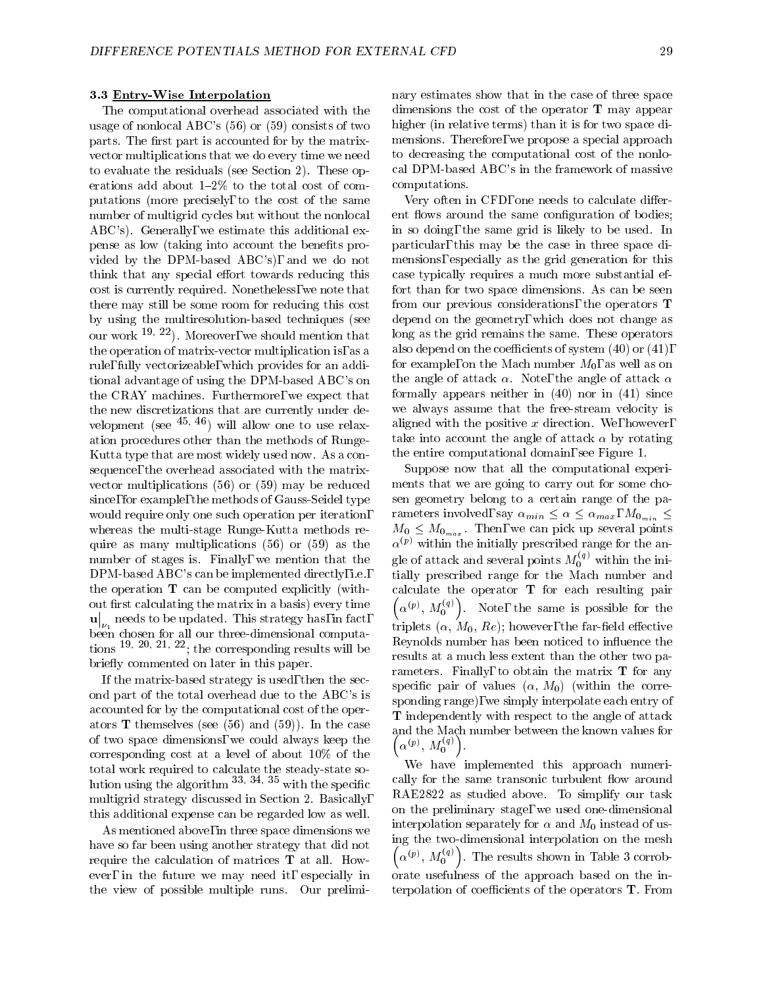### 3.3 Entry-Wise Interpolation

The computational overhead associated with the usage of nonlocal ABC's (56) or (59) consists of two parts. The first part is accounted for by the matrixvector multiplications that we do every time we need to evaluate the residuals (see Section 2). These operations add about  $1-2\%$  to the total cost of computations (more precisely, to the cost of the same number of multigrid cycles but without the nonlocal ABC's). Generally, we estimate this additional expense as low (taking into account the benefits provided by the DPM-based ABC's), and we do not think that any special effort towards reducing this cost is currently required. Nonetheless, we note that there may still be some room for reducing this cost by using the multiresolution-based techniques (see our work  $19, 22$ . Moreover, we should mention that the operation of matrix-vector multiplication is, as a rule, fully vectorizeable, which provides for an additional advantage of using the DPM-based ABC's on the CRAY machines. Furthermore, we expect that the new discretizations that are currently under de velopment (see  $45, 46$ ) will allow one to use relaxation procedures other than the methods of Runge-Kutta type that are most widely used now. As a consequence, the overhead associated with the matrix vector multiplications (56) or (59) may be reduced since, for example, the methods of Gauss-Seidel type would require only one such operation per iteration, whereas the multi-stage Runge-Kutta methods require as many multiplications (56) or (59) as the number of stages is. Finally, we mention that the DPM-based ABC's can be implemented directly, i.e., the operation T can be computed explicitly (without first calculating the matrix in a basis) every time under the control of the control of the control of the control of the control of the control of the control of  $\big|_{\nu_1}$  needs to be updated. This strategy has, in fact,  $\big|_{\nu_1}$ been chosen for all our three-dimensional computations 19; 20; 21; 22; the corresponding results will be briefly commented on later in this paper.

If the matrix-based strategy is used, then the second part of the total overhead due to the ABC's is accounted for by the computational cost of the operators **T** themselves (see  $(56)$  and  $(59)$ ). In the case of two space dimensions, we could always keep the corresponding cost at a level of about 10% of the total work required to calculate the steady-state solution using the algorithm  $33$ ,  $34$ ,  $35$  with the specific multigrid strategy discussed in Section 2. Basically, this additional expense can be regarded low as well.

As mentioned above, in three space dimensions we have so far been using another strategy that did not require the calculation of matrices T at all. How ever, in the future we may need it, especially in the view of possible multiple runs. Our preliminary estimates show that in the case of three space dimensions the cost of the operator T may appear higher (in relative terms) than it is for two space dimensions. Therefore, we propose a special approach to decreasing the computational cost of the nonlocal DPM-based ABC's in the framework of massive computations.

Very often in CFD, one needs to calculate different flows around the same configuration of bodies; in so doing, the same grid is likely to be used. In particular, this may be the case in three space dimensions, especially as the grid generation for this case typically requires a much more substantial effort than for two space dimensions. As can be seen from our previous considerations, the operators T depend on the geometry, which does not change as long as the grid remains the same. These operators also depend on the coefficients of system  $(40)$  or  $(41)$ , for example, on the Mach number  $M_0$ , as well as on the angle of attack  $\alpha$ . Note, the angle of attack  $\alpha$ formally appears neither in (40) nor in (41) since we always assume that the free-stream velocity is aligned with the positive  $x$  direction. We, however, take into account the angle of attack  $\alpha$  by rotating the entire computational domain, see Figure 1.

Suppose now that all the computational experiments that we are going to carry out for some chosen geometry belong to a certain range of the parameters involved, say  $\alpha_{min} \leq \alpha \leq \alpha_{max}$ ,  $M_{0_{min}} \leq$  $M_0 \leq M_{0_{max}}$ . Then, we can pick up several points  $\alpha^{(p)}$  within the initially prescribed range for the angle of attack and several points  $M_0^{\gamma\gamma}$  within the initially prescribed range for the Mach number and calculate the operator T for each resulting pair  $(\alpha^{(p)}, M_0^{(q)})$ . Note, the same is possible for the triplets  $(\alpha, M_0, Re)$ ; however, the far-field effective Reynolds number has been noticed to influence the results at a much less extent than the other two parameters. Finally, to obtain the matrix  $T$  for any specific pair of values  $(\alpha, M_0)$  (within the corresponding range), we simply interpolate each entry of T independently with respect to the angle of attack and the MacDonald the known values for the known values for the known values  $\sim$  $\left(\alpha^{(p)},\,M_0^{(q)}\right)$ .

We have implemented this approach numerically for the same transonic turbulent flow around RAE2822 as studied above. To simplify our task on the preliminary stage, we used one-dimensional interpolation separately for  $\alpha$  and  $M_0$  instead of using the two-dimensional interpolation on the mesh  $(\alpha^{(p)}, M_0^{(q)})$ . The results shown in Table 3 corroborate usefulness of the approach based on the interpolation of coefficients of the operators  $T$ . From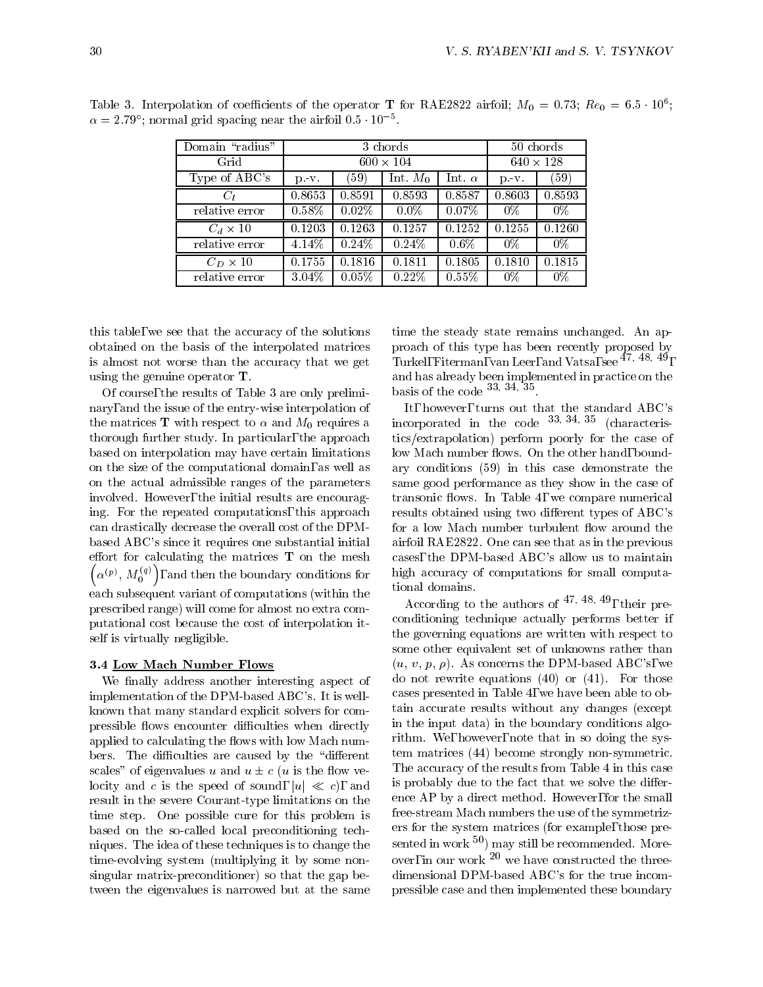| 30<br>۱ |  |
|---------|--|
|         |  |

| Domain "radius" | 3 chords         |          |            | 50 chords        |           |        |
|-----------------|------------------|----------|------------|------------------|-----------|--------|
| Grid            | $600 \times 104$ |          |            | $640 \times 128$ |           |        |
| Type of ABC's   | $p - v$ .        | (59)     | Int. $M_0$ | Int. $\alpha$    | $p - v$ . | (59)   |
| $C_l$           | 0.8653           | 0.8591   | 0.8593     | 0.8587           | 0.8603    | 0.8593 |
| relative error  | 0.58%            | $0.02\%$ | $0.0\%$    | $0.07\%$         | $0\%$     | $0\%$  |
| $C_d \times 10$ | 0.1203           | 0.1263   | 0.1257     | 0.1252           | 0.1255    | 0.1260 |
| relative error  | 4.14%            | 0.24%    | 0.24%      | $0.6\%$          | $0\%$     | 0%     |
| $C_D \times 10$ | 0.1755           | 0.1816   | 0.1811     | 0.1805           | 0.1810    | 0.1815 |
| relative error  | $3.04\%$         | $0.05\%$ | 0.22%      | $0.55\%$         | 0%        | 0%     |

Table 5. Interpolation of coefficients of the operator 1 for RAE2822 airfoil;  $M_0 = 0.73$ ;  $R_0 = 0.5 \cdot 10^{\circ}$ ;  $\alpha =$  2:79 ; normal grid spacing near the airfoil 0.5  $^\circ$  10  $^\circ$  .

this table, we see that the accuracy of the solutions obtained on the basis of the interpolated matrices is almost not worse than the accuracy that we get using the genuine operator T.

Of course, the results of Table 3 are only preliminary, and the issue of the entry-wise interpolation of the matrices **T** with respect to  $\alpha$  and  $M_0$  requires a thorough further study. In particular, the approach based on interpolation may have certain limitations on the size of the computational domain, as well as on the actual admissible ranges of the parameters involved. However, the initial results are encouraging. For the repeated computations, this approach can drastically decrease the overall cost of the DPMbased ABC's since it requires one substantial initial effort for calculating the matrices  $T$  on the mesh  $(\alpha^{(p)}, M_0^{(q)})$ , and then the boundary conditions for high each subsequent variant of computations (within the prescribed range) will come for almost no extra computational cost because the cost of interpolation itself is virtually negligible.

### 3.4 Low Mach Number Flows

We finally address another interesting aspect of implementation of the DPM-based ABC's. It is wellknown that many standard explicit solvers for compressible flows encounter difficulties when directly applied to calculating the flows with low Mach numbers. The difficulties are caused by the "different" scales" of eigenvalues u and  $u \pm c$  (u is the flow velocity and c is the speed of sound,  $|u| \ll c$ , and result in the severe Courant-type limitations on the time step. One possible cure for this problem is based on the so-called local preconditioning techniques. The idea of these techniques is to change the time-evolving system (multiplying it by some nonsingular matrix-preconditioner) so that the gap between the eigenvalues is narrowed but at the same time the steady state remains unchanged. An approach of this type has been recently proposed by Turkel, Fiterman, van Leer, and Vatsa, see  $47, 48, 49$ , and has already been implemented in practice on the basis of the code  $33, 34, 35$ 

It, however, turns out that the standard ABC's incorporated in the code 33; 34; <sup>35</sup> (characteristics/extrapolation) perform poorly for the case of low Mach number flows. On the other hand, boundary conditions (59) in this case demonstrate the same good performance as they show in the case of transonic flows. In Table 4, we compare numerical results obtained using two different types of ABC's for a low Mach number turbulent flow around the airfoil RAE2822. One can see that as in the previous cases, the DPM-based ABC's allow us to maintain high accuracy of computations for small computational domains.

According to the authors of  $47; 47; 48;$  their preconditioning technique actually performs better if the governing equations are written with respect to some other equivalent set of unknowns rather than  $(u, v, p, \rho)$ . As concerns the DPM-based ABC's, we do not rewrite equations (40) or (41). For those cases presented in Table 4, we have been able to obtain accurate results without any changes (except in the input data) in the boundary conditions algorithm. We, however, note that in so doing the system matrices (44) become strongly non-symmetric. The accuracy of the results from Table 4 in this case is probably due to the fact that we solve the difference AP by a direct method. However, for the small free-stream Mach numbers the use of the symmetrizers for the system matrices (for example, those presented in work  $50$ ) may still be recommended. Moreover, in our work  $20$  we have constructed the threedimensional DPM-based ABC's for the true incompressible case and then implemented these boundary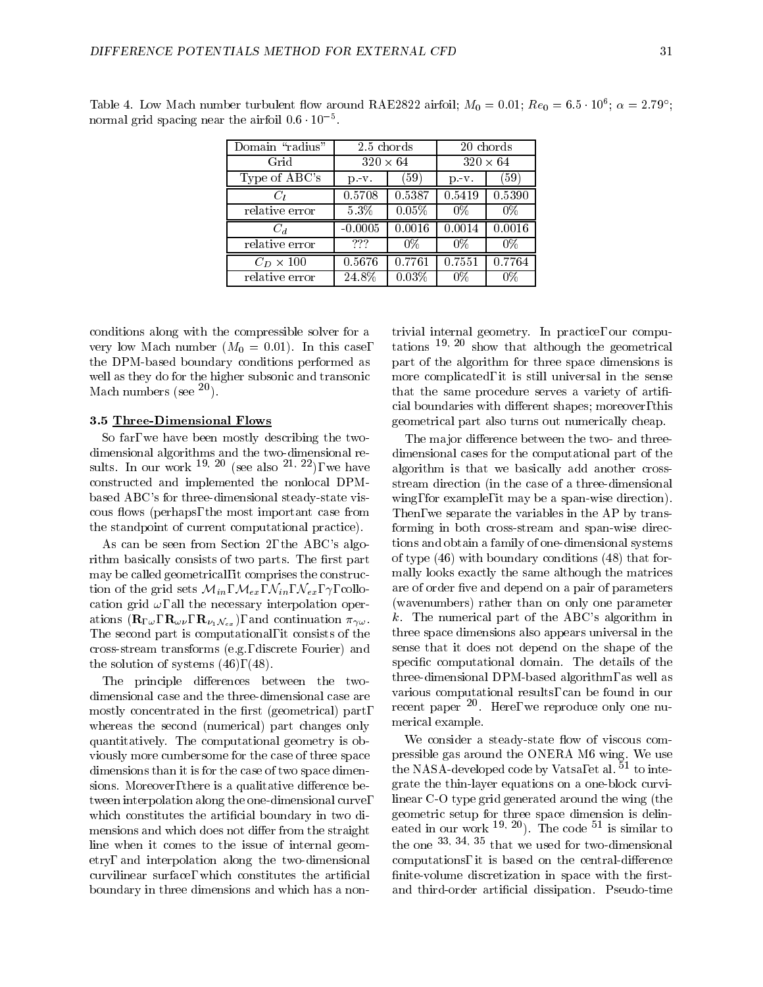| Domain "radius"  | 2.5 chords      |                     | 20 chords       |        |  |
|------------------|-----------------|---------------------|-----------------|--------|--|
| Grid             | $320 \times 64$ |                     | $320 \times 64$ |        |  |
| Type of ABC's    | $p - v$ .       | (59)                | $p - v$ .       | (59)   |  |
| $C_l$            | 0.5708          | 0.5387              | 0.5419          | 0.5390 |  |
| relative error   | $5.3\%$         | $0.05\%$            | $0\%$           | $0\%$  |  |
| $C_d$            | $-0.0005$       | $\overline{0.0016}$ | 0.0014          | 0.0016 |  |
| relative error   | ???             | $0\%$               | $0\%$           | $0\%$  |  |
| $C_D \times 100$ | 0.5676          | 0.7761              | 0.7551          | 0.7764 |  |
| relative error   | 24.8%           | $0.03\%$            | 0%              | 0%     |  |

Table 4. Low Mach number turbulent how around  $RAE2822$  airfoil;  $M_0 = 0.01$ ;  $R_0 = 0.5 \cdot 10^{\circ}$ ;  $\alpha = 2.79$ ; normal grid spacing near the airfoil  $0.6 \cdot 10^{-5}$ .

conditions along with the compressible solver for a very low Mach number  $(M_0 = 0.01)$ . In this case, the DPM-based boundary conditions performed as well as they do for the higher subsonic and transonic Mach numbers (see  $^{20}$ ).

#### 3.5 Three-Dimensional Flows

So far, we have been mostly describing the twodimensional algorithms and the two-dimensional results. In our work  $19, 20$  (see also  $21, 22$ ), we have constructed and implemented the nonlocal DPMbased ABC's for three-dimensional steady-state viscous flows (perhaps, the most important case from the standpoint of current computational practice).

As can be seen from Section 2, the ABC's algorithm basically consists of two parts. The first part may be called geometrical, it comprises the construction of the grid sets  $\mathcal{M}_{in}$ ,  $\mathcal{M}_{ex}$ ,  $\mathcal{N}_{in}$ ,  $\mathcal{N}_{ex}$ ,  $\gamma$ , collocation grid  $\omega$ , all the necessary interpolation operations  $(\mathbf{R}_{\Gamma_{\omega}}, \mathbf{R}_{\omega \nu}, \mathbf{R}_{\nu_1 \mathcal{N}_{ex}})$ , and continuation  $\pi_{\gamma \omega}$ . The second part is computational, it consists of the cross-stream transforms (e.g., discrete Fourier) and the solution of systems (46), (48).

The principle differences between the twodimensional case and the three-dimensional case are mostly concentrated in the first (geometrical) part, whereas the second (numerical) part changes only quantitatively. The computational geometry is obviously more cumbersome for the case of three space dimensions than it is for the case of two space dimensions. Moreover, there is a qualitative difference between interpolation along the one-dimensional curve, which constitutes the artificial boundary in two dimensions and which does not differ from the straight line when it comes to the issue of internal geometry, and interpolation along the two-dimensional curvilinear surface, which constitutes the articial boundary in three dimensions and which has a nontrivial internal geometry. In practice, our computations  $19, 20$  show that although the geometrical part of the algorithm for three space dimensions is more complicated, it is still universal in the sense that the same procedure serves a variety of artificial boundaries with different shapes; moreover, this geometrical part also turns out numerically cheap.

The major difference between the two- and threedimensional cases for the computational part of the algorithm is that we basically add another crossstream direction (in the case of a three-dimensional wing, for example, it may be a span-wise direction). Then, we separate the variables in the AP by transforming in both cross-stream and span-wise directions and obtain a family of one-dimensional systems of type (46) with boundary conditions (48) that formally looks exactly the same although the matrices are of order five and depend on a pair of parameters (wavenumbers) rather than on only one parameter k. The numerical part of the ABC's algorithm in three space dimensions also appears universal in the sense that it does not depend on the shape of the specific computational domain. The details of the three-dimensional DPM-based algorithm, as well as various computational results, can be found in our recent paper <sup>-</sup> . Here, we reproduce only one numerical example.

We consider a steady-state flow of viscous compressible gas around the ONERA M6 wing. We use the NASA-developed code by Vatsa, et al.  $51$  to integrate the thin-layer equations on a one-block curvilinear C-O type grid generated around the wing (the geometric setup for three space dimension is delineated in our work  $^{19, 20}$ ). The code  $^{51}$  is similar to the one  $33, 34, 35$  that we used for two-dimensional computations, it is based on the central-difference finite-volume discretization in space with the firstand third-order artificial dissipation. Pseudo-time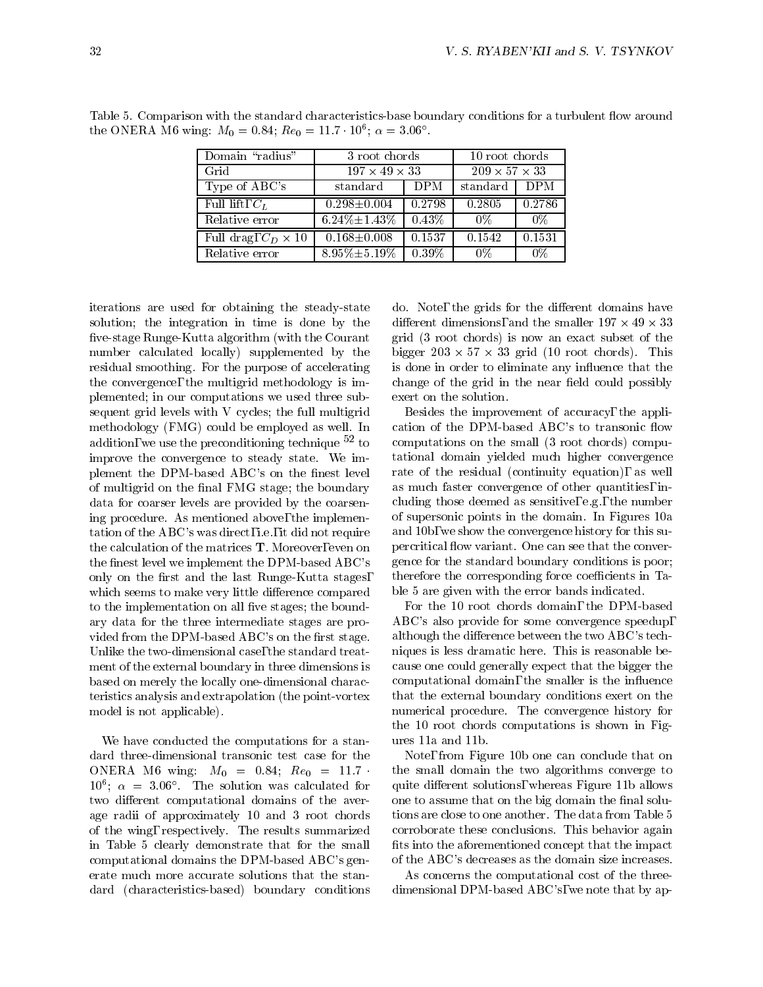| Domain "radius"            | 3 root chords             |          | 10 root chords            |        |  |
|----------------------------|---------------------------|----------|---------------------------|--------|--|
| Grid                       | $197 \times 49 \times 33$ |          | $209 \times 57 \times 33$ |        |  |
| Type of ABC's              | standard                  | DPM      | $\mathrm{standard}$       | DPM    |  |
| Full lift, $C_L$           | $0.298 \pm 0.004$         | 0.2798   | 0.2805                    | 0.2786 |  |
| Relative error             | $6.24\% \pm 1.43\%$       | $0.43\%$ | 0%                        | $0\%$  |  |
| Full drag, $C_D \times 10$ | $0.168 \pm 0.008$         | 0.1537   | 0.1542                    | 0.1531 |  |
| Relative error             | $8.95\% \pm 5.19\%$       | $0.39\%$ | $0\%$                     | $0\%$  |  |

Table 5. Comparison with the standard characteristics-base boundary conditions for a turbulent flow around the ONERA M6 wing:  $M_0 = 0.84$ ;  $Re_0 = 11.7$  T0°;  $\alpha = 3.06$ 

iterations are used for obtaining the steady-state solution; the integration in time is done by the five-stage Runge-Kutta algorithm (with the Courant number calculated locally) supplemented by the residual smoothing. For the purpose of accelerating the convergence, the multigrid methodology is implemented; in our computations we used three subsequent grid levels with V cycles; the full multigrid methodology (FMG) could be employed as well. In addition, we use the preconditioning technique  $52$  to improve the convergence to steady state. We implement the DPM-based ABC's on the finest level of multigrid on the final FMG stage; the boundary data for coarser levels are provided by the coarsening procedure. As mentioned above, the implementation of the ABC's was direct, i.e., it did not require the calculation of the matrices T. Moreover, even on the finest level we implement the DPM-based ABC's only on the first and the last Runge-Kutta stages, which seems to make very little difference compared to the implementation on all five stages; the boundary data for the three intermediate stages are provided from the DPM-based ABC's on the first stage. Unlike the two-dimensional case, the standard treatment of the external boundary in three dimensions is based on merely the locally one-dimensional characteristics analysis and extrapolation (the point-vortex model is not applicable).

We have conducted the computations for a standard three-dimensional transonic test case for the ONERA M6 wing:  $M_0 = 0.84$ ;  $Re_0 = 11.7$  $10^{-1}$ ;  $\alpha = 3.06$  . The solution was calculated for qu two different computational domains of the average radii of approximately 10 and 3 root chords of the wing, respectively. The results summarized in Table 5 clearly demonstrate that for the small computational domains the DPM-based ABC's generate much more accurate solutions that the standard (characteristics-based) boundary conditions

do. Note, the grids for the different domains have different dimensions, and the smaller  $137 \times 43 \times 33$ grid (3 root chords) is now an exact subset of the  $\frac{1}{200}$   $\sim$   $\frac{1}{200}$   $\sim$   $\frac{1}{20}$   $\frac{1}{200}$   $\frac{1}{200}$   $\frac{1}{200}$   $\frac{1}{200}$   $\sim$   $\frac{1}{200}$   $\sim$   $\frac{1}{200}$   $\sim$   $\frac{1}{200}$   $\sim$   $\frac{1}{200}$   $\sim$   $\frac{1}{200}$   $\sim$   $\frac{1}{200}$   $\sim$   $\frac{1}{200}$   $\sim$   $\frac{$ is done in order to eliminate any influence that the change of the grid in the near field could possibly exert on the solution.

Besides the improvement of accuracy, the application of the DPM-based ABC's to transonic flow computations on the small (3 root chords) computational domain yielded much higher convergence rate of the residual (continuity equation), as well as much faster convergence of other quantities, including those deemed as sensitive, e.g., the number of supersonic points in the domain. In Figures 10a and 10b, we show the convergence history for this supercritical flow variant. One can see that the convergence for the standard boundary conditions is poor; therefore the corresponding force coefficients in Table 5 are given with the error bands indicated.

For the 10 root chords domain, the DPM-based ABC's also provide for some convergence speedup, although the difference between the two  $ABC$ 's techniques is less dramatic here. This is reasonable because one could generally expect that the bigger the computational domain, the smaller is the influence that the external boundary conditions exert on the numerical procedure. The convergence history for the 10 root chords computations is shown in Figures 11a and 11b.

Note, from Figure 10b one can conclude that on the small domain the two algorithms converge to quite different solutions, whereas Figure 11b allows one to assume that on the big domain the final solutions are close to one another. The data from Table 5 corroborate these conclusions. This behavior again fits into the aforementioned concept that the impact of the ABC's decreases as the domain size increases.

As concerns the computational cost of the threedimensional DPM-based ABC's, we note that by ap-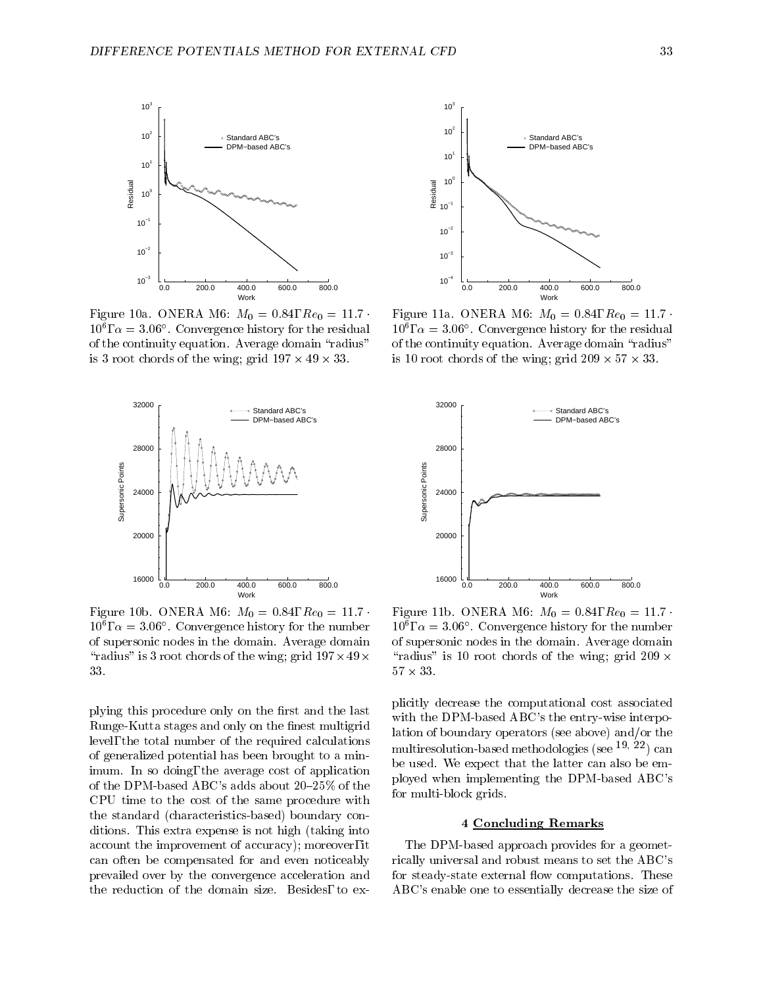

Figure 10a. ONERA M6:  $M_0 = 0.84$ ,  $Re_0 = 11.7$ .  $10^{\circ}$ ,  $\alpha = 3.06$  . Convergence mstory for the residual  $\beta$ of the continuity equation. Average domain "radius"  $\frac{15}{3}$  of root chords of the wing; grid 197  $\land$  49  $\land$  99.





Figure 11a. ONERA M6:  $M_0 = 0.84$ ,  $Re_0 = 11.7$  $10^{\circ}$ ,  $\alpha = 3.06$  . Convergence mstory for the residual of the continuity equation. Average domain "radius" is 10 root chords of the wing, grid 209  $\land$  91  $\land$  99.



Figure 10b. ONERA M6:  $M_0 = 0.84$ ,  $Re_0 = 11.7$ .  $10, \alpha = 3.06$ . Convergence mstory for the number  $10$ of supersonic nodes in the domain. Average domain  $\lceil \frac{1}{2} \rceil$  and  $\lceil \frac{1}{2} \rceil$  of chords of the wing; grid 197- $\lceil \frac{1}{2} \rceil$ 33.

plying this procedure only on the first and the last Runge-Kutta stages and only on the finest multigrid level, the total number of the required calculations of generalized potential has been brought to a minimum. In so doing, the average cost of application of the DPM-based ABC's adds about  $20{\text -}25\%$  of the CPU time to the cost of the same procedure with the standard (characteristics-based) boundary conditions. This extra expense is not high (taking into account the improvement of accuracy); moreover, it can often be compensated for and even noticeably prevailed over by the convergence acceleration and the reduction of the domain size. Besides, to ex-

 $\lceil \text{radius} \rceil$  is 10 root chords of the wing; grid 209  $\times$ Figure 11b. ONERA M6:  $M_0 = 0.84$ ,  $Re_0 = 11.7$ .  $10$ ,  $\alpha = 3.06$ . Convergence mstory for the number of supersonic nodes in the domain. Average domain  $31 \times 33$ .

plicitly decrease the computational cost associated with the DPM-based ABC's the entry-wise interpolation of boundary operators (see above) and/or the multiresolution-based methodologies (see  $19, 22$ ) can be used. We expect that the latter can also be employed when implementing the DPM-based ABC's for multi-block grids.

### 4 Concluding Remarks

The DPM-based approach provides for a geometrically universal and robust means to set the ABC's for steady-state external flow computations. These ABC's enable one to essentially decrease the size of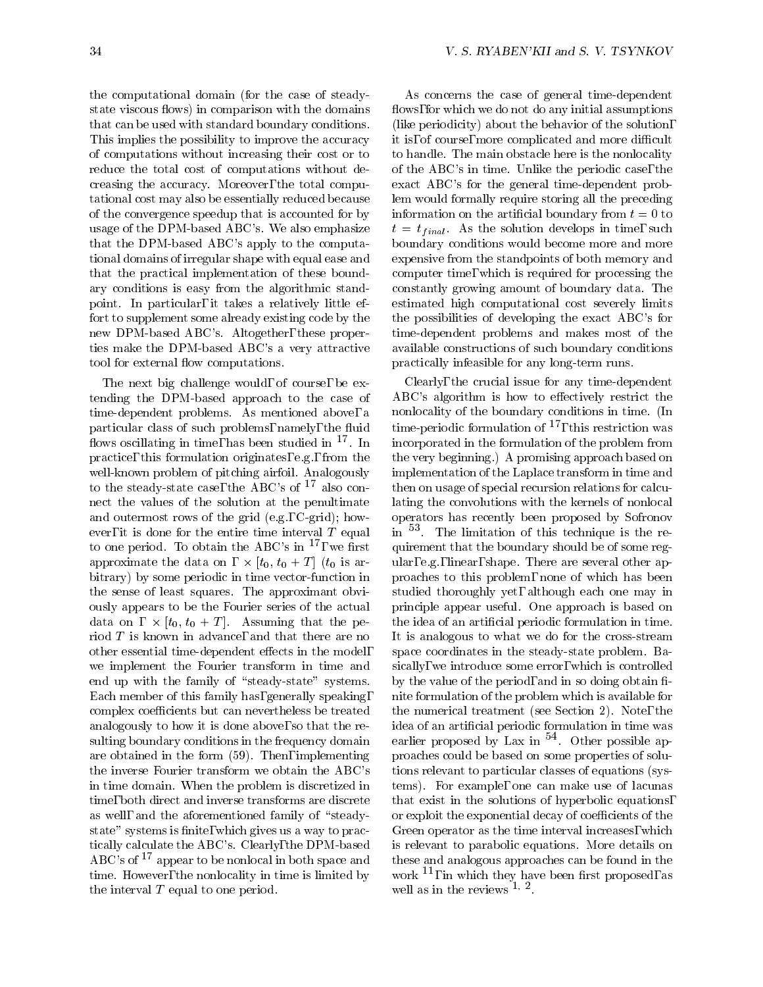the computational domain (for the case of steadystate viscous flows) in comparison with the domains that can be used with standard boundary conditions. This implies the possibility to improve the accuracy of computations without increasing their cost or to reduce the total cost of computations without decreasing the accuracy. Moreover, the total computational cost may also be essentially reduced because of the convergence speedup that is accounted for by usage of the DPM-based ABC's. We also emphasize that the DPM-based ABC's apply to the computational domains of irregular shape with equal ease and that the practical implementation of these boundary conditions is easy from the algorithmic standpoint. In particular, it takes a relatively little effort to supplement some already existing code by the new DPM-based ABC's. Altogether, these properties make the DPM-based ABC's a very attractive tool for external flow computations.

The next big challenge would, of course, be extending the DPM-based approach to the case of time-dependent problems. As mentioned above, a nonlocality of the boundary conditions in time. (In particular class of such problems, namely, the fluid flows oscillating in time, has been studied in  $17$ . In practice, this formulation originates, e.g., from the well-known problem of pitching airfoil. Analogously to the steady-state case, the ABC's of <sup>17</sup> also connect the values of the solution at the penultimate and outermost rows of the grid (e.g., C-grid); how ever, it is done for the entire time interval  $T$  equal to one period. To obtain the ABC's in  $^{17}$ , we first approximate the data on - [t0; t0 <sup>+</sup> <sup>T</sup> ] (t0 is arbitrary) by some periodic in time vector-function in the sense of least squares. The approximant obviously appears to be the Fourier series of the actual  $\alpha$  at  $\alpha$  on  $\alpha$ ,  $\alpha$  of  $\alpha$  is the parameter of  $\alpha$  is the property of  $\alpha$ riod <sup>T</sup> is known in advance, and that there are no other essential time-dependent effects in the model, we implement the Fourier transform in time and end up with the family of "steady-state" systems. Each member of this family has, generally speaking, complex coefficients but can nevertheless be treated analogously to how it is done above, so that the resulting boundary conditions in the frequency domain are obtained in the form (59). Then, implementing the inverse Fourier transform we obtain the ABC's in time domain. When the problem is discretized in time, both direct and inverse transforms are discrete as well, and the aforementioned family of "steadystate" systems is finite, which gives us a way to practically calculate the ABC's. Clearly, the DPM-based ABC's of  $^{17}$  appear to be nonlocal in both space and time. However, the nonlocality in time is limited by the interval  $T$  equal to one period.

As concerns the case of general time-dependent flows, for which we do not do any initial assumptions (like periodicity) about the behavior of the solution, it is, of course, more complicated and more difficult to handle. The main obstacle here is the nonlocality of the ABC's in time. Unlike the periodic case, the exact ABC's for the general time-dependent problem would formally require storing all the preceding information on the artificial boundary from  $t=0$  to  $t = t_{final}$ . As the solution develops in time, such boundary conditions would become more and more expensive from the standpoints of both memory and computer time, which is required for processing the constantly growing amount of boundary data. The estimated high computational cost severely limits the possibilities of developing the exact ABC's for time-dependent problems and makes most of the available constructions of such boundary conditions practically infeasible for any long-term runs.

. In incorporated in the formulation of the problem from Clearly, the crucial issue for any time-dependent ABC's algorithm is how to effectively restrict the nonlocality of the boundary conditions in time  $\sim$ time-periodic formulation of 17, this restriction was the very beginning.) A promising approach based on implementation of the Laplace transform in time and then on usage of special recursion relations for calculating the convolutions with the kernels of nonlocal operators has recently been proposed by Sofronov in <sup>53</sup> . The limitation of this technique is the requirement that the boundary should be of some regular, e.g., linear, shape. There are several other approaches to this problem, none of which has been studied thoroughly yet, although each one may in principle appear useful. One approach is based on the idea of an articial periodic formulation in time. It is analogous to what we do for the cross-stream space coordinates in the steady-state problem. Basically, we introduce some error, which is controlled by the value of the period, and in so doing obtain finite formulation of the problem which is available for the numerical treatment (see Section 2). Note, the idea of an articial periodic formulation in time was earlier proposed by Lax in T. Other possible approaches could be based on some properties of solutions relevant to particular classes of equations (systems). For example, one can make use of lacunas that exist in the solutions of hyperbolic equations, or exploit the exponential decay of coefficients of the Green operator as the time interval increases, which is relevant to parabolic equations. More details on these and analogous approaches can be found in the work 11, in which they have been rst proposed, as well as in the reviews  $\lnot$   $\lnot$  .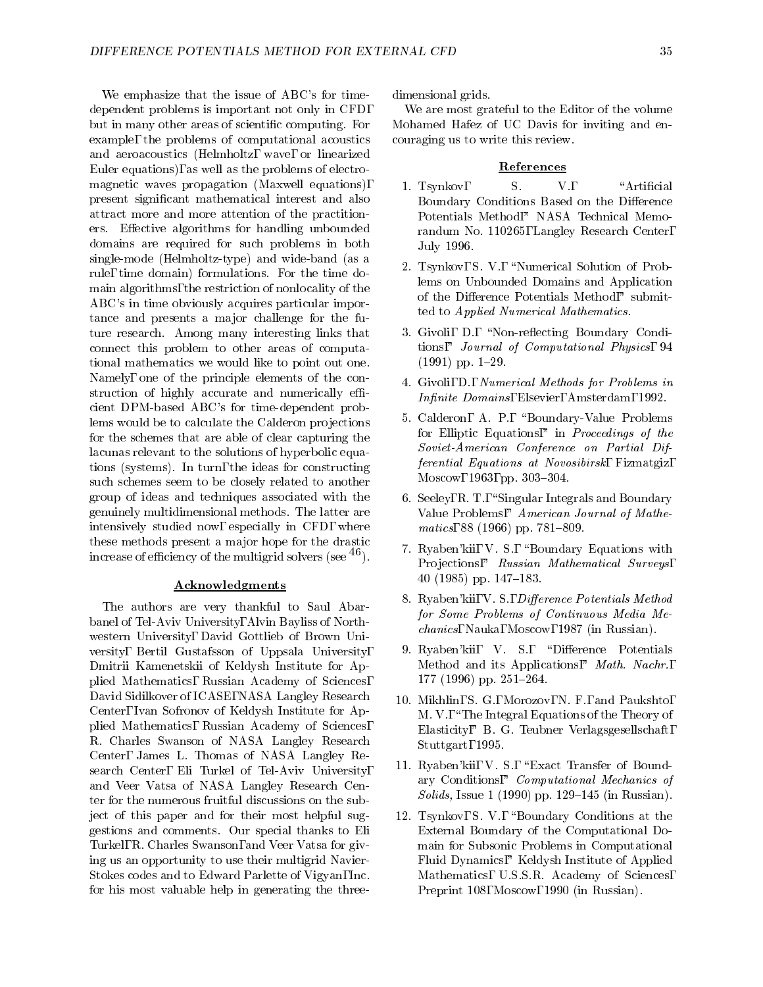We emphasize that the issue of ABC's for timedependent problems is important not only in CFD, but in many other areas of scientic computing. For example, the problems of computational acoustics and aeroacoustics (Helmholtz, wave, or linearized Euler equations), as well as the problems of electromagnetic waves propagation (Maxwell equations), present signicant mathematical interest and also attract more and more attention of the practitioners. Effective algorithms for handling unbounded domains are required for such problems in both single-mode (Helmholtz-type) and wide-band (as a rule, time domain) formulations. For the time domain algorithms, the restriction of nonlocality of the ABC's in time obviously acquires particular importance and presents a major challenge for the future research. Among many interesting links that connect this problem to other areas of computational mathematics we would like to point out one. Namely, one of the principle elements of the construction of highly accurate and numerically efficient DPM-based ABC's for time-dependent problems would be to calculate the Calderon projections for the schemes that are able of clear capturing the lacunas relevant to the solutions of hyperbolic equations (systems). In turn, the ideas for constructing such schemes seem to be closely related to another group of ideas and techniques associated with the genuinely multidimensional methods. The latter are intensively studied now, especially in CFD, where these methods present a major hope for the drastic increase of efficiency of the multigrid solvers (see  $^{46}$ ).

#### Acknowledgments

The authors are very thankful to Saul Abarbanel of Tel-Aviv University, Alvin Bayliss of North western University, David Gottlieb of Brown Uni versity, Bertil Gustafsson of Uppsala University, Dmitrii Kamenetskii of Keldysh Institute for Applied Mathematics, Russian Academy of Sciences, David Sidilkover of ICASE, NASA Langley Research Center, Ivan Sofronov of Keldysh Institute for Applied Mathematics, Russian Academy of Sciences, R. Charles Swanson of NASA Langley Research Center, James L. Thomas of NASA Langley Research Center, Eli Turkel of Tel-Aviv University, and Veer Vatsa of NASA Langley Research Center for the numerous fruitful discussions on the subject of this paper and for their most helpful suggestions and comments. Our special thanks to Eli Turkel, R. Charles Swanson, and Veer Vatsa for giving us an opportunity to use their multigrid Navier-Stokes codes and to Edward Parlette of Vigyan, Inc. for his most valuable help in generating the threedimensional grids.

We are most grateful to the Editor of the volume Mohamed Hafez of UC Davis for inviting and encouraging us to write this review.

### References

- 1. Tsynkov, S. V., "Artificial Boundary Conditions Based on the Difference Potentials Method," NASA Technical Memorandum No. 110265, Langley Research Center, July 1996.
- 2. Tsynkov, S. V., "Numerical Solution of Problems on Unbounded Domains and Application of the Difference Potentials Method," submitted to Applied Numerical Mathematics.
- 3. Givoli, D., "Non-reflecting Boundary Conditions," Journal of Computational Physics, 94  $(1991)$  pp. 1-29.
- 4. Givoli, D., Numerical Methods for Problems in Infinite Domains, Elsevier, Amsterdam, 1992.
- 5. Calderon, A. P., "Boundary-Value Problems for Elliptic Equations," in Proceedings of the Soviet-American Conference on Partial Differential Equations at Novosibirsk, Fizmatgiz, Moscow, 1963, pp. 303-304.
- 6. Seeley, R. T., "Singular Integrals and Boundary Value Problems," American Journal of Mathematics, 88 (1966) pp.  $781{-}809$ .
- 7. Ryaben'kii, V. S., "Boundary Equations with Projections," Russian Mathematical Surveys, 40 (1985) pp.  $147-183$ .
- 8. Ryaben'kii, V. S., Difference Potentials Method for Some Problems of Continuous Media Mechanics, Nauka, Moscow, 1987 (in Russian).
- 9. Ryaben'kii, V. S., "Difference Potentials Method and its Applications," Math. Nachr., 177 (1996) pp. 251-264.
- 10. Mikhlin, S. G., Morozov, N. F., and Paukshto, M. V., "The Integral Equations of the Theory of Elasticity," B. G. Teubner Verlagsgesellschaft, Stuttgart, 1995.
- 11. Ryaben'kii, V. S., "Exact Transfer of Boundary Conditions," Computational Mechanics of Solids, Issue 1 (1990) pp. 129–145 (in Russian).
- 12. Tsynkov, S. V., "Boundary Conditions at the External Boundary of the Computational Domain for Subsonic Problems in Computational main for Subsonic Problems in Computational Problems in Computational Problems in Computational Problems in Co Fluid Dynamics," Keldysh Institute of Applied Mathematics, U.S.S.R. Academy of Sciences, Preprint 108, Moscow, 1990 (in Russian).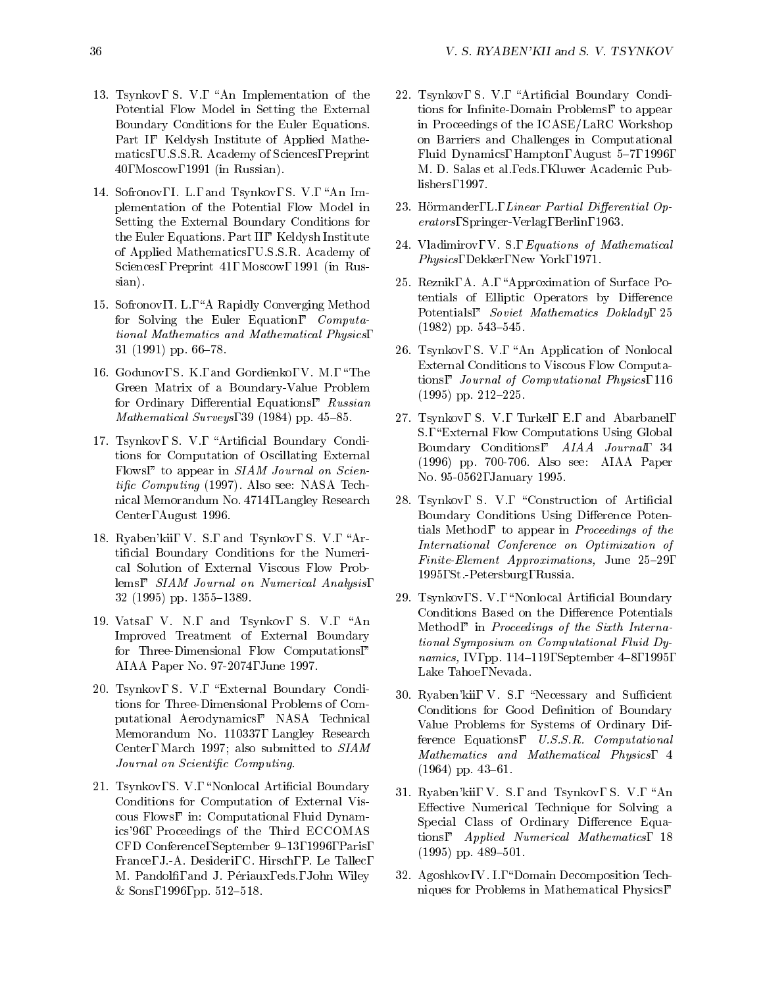- 13. Tsynkov, S. V., "An Implementation of the Potential Flow Model in Setting the External Boundary Conditions for the Euler Equations. Part I," Keldysh Institute of Applied Mathematics, U.S.S.R. Academy of Sciences, Preprint 40, Moscow, 1991 (in Russian).
- 14. Sofronov, I. L., and Tsynkov, S. V., "An Implementation of the Potential Flow Modelin Setting the External Boundary Conditions for the Euler Equations. Part II," Keldysh Institute of Applied Mathematics, U.S.S.R. Academy of Sciences, Preprint 41, Moscow, 1991 (in Russian).
- 15. Sofronov, I. L., \A Rapidly Converging Method for Solving the Euler Equation," Computational Mathematics and Mathematical Physics,  $31$  (1991) pp. 66-78.
- 16. Godunov, S. K., and Gordienko, V. M., \The Green Matrix of a Boundary-Value Problem for Ordinary Differential Equations," Russian Mathematical Surveys, 39 (1984) pp.  $45-85$ .
- 17. Tsynkov, S. V., "Artificial Boundary Conditions for Computation of Oscillating External Flows," to appear in SIAM Journal on Scientific Computing (1997). Also see: NASA Technical Memorandum No. 4714, Langley Research Center, August 1996.
- 18. Ryaben'kii, V. S., and Tsynkov, S. V., \Articial Boundary Conditions for the Numerical Solution of External Viscous Flow Problems," SIAM Journal on Numerical Analysis,  $32$  (1995) pp. 1355-1389.
- 19. Vatsa, V. N., and Tsynkov, S. V., "An Improved Treatment of External Boundary for Three-Dimensional Flow Computations," AIAA Paper No. 97-2074, June 1997.
- 20. Tsynkov, S. V., "External Boundary Conditions for Three-Dimensional Problems of Computational Aerodynamics," NASA Technical Memorandum No. 110337, Langley Research Center, March 1997; also submitted to SIAM Journal on Scientic Computing.
- 21. Tsynkov, S. V., "Nonlocal Artificial Boundary Conditions for Computation of External Viscous Flows," in: Computational Fluid Dynamics'96, Proceedings of the Third ECCOMAS CFD Conference, September 9-13, 1996, Paris, France, J.-A. Desideri, C. Hirsch, P. Le Tallec, M. Pandolfi, and J. Périaux, eds., John Wiley  $&$  Sons, 1996, pp. 512-518.
- 22. Tsynkov, S. V., "Artificial Boundary Conditions for Infinite-Domain Problems," to appear in Proceedings of the ICASE/LaRC Workshop on Barriers and Challenges in Computational Fluid Dynamics, Hampton, August 5-7, 1996, M. D. Salas et al., eds., Kluwer Academic Publishers, 1997.
- 23. Hörmander, L., Linear Partial Differential Operators, Springer-Verlag, Berlin, 1963.
- 24. Vladimirov, V. S., Equations of Mathematical Physics, Dekker, New York, 1971.
- 25. Reznik, A. A., \Approximation of Surface Potentials of Elliptic Operators by Difference Potentials," Soviet Mathematics Doklady, 25  $(1982)$  pp. 543-545.
- 26. Tsynkov, S. V., "An Application of Nonlocal External Conditions to Viscous Flow Computations," Journal of Computational Physics, 116  $(1995)$  pp.  $212-225$ .
- 27. Tsynkov, S. V., Turkel, E., and Abarbanel, S., "External Flow Computations Using Global Boundary Conditions," AIAA Journal, 34 (1996) pp. 700-706. Also see: AIAA Paper No. 95-0562, January 1995.
- 28. Tsynkov, S. V., "Construction of Artificial Boundary Conditions Using Difference Potentials Method," to appear in Proceedings of the International Conference on Optimization of Finite-Element Approximations, June  $25{-}29$ , 1995, St.-Petersburg, Russia.
- 29. Tsynkov, S. V., "Nonlocal Artificial Boundary Conditions Based on the Difference Potentials Method," in Proceedings of the Sixth International Symposium on Computational Fluid Dynamics, IV, pp. 114-119, September 4-8, 1995, Lake Tahoe, Nevada.
- 30. Ryaben'kii, V. S., "Necessary and Sufficient Conditions for Good Definition of Boundary Value Problems for Systems of Ordinary Difference Equations," U.S.S.R. Computational Mathematics and Mathematical Physics, 4  $(1964)$  pp.  $43{-}61$ .
- 31. Ryaben'kii, V. S., and Tsynkov, S. V., \An Effective Numerical Technique for Solving a Special Class of Ordinary Difference Equations," Applied Numerical Mathematics, 18  $(1995)$  pp.  $489-501$ .
- 32. Agoshkov, V. I., "Domain Decomposition Techniques for Problems in Mathematical Physics,"